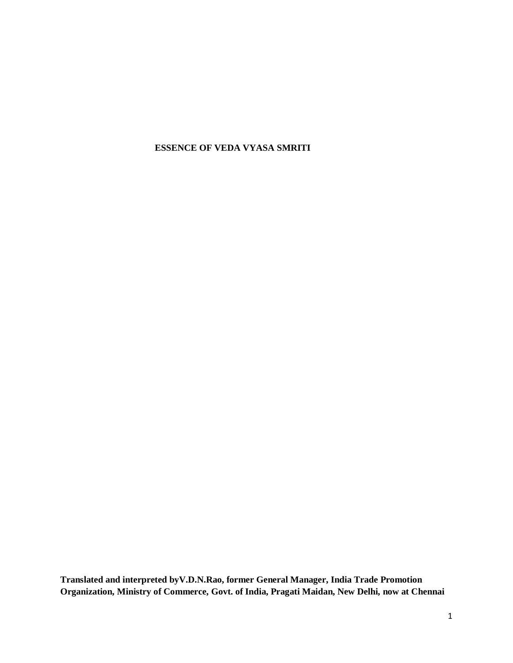# **ESSENCE OF VEDA VYASA SMRITI**

**Translated and interpreted byV.D.N.Rao, former General Manager, India Trade Promotion Organization, Ministry of Commerce, Govt. of India, Pragati Maidan, New Delhi, now at Chennai**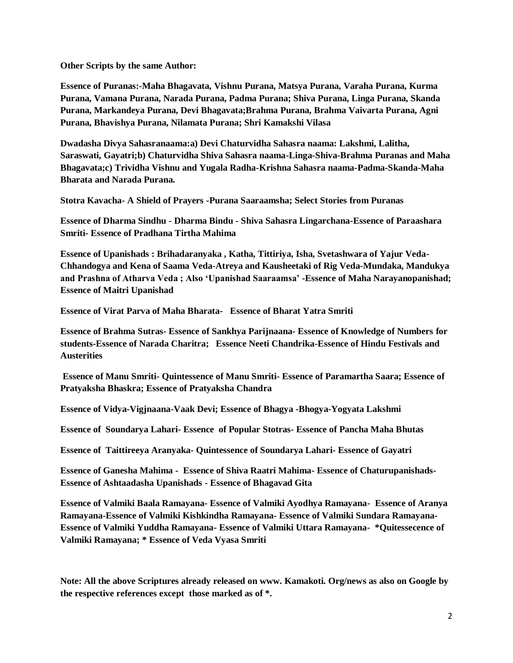**Other Scripts by the same Author:** 

**Essence of Puranas:-Maha Bhagavata, Vishnu Purana, Matsya Purana, Varaha Purana, Kurma Purana, Vamana Purana, Narada Purana, Padma Purana; Shiva Purana, Linga Purana, Skanda Purana, Markandeya Purana, Devi Bhagavata;Brahma Purana, Brahma Vaivarta Purana, Agni Purana, Bhavishya Purana, Nilamata Purana; Shri Kamakshi Vilasa**

**Dwadasha Divya Sahasranaama:a) Devi Chaturvidha Sahasra naama: Lakshmi, Lalitha, Saraswati, Gayatri;b) Chaturvidha Shiva Sahasra naama-Linga-Shiva-Brahma Puranas and Maha Bhagavata;c) Trividha Vishnu and Yugala Radha-Krishna Sahasra naama-Padma-Skanda-Maha Bharata and Narada Purana.**

**Stotra Kavacha- A Shield of Prayers -Purana Saaraamsha; Select Stories from Puranas**

**Essence of Dharma Sindhu - Dharma Bindu - Shiva Sahasra Lingarchana-Essence of Paraashara Smriti- Essence of Pradhana Tirtha Mahima**

**Essence of Upanishads : Brihadaranyaka , Katha, Tittiriya, Isha, Svetashwara of Yajur Veda-Chhandogya and Kena of Saama Veda-Atreya and Kausheetaki of Rig Veda-Mundaka, Mandukya and Prashna of Atharva Veda ; Also 'Upanishad Saaraamsa' -Essence of Maha Narayanopanishad; Essence of Maitri Upanishad** 

**Essence of Virat Parva of Maha Bharata- Essence of Bharat Yatra Smriti**

**Essence of Brahma Sutras- Essence of Sankhya Parijnaana- Essence of Knowledge of Numbers for students-Essence of Narada Charitra; Essence Neeti Chandrika-Essence of Hindu Festivals and Austerities**

**Essence of Manu Smriti- Quintessence of Manu Smriti- Essence of Paramartha Saara; Essence of Pratyaksha Bhaskra; Essence of Pratyaksha Chandra**

**Essence of Vidya-Vigjnaana-Vaak Devi; Essence of Bhagya -Bhogya-Yogyata Lakshmi** 

**Essence of Soundarya Lahari- Essence of Popular Stotras- Essence of Pancha Maha Bhutas**

**Essence of Taittireeya Aranyaka- Quintessence of Soundarya Lahari- Essence of Gayatri**

**Essence of Ganesha Mahima - Essence of Shiva Raatri Mahima- Essence of Chaturupanishads-Essence of Ashtaadasha Upanishads - Essence of Bhagavad Gita**

**Essence of Valmiki Baala Ramayana- Essence of Valmiki Ayodhya Ramayana- Essence of Aranya Ramayana-Essence of Valmiki Kishkindha Ramayana- Essence of Valmiki Sundara Ramayana-Essence of Valmiki Yuddha Ramayana- Essence of Valmiki Uttara Ramayana- \*Quitessecence of Valmiki Ramayana; \* Essence of Veda Vyasa Smriti**

**Note: All the above Scriptures already released on www. Kamakoti. Org/news as also on Google by the respective references except those marked as of \*.**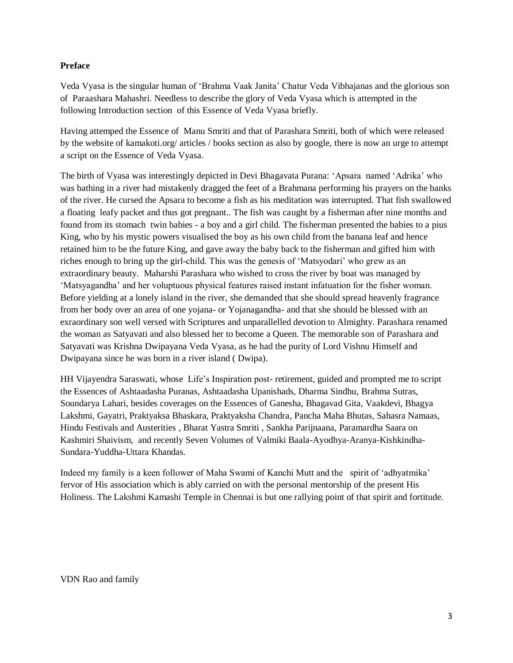# **Preface**

Veda Vyasa is the singular human of 'Brahma Vaak Janita' Chatur Veda Vibhajanas and the glorious son of Paraashara Mahashri. Needless to describe the glory of Veda Vyasa which is attempted in the following Introduction section of this Essence of Veda Vyasa briefly.

Having attemped the Essence of Manu Smriti and that of Parashara Smriti, both of which were released by the website of kamakoti.org/ articles / books section as also by google, there is now an urge to attempt a script on the Essence of Veda Vyasa.

The birth of Vyasa was interestingly depicted in Devi Bhagavata Purana: 'Apsara named 'Adrika' who was bathing in a river had mistakenly dragged the feet of a Brahmana performing his prayers on the banks of the river. He cursed the Apsara to become a fish as his meditation was interrupted. That fish swallowed a floating leafy packet and thus got pregnant.. The fish was caught by a fisherman after nine months and found from its stomach twin babies - a boy and a girl child. The fisherman presented the babies to a pius King, who by his mystic powers visualised the boy as his own child from the banana leaf and hence retained him to be the future King, and gave away the baby back to the fisherman and gifted him with riches enough to bring up the girl-child. This was the genesis of 'Matsyodari' who grew as an extraordinary beauty. Maharshi Parashara who wished to cross the river by boat was managed by 'Matsyagandha' and her voluptuous physical features raised instant infatuation for the fisher woman. Before yielding at a lonely island in the river, she demanded that she should spread heavenly fragrance from her body over an area of one yojana- or Yojanagandha- and that she should be blessed with an exraordinary son well versed with Scriptures and unparallelled devotion to Almighty. Parashara renamed the woman as Satyavati and also blessed her to become a Queen. The memorable son of Parashara and Satyavati was Krishna Dwipayana Veda Vyasa, as he had the purity of Lord Vishnu Himself and Dwipayana since he was born in a river island ( Dwipa).

HH Vijayendra Saraswati, whose Life's Inspiration post- retirement, guided and prompted me to script the Essences of Ashtaadasha Puranas, Ashtaadasha Upanishads, Dharma Sindhu, Brahma Sutras, Soundarya Lahari, besides coverages on the Essences of Ganesha, Bhagavad Gita, Vaakdevi, Bhagya Lakshmi, Gayatri, Praktyaksa Bhaskara, Praktyaksha Chandra, Pancha Maha Bhutas, Sahasra Namaas, Hindu Festivals and Austerities , Bharat Yastra Smriti , Sankha Parijnaana, Paramardha Saara on Kashmiri Shaivism, and recently Seven Volumes of Valmiki Baala-Ayodhya-Aranya-Kishkindha-Sundara-Yuddha-Uttara Khandas.

Indeed my family is a keen follower of Maha Swami of Kanchi Mutt and the spirit of 'adhyatmika' fervor of His association which is ably carried on with the personal mentorship of the present His Holiness. The Lakshmi Kamashi Temple in Chennai is but one rallying point of that spirit and fortitude.

VDN Rao and family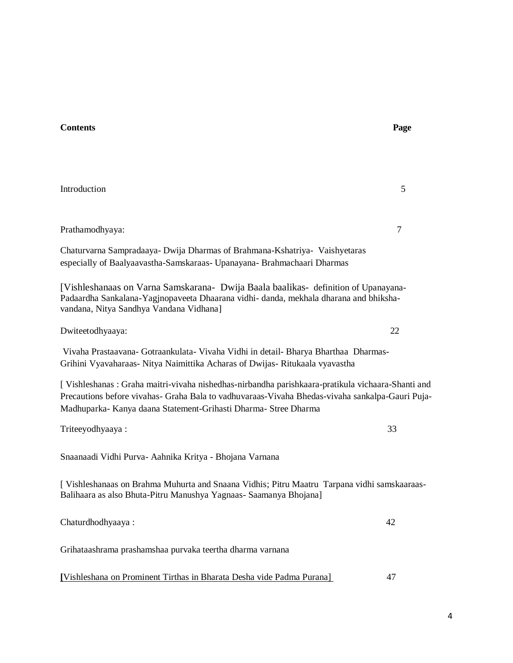| Introduction                                                                                                                                                                                                                                                            | 5  |
|-------------------------------------------------------------------------------------------------------------------------------------------------------------------------------------------------------------------------------------------------------------------------|----|
| Prathamodhyaya:                                                                                                                                                                                                                                                         | 7  |
| Chaturvarna Sampradaaya- Dwija Dharmas of Brahmana-Kshatriya- Vaishyetaras<br>especially of Baalyaavastha-Samskaraas- Upanayana- Brahmachaari Dharmas                                                                                                                   |    |
| [Vishleshanaas on Varna Samskarana- Dwija Baala baalikas- definition of Upanayana-<br>Padaardha Sankalana-Yagjnopaveeta Dhaarana vidhi- danda, mekhala dharana and bhiksha-<br>vandana, Nitya Sandhya Vandana Vidhana]                                                  |    |
| Dwiteetodhyaaya:                                                                                                                                                                                                                                                        | 22 |
| Vivaha Prastaavana- Gotraankulata- Vivaha Vidhi in detail- Bharya Bharthaa Dharmas-<br>Grihini Vyavaharaas- Nitya Naimittika Acharas of Dwijas- Ritukaala vyavastha                                                                                                     |    |
| [ Vishleshanas: Graha maitri-vivaha nishedhas-nirbandha parishkaara-pratikula vichaara-Shanti and<br>Precautions before vivahas- Graha Bala to vadhuvaraas-Vivaha Bhedas-vivaha sankalpa-Gauri Puja-<br>Madhuparka- Kanya daana Statement-Grihasti Dharma- Stree Dharma |    |
| Triteeyodhyaaya:                                                                                                                                                                                                                                                        | 33 |
| Snaanaadi Vidhi Purva- Aahnika Kritya - Bhojana Varnana                                                                                                                                                                                                                 |    |
| [ Vishleshanaas on Brahma Muhurta and Snaana Vidhis; Pitru Maatru Tarpana vidhi samskaaraas-<br>Balihaara as also Bhuta-Pitru Manushya Yagnaas- Saamanya Bhojana]                                                                                                       |    |
| Chaturdhodhyaaya:                                                                                                                                                                                                                                                       | 42 |
| Grihataashrama prashamshaa purvaka teertha dharma varnana                                                                                                                                                                                                               |    |
| [Vishleshana on Prominent Tirthas in Bharata Desha vide Padma Purana]                                                                                                                                                                                                   | 47 |

4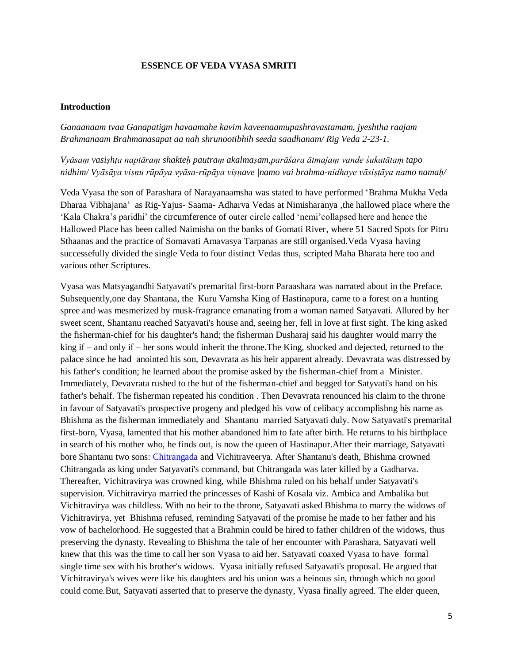# **ESSENCE OF VEDA VYASA SMRITI**

#### **Introduction**

*Ganaanaam tvaa Ganapatigm havaamahe kavim kaveenaamupashravastamam, jyeshtha raajam Brahmanaam Brahmanasapat aa nah shrunootibhih seeda saadhanam/ Rig Veda 2-23-1.*

*Vyāsaṃ vasiṣhṭa naptāraṃ shakteḥ pautraṃ akalmaṣam,parāśara ātmajaṃ vande śukatātaṃ tapo nidhim/ Vyāsāya viṣṇu rūpāya vyāsa-rūpāya viṣṇave |namo vai brahma-nidhaye vāsiṣṭāya namo namaḥ/*

Veda Vyasa the son of Parashara of Narayanaamsha was stated to have performed 'Brahma Mukha Veda Dharaa Vibhajana' as Rig-Yajus- Saama- Adharva Vedas at Nimisharanya ,the hallowed place where the 'Kala Chakra's paridhi' the circumference of outer circle called 'nemi'collapsed here and hence the Hallowed Place has been called Naimisha on the banks of Gomati River, where 51 Sacred Spots for Pitru Sthaanas and the practice of Somavati Amavasya Tarpanas are still organised.Veda Vyasa having successefully divided the single Veda to four distinct Vedas thus, scripted Maha Bharata here too and various other Scriptures.

Vyasa was Matsyagandhi Satyavati's premarital first-born Paraashara was narrated about in the Preface. Subsequently,one day Shantana, the Kuru Vamsha King of Hastinapura, came to a forest on a hunting spree and was mesmerized by musk-fragrance emanating from a woman named Satyavati. Allured by her sweet scent, Shantanu reached Satyavati's house and, seeing her, fell in love at first sight. The king asked the fisherman-chief for his daughter's hand; the fisherman Dusharaj said his daughter would marry the king if – and only if – her sons would inherit the throne.The King, shocked and dejected, returned to the palace since he had anointed his son, Devavrata as his heir apparent already. Devavrata was distressed by his father's condition; he learned about the promise asked by the fisherman-chief from a Minister. Immediately, Devavrata rushed to the hut of the fisherman-chief and begged for Satyvati's hand on his father's behalf. The fisherman repeated his condition . Then Devavrata renounced his claim to the throne in favour of Satyavati's prospective progeny and pledged his vow of celibacy accomplishng his name as Bhishma as the fisherman immediately and Shantanu married Satyavati duly. Now Satyavati's premarital first-born, Vyasa, lamented that his mother abandoned him to fate after birth. He returns to his birthplace in search of his mother who, he finds out, is now the queen of Hastinapur.After their marriage, Satyavati bore Shantanu two sons: [Chitrangada](https://en.wikipedia.org/wiki/Chitr%C4%81ngada) and Vichitraveerya. After Shantanu's death, Bhishma crowned Chitrangada as king under Satyavati's command, but Chitrangada was later killed by a Gadharva. Thereafter, Vichitravirya was crowned king, while Bhishma ruled on his behalf under Satyavati's supervision. Vichitravirya married the princesses of Kashi of Kosala viz. Ambica and Ambalika but Vichitravirya was childless. With no heir to the throne, Satyavati asked Bhishma to marry the widows of Vichitravirya, yet Bhishma refused, reminding Satyavati of the promise he made to her father and his vow of bachelorhood. He suggested that a Brahmin could be hired to father children of the widows, thus preserving the dynasty. Revealing to Bhishma the tale of her encounter with Parashara, Satyavati well knew that this was the time to call her son Vyasa to aid her. Satyavati coaxed Vyasa to have formal single time sex with his brother's widows. Vyasa initially refused Satyavati's proposal. He argued that Vichitravirya's wives were like his daughters and his union was a heinous sin, through which no good could come.But, Satyavati asserted that to preserve the dynasty, Vyasa finally agreed. The elder queen,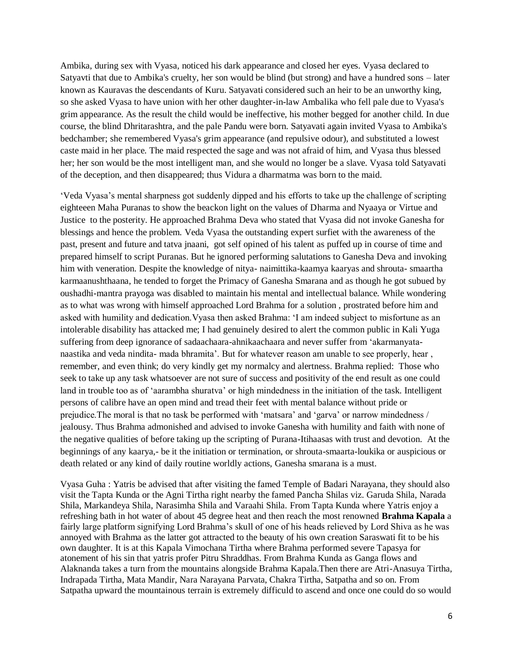Ambika, during sex with Vyasa, noticed his dark appearance and closed her eyes. Vyasa declared to Satyavti that due to Ambika's cruelty, her son would be blind (but strong) and have a hundred sons – later known as Kauravas the descendants of Kuru. Satyavati considered such an heir to be an unworthy king, so she asked Vyasa to have union with her other daughter-in-law Ambalika who fell pale due to Vyasa's grim appearance. As the result the child would be ineffective, his mother begged for another child. In due course, the blind Dhritarashtra, and the pale Pandu were born. Satyavati again invited Vyasa to Ambika's bedchamber; she remembered Vyasa's grim appearance (and repulsive odour), and substituted a lowest caste maid in her place. The maid respected the sage and was not afraid of him, and Vyasa thus blessed her; her son would be the most intelligent man, and she would no longer be a slave. Vyasa told Satyavati of the deception, and then disappeared; thus Vidura a dharmatma was born to the maid.

'Veda Vyasa's mental sharpness got suddenly dipped and his efforts to take up the challenge of scripting eighteeen Maha Puranas to show the beackon light on the values of Dharma and Nyaaya or Virtue and Justice to the posterity. He approached Brahma Deva who stated that Vyasa did not invoke Ganesha for blessings and hence the problem. Veda Vyasa the outstanding expert surfiet with the awareness of the past, present and future and tatva jnaani, got self opined of his talent as puffed up in course of time and prepared himself to script Puranas. But he ignored performing salutations to Ganesha Deva and invoking him with veneration. Despite the knowledge of nitya- naimittika-kaamya kaaryas and shrouta- smaartha karmaanushthaana, he tended to forget the Primacy of Ganesha Smarana and as though he got subued by oushadhi-mantra prayoga was disabled to maintain his mental and intellectual balance. While wondering as to what was wrong with himself approached Lord Brahma for a solution , prostrated before him and asked with humility and dedication.Vyasa then asked Brahma: 'I am indeed subject to misfortune as an intolerable disability has attacked me; I had genuinely desired to alert the common public in Kali Yuga suffering from deep ignorance of sadaachaara-ahnikaachaara and never suffer from 'akarmanyatanaastika and veda nindita- mada bhramita'. But for whatever reason am unable to see properly, hear , remember, and even think; do very kindly get my normalcy and alertness. Brahma replied: Those who seek to take up any task whatsoever are not sure of success and positivity of the end result as one could land in trouble too as of 'aarambha shuratva' or high mindedness in the initiation of the task. Intelligent persons of calibre have an open mind and tread their feet with mental balance without pride or prejudice.The moral is that no task be performed with 'matsara' and 'garva' or narrow mindedness / jealousy. Thus Brahma admonished and advised to invoke Ganesha with humility and faith with none of the negative qualities of before taking up the scripting of Purana-Itihaasas with trust and devotion. At the beginnings of any kaarya,- be it the initiation or termination, or shrouta-smaarta-loukika or auspicious or death related or any kind of daily routine worldly actions, Ganesha smarana is a must.

Vyasa Guha : Yatris be advised that after visiting the famed Temple of Badari Narayana, they should also visit the Tapta Kunda or the Agni Tirtha right nearby the famed Pancha Shilas viz. Garuda Shila, Narada Shila, Markandeya Shila, Narasimha Shila and Varaahi Shila. From Tapta Kunda where Yatris enjoy a refreshing bath in hot water of about 45 degree heat and then reach the most renowned **Brahma Kapala** a fairly large platform signifying Lord Brahma's skull of one of his heads relieved by Lord Shiva as he was annoyed with Brahma as the latter got attracted to the beauty of his own creation Saraswati fit to be his own daughter. It is at this Kapala Vimochana Tirtha where Brahma performed severe Tapasya for atonement of his sin that yatris profer Pitru Shraddhas. From Brahma Kunda as Ganga flows and Alaknanda takes a turn from the mountains alongside Brahma Kapala.Then there are Atri-Anasuya Tirtha, Indrapada Tirtha, Mata Mandir, Nara Narayana Parvata, Chakra Tirtha, Satpatha and so on. From Satpatha upward the mountainous terrain is extremely difficuld to ascend and once one could do so would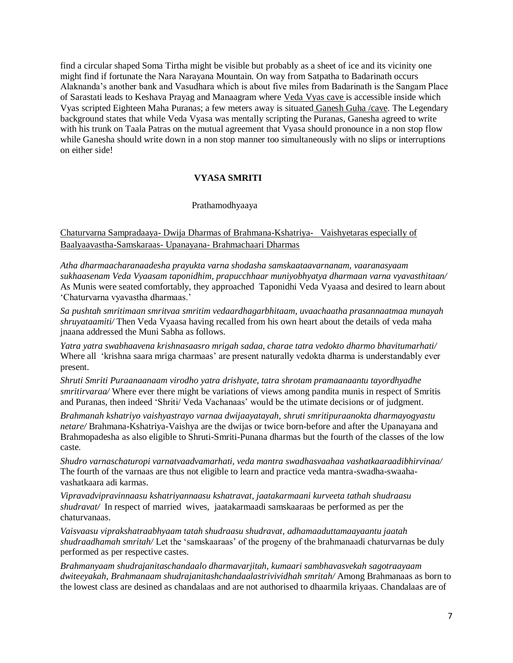find a circular shaped Soma Tirtha might be visible but probably as a sheet of ice and its vicinity one might find if fortunate the Nara Narayana Mountain. On way from Satpatha to Badarinath occurs Alaknanda's another bank and Vasudhara which is about five miles from Badarinath is the Sangam Place of Sarastati leads to Keshava Prayag and Manaagram where Veda Vyas cave is accessible inside which Vyas scripted Eighteen Maha Puranas; a few meters away is situated Ganesh Guha /cave. The Legendary background states that while Veda Vyasa was mentally scripting the Puranas, Ganesha agreed to write with his trunk on Taala Patras on the mutual agreement that Vyasa should pronounce in a non stop flow while Ganesha should write down in a non stop manner too simultaneously with no slips or interruptions on either side!

# **VYASA SMRITI**

# Prathamodhyaaya

Chaturvarna Sampradaaya- Dwija Dharmas of Brahmana-Kshatriya- Vaishyetaras especially of Baalyaavastha-Samskaraas- Upanayana- Brahmachaari Dharmas

*Atha dharmaacharanaadesha prayukta varna shodasha samskaataavarnanam, vaaranasyaam sukhaasenam Veda Vyaasam taponidhim, prapucchhaar muniyobhyatya dharmaan varna vyavasthitaan/* As Munis were seated comfortably, they approached Taponidhi Veda Vyaasa and desired to learn about 'Chaturvarna vyavastha dharmaas.'

*Sa pushtah smritimaan smritvaa smritim vedaardhagarbhitaam, uvaachaatha prasannaatmaa munayah shruyataamiti/* Then Veda Vyaasa having recalled from his own heart about the details of veda maha jnaana addressed the Muni Sabha as follows.

*Yatra yatra swabhaavena krishnasaasro mrigah sadaa, charae tatra vedokto dharmo bhavitumarhati/*  Where all 'krishna saara mriga charmaas' are present naturally vedokta dharma is understandably ever present.

*Shruti Smriti Puraanaanaam virodho yatra drishyate, tatra shrotam pramaanaantu tayordhyadhe smritirvaraa/* Where ever there might be variations of views among pandita munis in respect of Smritis and Puranas, then indeed 'Shriti/ Veda Vachanaas' would be the utimate decisions or of judgment.

*Brahmanah kshatriyo vaishyastrayo varnaa dwijaayatayah, shruti smritipuraanokta dharmayogyastu netare/* Brahmana-Kshatriya-Vaishya are the dwijas or twice born-before and after the Upanayana and Brahmopadesha as also eligible to Shruti-Smriti-Punana dharmas but the fourth of the classes of the low caste.

*Shudro varnaschaturopi varnatvaadvamarhati, veda mantra swadhasvaahaa vashatkaaraadibhirvinaa/*  The fourth of the varnaas are thus not eligible to learn and practice veda mantra-swadha-swaahavashatkaara adi karmas.

*Vipravadvipravinnaasu kshatriyannaasu kshatravat, jaatakarmaani kurveeta tathah shudraasu shudravat/* In respect of married wives, jaatakarmaadi samskaaraas be performed as per the chaturvanaas.

*Vaisvaasu viprakshatraabhyaam tatah shudraasu shudravat, adhamaaduttamaayaantu jaatah shudraadhamah smritah/* Let the 'samskaaraas' of the progeny of the brahmanaadi chaturvarnas be duly performed as per respective castes.

*Brahmanyaam shudrajanitaschandaalo dharmavarjitah, kumaari sambhavasvekah sagotraayaam dwiteeyakah, Brahmanaam shudrajanitashchandaalastrivividhah smritah/* Among Brahmanaas as born to the lowest class are desined as chandalaas and are not authorised to dhaarmila kriyaas. Chandalaas are of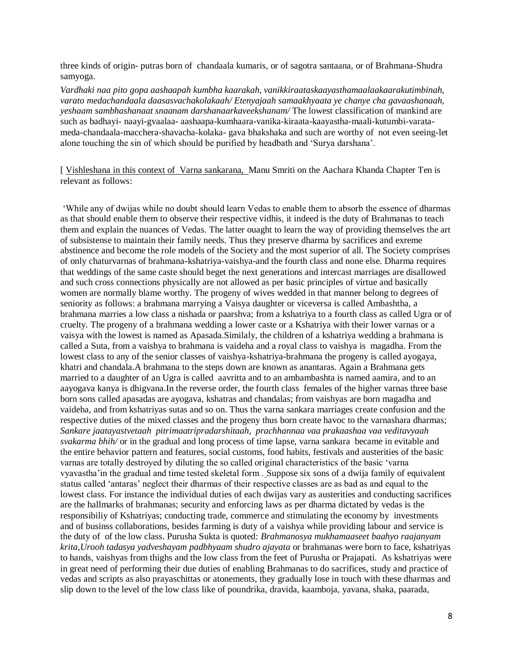three kinds of origin- putras born of chandaala kumaris, or of sagotra santaana, or of Brahmana-Shudra samyoga.

*Vardhaki naa pito gopa aashaapah kumbha kaarakah, vanikkiraataskaayasthamaalaakaarakutimbinah, varato medachandaala daasasvachakolakaah/ Etenyajaah samaakhyaata ye chanye cha gavaashanaah, yeshaam sambhashanaat snaanam darshanaarkaveekshanam/* The lowest classification of mankind are such as badhayi- naayi-gvaalaa- aashaapa-kumhaara-vanika-kiraata-kaayastha-maali-kutumbi-varatameda-chandaala-macchera-shavacha-kolaka- gava bhakshaka and such are worthy of not even seeing-let alone touching the sin of which should be purified by headbath and 'Surya darshana'.

[ Vishleshana in this context of Varna sankarana, Manu Smriti on the Aachara Khanda Chapter Ten is relevant as follows:

'While any of dwijas while no doubt should learn Vedas to enable them to absorb the essence of dharmas as that should enable them to observe their respective vidhis, it indeed is the duty of Brahmanas to teach them and explain the nuances of Vedas. The latter ouaght to learn the way of providing themselves the art of subsistense to maintain their family needs. Thus they preserve dharma by sacrifices and exreme abstinence and become the role models of the Society and the most superior of all. The Society comprises of only chaturvarnas of brahmana-kshatriya-vaishya-and the fourth class and none else. Dharma requires that weddings of the same caste should beget the next generations and intercast marriages are disallowed and such cross connections physically are not allowed as per basic principles of virtue and basically women are normally blame worthy. The progeny of wives wedded in that manner belong to degrees of seniority as follows: a brahmana marrying a Vaisya daughter or viceversa is called Ambashtha, a brahmana marries a low class a nishada or paarshva; from a kshatriya to a fourth class as called Ugra or of cruelty. The progeny of a brahmana wedding a lower caste or a Kshatriya with their lower varnas or a vaisya with the lowest is named as Apasada.Similaly, the children of a kshatriya wedding a brahmana is called a Suta, from a vaishya to brahmana is vaideha and a royal class to vaishya is magadha. From the lowest class to any of the senior classes of vaishya-kshatriya-brahmana the progeny is called ayogaya, khatri and chandala.A brahmana to the steps down are known as anantaras. Again a Brahmana gets married to a daughter of an Ugra is called aavritta and to an ambambashta is named aamira, and to an aayogava kanya is dhigvana.In the reverse order, the fourth class females of the higher varnas three base born sons called apasadas are ayogava, kshatras and chandalas; from vaishyas are born magadha and vaideha, and from kshatriyas sutas and so on. Thus the varna sankara marriages create confusion and the respective duties of the mixed classes and the progeny thus born create havoc to the varnashara dharmas; *Sankare jaatayastvetaah pitrimaatripradarshitaah, prachhannaa vaa prakaashaa vaa veditavyaah svakarma bhih/* or in the gradual and long process of time lapse, varna sankara became in evitable and the entire behavior pattern and features, social customs, food habits, festivals and austerities of the basic varnas are totally destroyed by diluting the so called original characteristics of the basic 'varna vyavastha'in the gradual and time tested skeletal form . Suppose six sons of a dwija family of equivalent status called 'antaras' neglect their dharmas of their respective classes are as bad as and equal to the lowest class. For instance the individual duties of each dwijas vary as austerities and conducting sacrifices are the hallmarks of brahmanas; security and enforcing laws as per dharma dictated by vedas is the responsibiliy of Kshatriyas; conducting trade, commerce and stimulating the economy by investments and of businss collaborations, besides farming is duty of a vaishya while providing labour and service is the duty of of the low class. Purusha Sukta is quoted: *Brahmanosya mukhamaaseet baahyo raajanyam krita,Urooh tadasya yadveshayam padbhyaam shudro ajayata* or brahmanas were born to face, kshatriyas to hands, vaishyas from thighs and the low class from the feet of Purusha or Prajapati. As kshatriyas were in great need of performing their due duties of enabling Brahmanas to do sacrifices, study and practice of vedas and scripts as also prayaschittas or atonements, they gradually lose in touch with these dharmas and slip down to the level of the low class like of poundrika, dravida, kaamboja, yavana, shaka, paarada,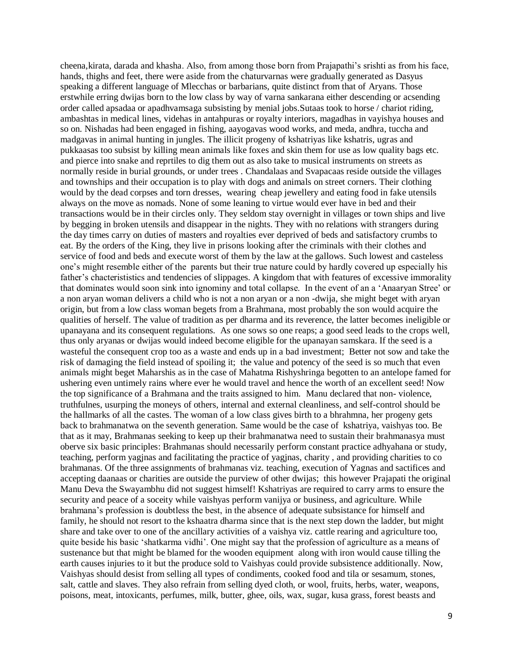cheena,kirata, darada and khasha. Also, from among those born from Prajapathi's srishti as from his face, hands, thighs and feet, there were aside from the chaturvarnas were gradually generated as Dasyus speaking a different language of Mlecchas or barbarians, quite distinct from that of Aryans. Those erstwhile erring dwijas born to the low class by way of varna sankarana either descending or acsending order called apsadaa or apadhvamsaga subsisting by menial jobs.Sutaas took to horse / chariot riding, ambashtas in medical lines, videhas in antahpuras or royalty interiors, magadhas in vayishya houses and so on. Nishadas had been engaged in fishing, aayogavas wood works, and meda, andhra, tuccha and madgavas in animal hunting in jungles. The illicit progeny of kshatriyas like kshatris, ugras and pukkaasas too subsist by killing mean animals like foxes and skin them for use as low quality bags etc. and pierce into snake and reprtiles to dig them out as also take to musical instruments on streets as normally reside in burial grounds, or under trees . Chandalaas and Svapacaas reside outside the villages and townships and their occupation is to play with dogs and animals on street corners. Their clothing would by the dead corpses and torn dresses, wearing cheap jewellery and eating food in fake utensils always on the move as nomads. None of some leaning to virtue would ever have in bed and their transactions would be in their circles only. They seldom stay overnight in villages or town ships and live by begging in broken utensils and disappear in the nights. They with no relations with strangers during the day times carry on duties of masters and royalties ever deprived of beds and satisfactory crumbs to eat. By the orders of the King, they live in prisons looking after the criminals with their clothes and service of food and beds and execute worst of them by the law at the gallows. Such lowest and casteless one's might resemble either of the parents but their true nature could by hardly covered up especially his father's chacterististics and tendencies of slippages. A kingdom that with features of excessive immorality that dominates would soon sink into ignominy and total collapse. In the event of an a 'Anaaryan Stree' or a non aryan woman delivers a child who is not a non aryan or a non -dwija, she might beget with aryan origin, but from a low class woman begets from a Brahmana, most probably the son would acquire the qualities of herself. The value of tradition as per dharma and its reverence, the latter becomes ineligible or upanayana and its consequent regulations. As one sows so one reaps; a good seed leads to the crops well, thus only aryanas or dwijas would indeed become eligible for the upanayan samskara. If the seed is a wasteful the consequent crop too as a waste and ends up in a bad investment; Better not sow and take the risk of damaging the field instead of spoiling it; the value and potency of the seed is so much that even animals might beget Maharshis as in the case of Mahatma Rishyshringa begotten to an antelope famed for ushering even untimely rains where ever he would travel and hence the worth of an excellent seed! Now the top significance of a Brahmana and the traits assigned to him. Manu declared that non- violence, truthfulnes, usurping the moneys of others, internal and external cleanliness, and self-control should be the hallmarks of all the castes. The woman of a low class gives birth to a bhrahmna, her progeny gets back to brahmanatwa on the seventh generation. Same would be the case of kshatriya, vaishyas too. Be that as it may, Brahmanas seeking to keep up their brahmanatwa need to sustain their brahmanasya must oberve six basic principles: Brahmanas should necessarily perform constant practice adhyahana or study, teaching, perform yagjnas and facilitating the practice of yagjnas, charity , and providing charities to co brahmanas. Of the three assignments of brahmanas viz. teaching, execution of Yagnas and sactifices and accepting daanaas or charities are outside the purview of other dwijas; this however Prajapati the original Manu Deva the Swayambhu did not suggest himself! Kshatriyas are required to carry arms to ensure the security and peace of a soceity while vaishyas perform vanijya or business, and agriculture. While brahmana's profession is doubtless the best, in the absence of adequate subsistance for himself and family, he should not resort to the kshaatra dharma since that is the next step down the ladder, but might share and take over to one of the ancillary activities of a vaishya viz. cattle rearing and agriculture too, quite beside his basic 'shatkarma vidhi'. One might say that the profession of agriculture as a means of sustenance but that might be blamed for the wooden equipment along with iron would cause tilling the earth causes injuries to it but the produce sold to Vaishyas could provide subsistence additionally. Now, Vaishyas should desist from selling all types of condiments, cooked food and tila or sesamum, stones, salt, cattle and slaves. They also refrain from selling dyed cloth, or wool, fruits, herbs, water, weapons, poisons, meat, intoxicants, perfumes, milk, butter, ghee, oils, wax, sugar, kusa grass, forest beasts and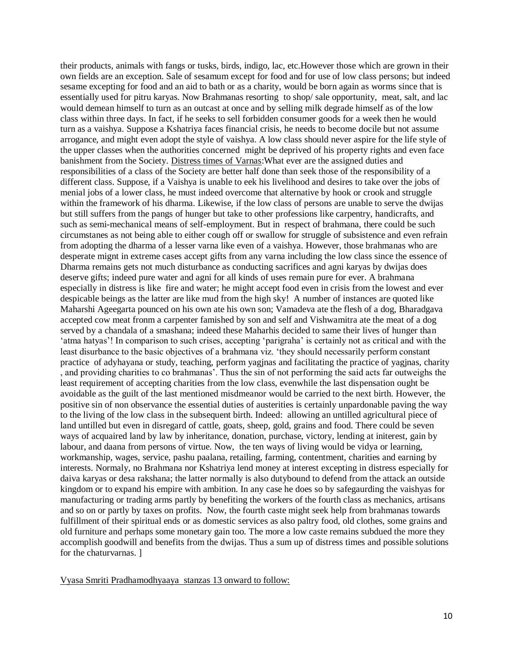their products, animals with fangs or tusks, birds, indigo, lac, etc.However those which are grown in their own fields are an exception. Sale of sesamum except for food and for use of low class persons; but indeed sesame excepting for food and an aid to bath or as a charity, would be born again as worms since that is essentially used for pitru karyas. Now Brahmanas resorting to shop/ sale opportunity, meat, salt, and lac would demean himself to turn as an outcast at once and by selling milk degrade himself as of the low class within three days. In fact, if he seeks to sell forbidden consumer goods for a week then he would turn as a vaishya. Suppose a Kshatriya faces financial crisis, he needs to become docile but not assume arrogance, and might even adopt the style of vaishya. A low class should never aspire for the life style of the upper classes when the authorities concerned might be deprived of his property rights and even face banishment from the Society. Distress times of Varnas:What ever are the assigned duties and responsibilities of a class of the Society are better half done than seek those of the responsibility of a different class. Suppose, if a Vaishya is unable to eek his livelihood and desires to take over the jobs of menial jobs of a lower class, he must indeed overcome that alternative by hook or crook and struggle within the framework of his dharma. Likewise, if the low class of persons are unable to serve the dwijas but still suffers from the pangs of hunger but take to other professions like carpentry, handicrafts, and such as semi-mechanical means of self-employment. But in respect of brahmana, there could be such circumstanes as not being able to either cough off or swallow for struggle of subsistence and even refrain from adopting the dharma of a lesser varna like even of a vaishya. However, those brahmanas who are desperate mignt in extreme cases accept gifts from any varna including the low class since the essence of Dharma remains gets not much disturbance as conducting sacrifices and agni karyas by dwijas does deserve gifts; indeed pure water and agni for all kinds of uses remain pure for ever. A brahmana especially in distress is like fire and water; he might accept food even in crisis from the lowest and ever despicable beings as the latter are like mud from the high sky! A number of instances are quoted like Maharshi Ageegarta pounced on his own ate his own son; Vamadeva ate the flesh of a dog, Bharadgava accepted cow meat fronm a carpenter famished by son and self and Vishwamitra ate the meat of a dog served by a chandala of a smashana; indeed these Maharhis decided to same their lives of hunger than 'atma hatyas'! In comparison to such crises, accepting 'parigraha' is certainly not as critical and with the least disurbance to the basic objectives of a brahmana viz. 'they should necessarily perform constant practice of adyhayana or study, teaching, perform yagjnas and facilitating the practice of yagjnas, charity , and providing charities to co brahmanas'. Thus the sin of not performing the said acts far outweighs the least requirement of accepting charities from the low class, evenwhile the last dispensation ought be avoidable as the guilt of the last mentioned misdmeanor would be carried to the next birth. However, the positive sin of non observance the essential duties of austerities is certainly unpardonable paving the way to the living of the low class in the subsequent birth. Indeed: allowing an untilled agricultural piece of land untilled but even in disregard of cattle, goats, sheep, gold, grains and food. There could be seven ways of acquaired land by law by inheritance, donation, purchase, victory, lending at initerest, gain by labour, and daana from persons of virtue. Now, the ten ways of living would be vidya or learning, workmanship, wages, service, pashu paalana, retailing, farming, contentment, charities and earning by interests. Normaly, no Brahmana nor Kshatriya lend money at interest excepting in distress especially for daiva karyas or desa rakshana; the latter normally is also dutybound to defend from the attack an outside kingdom or to expand his empire with ambition. In any case he does so by safegaurding the vaishyas for manufacturing or trading arms partly by benefiting the workers of the fourth class as mechanics, artisans and so on or partly by taxes on profits. Now, the fourth caste might seek help from brahmanas towards fulfillment of their spiritual ends or as domestic services as also paltry food, old clothes, some grains and old furniture and perhaps some monetary gain too. The more a low caste remains subdued the more they accomplish goodwill and benefits from the dwijas. Thus a sum up of distress times and possible solutions for the chaturvarnas. ]

Vyasa Smriti Pradhamodhyaaya stanzas 13 onward to follow: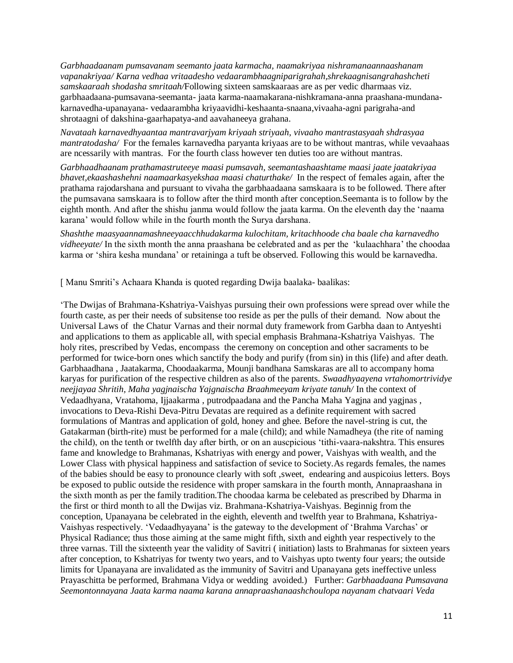*Garbhaadaanam pumsavanam seemanto jaata karmacha, naamakriyaa nishramanaannaashanam vapanakriyaa/ Karna vedhaa vritaadesho vedaarambhaagniparigrahah,shrekaagnisangrahashcheti samskaaraah shodasha smritaah/*Following sixteen samskaaraas are as per vedic dharmaas viz. garbhaadaana-pumsavana-seemanta- jaata karma-naamakarana-nishkramana-anna praashana-mundanakarnavedha-upanayana- vedaarambha kriyaavidhi-keshaanta-snaana,vivaaha-agni parigraha-and shrotaagni of dakshina-gaarhapatya-and aavahaneeya grahana.

*Navataah karnavedhyaantaa mantravarjyam kriyaah striyaah, vivaaho mantrastasyaah shdrasyaa mantratodasha/* For the females karnavedha paryanta kriyaas are to be without mantras, while vevaahaas are ncessarily with mantras. For the fourth class however ten duties too are without mantras.

*Garbhaadhaanam prathamastruteeye maasi pumsavah, seemantashaashtame maasi jaate jaatakriyaa bhavet,ekaashashehni naamaarkasyekshaa maasi chaturthake/* In the respect of females again, after the prathama rajodarshana and pursuant to vivaha the garbhaadaana samskaara is to be followed. There after the pumsavana samskaara is to follow after the third month after conception.Seemanta is to follow by the eighth month. And after the shishu janma would follow the jaata karma. On the eleventh day the 'naama karana' would follow while in the fourth month the Surya darshana.

*Shashthe maasyaannamashneeyaacchhudakarma kulochitam, kritachhoode cha baale cha karnavedho vidheeyate/* In the sixth month the anna praashana be celebrated and as per the 'kulaachhara' the choodaa karma or 'shira kesha mundana' or retaininga a tuft be observed. Following this would be karnavedha.

[ Manu Smriti's Achaara Khanda is quoted regarding Dwija baalaka- baalikas:

'The Dwijas of Brahmana-Kshatriya-Vaishyas pursuing their own professions were spread over while the fourth caste, as per their needs of subsitense too reside as per the pulls of their demand. Now about the Universal Laws of the Chatur Varnas and their normal duty framework from Garbha daan to Antyeshti and applications to them as applicable all, with special emphasis Brahmana-Kshatriya Vaishyas. The holy rites, prescribed by Vedas, encompass the ceremony on conception and other sacraments to be performed for twice-born ones which sanctify the body and purify (from sin) in this (life) and after death. Garbhaadhana , Jaatakarma, Choodaakarma, Mounji bandhana Samskaras are all to accompany homa karyas for purification of the respective children as also of the parents. *Swaadhyaayena vrtahomortrividye neejjayaa Shritih, Maha yagjnaischa Yajgnaischa Braahmeeyam kriyate tanuh/* In the context of Vedaadhyana, Vratahoma, Ijjaakarma , putrodpaadana and the Pancha Maha Yagjna and yagjnas , invocations to Deva-Rishi Deva-Pitru Devatas are required as a definite requirement with sacred formulations of Mantras and application of gold, honey and ghee. Before the navel-string is cut, the Gatakarman (birth-rite) must be performed for a male (child); and while Namadheya (the rite of naming the child), on the tenth or twelfth day after birth, or on an auscpicious 'tithi-vaara-nakshtra. This ensures fame and knowledge to Brahmanas, Kshatriyas with energy and power, Vaishyas with wealth, and the Lower Class with physical happiness and satisfaction of sevice to Society.As regards females, the names of the babies should be easy to pronounce clearly with soft ,sweet, endearing and auspicoius letters. Boys be exposed to public outside the residence with proper samskara in the fourth month, Annapraashana in the sixth month as per the family tradition.The choodaa karma be celebated as prescribed by Dharma in the first or third month to all the Dwijas viz. Brahmana-Kshatriya-Vaishyas. Beginnig from the conception, Upanayana be celebrated in the eighth, eleventh and twelfth year to Brahmana, Kshatriya-Vaishyas respectively. 'Vedaadhyayana' is the gateway to the development of 'Brahma Varchas' or Physical Radiance; thus those aiming at the same might fifth, sixth and eighth year respectively to the three varnas. Till the sixteenth year the validity of Savitri ( initiation) lasts to Brahmanas for sixteen years after conception, to Kshatriyas for twenty two years, and to Vaishyas upto twenty four years; the outside limits for Upanayana are invalidated as the immunity of Savitri and Upanayana gets ineffective unless Prayaschitta be performed, Brahmana Vidya or wedding avoided.) Further: *Garbhaadaana Pumsavana Seemontonnayana Jaata karma naama karana annapraashanaashchoulopa nayanam chatvaari Veda*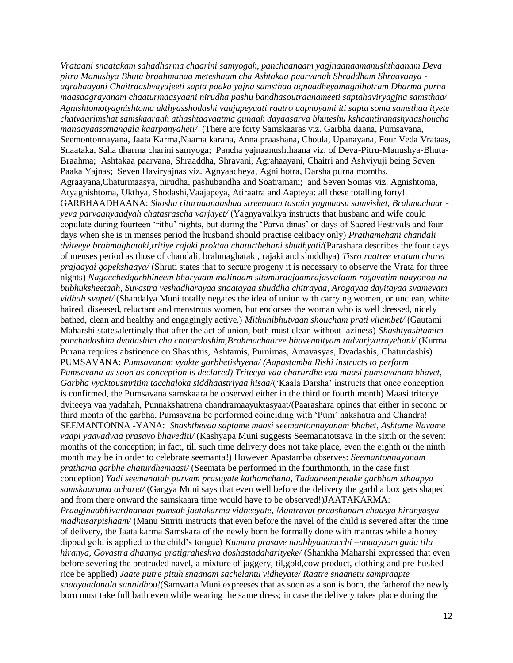*Vrataani snaatakam sahadharma chaarini samyogah, panchaanaam yagjnaanaamanushthaanam Deva pitru Manushya Bhuta braahmanaa meteshaam cha Ashtakaa paarvanah Shraddham Shraavanya agrahaayani Chaitraashvayujeeti sapta paaka yajna samsthaa agnaadheyamagnihotram Dharma purna maasaagrayanam chaaturmaasyaani nirudha pashu bandhasoutraanameeti saptahaviryagjna samsthaa/ Agnishtomotyagnishtoma ukthyasshodashi vaajapeyaati raatro aapnoyami iti sapta soma samsthaa ityete chatvaarimshat samskaaraah athashtaavaatma gunaah dayaasarva bhuteshu kshaantiranashyaashoucha manaayaasomangala kaarpanyaheti/* (There are forty Samskaaras viz. Garbha daana, Pumsavana, Seemontonnayana, Jaata Karma,Naama karana, Anna praashana, Choula, Upanayana, Four Veda Vrataas, Snaataka, Saha dharma charini samyoga; Pancha yajnaanushthaana viz. of Deva-Pitru-Manushya-Bhuta-Braahma; Ashtakaa paarvana, Shraaddha, Shravani, Agrahaayani, Chaitri and Ashviyuji being Seven Paaka Yajnas; Seven Haviryajnas viz. Agnyaadheya, Agni hotra, Darsha purna momths, Agraayana,Chaturmaasya, nirudha, pashubandha and Soatramani; and Seven Somas viz. Agnishtoma, Atyagnishtoma, Ukthya, Shodashi,Vaajapeya, Atiraatra and Aapteya: all these totalling forty! GARBHAADHAANA: *Shosha riturnaanaashaa streenaam tasmin yugmaasu samvishet, Brahmachaar yeva parvaanyaadyah chatasrascha varjayet/* (Yagnyavalkya instructs that husband and wife could copulate during fourteen 'rithu' nights, but during the 'Parva dinas' or days of Sacred Festivals and four days when she is in menses period the husband should practise celibacy only) *Prathamehani chandali dviteeye brahmaghataki,tritiye rajaki proktaa chaturthehani shudhyati/*(Parashara describes the four days of menses period as those of chandali, brahmaghataki, rajaki and shuddhya) *Tisro raatree vratam charet prajaayai gopekshaaya/* (Shruti states that to secure progeny it is necessary to observe the Vrata for three nights) *Nagacchedgarbhineem bharyaam malinaam sitamurdajaamrajasvalaam rogavatim naayonou na bubhuksheetaah, Suvastra veshadharayaa snaatayaa shuddha chitrayaa, Arogayaa dayitayaa svamevam vidhah svapet/* (Shandalya Muni totally negates the idea of union with carrying women, or unclean, white haired, diseased, reluctant and menstrous women, but endorses the woman who is well dressed, nicely bathed, clean and healthy and engagingly active.) *Mithunibhutvaan shoucham prati vilambet/* (Gautami Maharshi statesalertingly that after the act of union, both must clean without laziness) *Shashtyashtamim panchadashim dvadashim cha chaturdashim,Brahmachaaree bhavennityam tadvarjyatrayehani/* (Kurma Purana requires abstinence on Shashthis, Ashtamis, Purnimas, Amavasyas, Dvadashis, Chaturdashis) PUMSAVANA: *Pumsavanam vyakte garbhetishyena/ (Aapastamba Rishi instructs to perform Pumsavana as soon as conception is declared) Triteeya vaa charurdhe vaa maasi pumsavanam bhavet, Garbha vyaktousmritim tacchaloka siddhaastriyaa hisaa/*('Kaala Darsha' instructs that once conception is confirmed, the Pumsavana samskaara be observed either in the third or fourth month) Maasi triteeye dviteeya vaa yadahah, Punnakshatrena chandramaayuktasyaat/(Paarashara opines that either in second or third month of the garbha, Pumsavana be performed coinciding with 'Pum' nakshatra and Chandra! SEEMANTONNA -YANA: *Shashthevaa saptame maasi seemantonnayanam bhabet, Ashtame Navame vaapi yaavadvaa prasavo bhavediti/* (Kashyapa Muni suggests Seemanatotsava in the sixth or the sevent months of the conception; in fact, till such time delivery does not take place, even the eighth or the ninth month may be in order to celebrate seemanta!) However Apastamba observes: *Seemantonnayanam prathama garbhe chaturdhemaasi/* (Seemata be performed in the fourthmonth, in the case first conception) *Yadi seemanatah purvam prasuyate kathamchana, Tadaaneempetake garbham sthaapya samskaarama acharet/* (Gargya Muni says that even well before the delivery the garbha box gets shaped and from there onward the samskaara time would have to be observed!)JAATAKARMA: *Praagjnaabhivardhanaat pumsah jaatakarma vidheeyate, Mantravat praashanam chaasya hiranyasya madhusarpishaam/* (Manu Smriti instructs that even before the navel of the child is severed after the time of delivery, the Jaata karma Samskara of the newly born be formally done with mantras while a honey dipped gold is applied to the child's tongue) *Kumara prasave naabhyaamacchi –nnaayaam guda tila hiranya, Govastra dhaanya pratigraheshva doshastadaharityeke/* (Shankha Maharshi expressed that even before severing the protruded navel, a mixture of jaggery, til,gold,cow product, clothing and pre-husked rice be applied) *Jaate putre pituh snaanam sachelantu vidheyate/ Raatre snaanetu sampraapte snaayaadanala sannidhou!*(Samvarta Muni expreeses that as soon as a son is born, the fatherof the newly born must take full bath even while wearing the same dress; in case the delivery takes place during the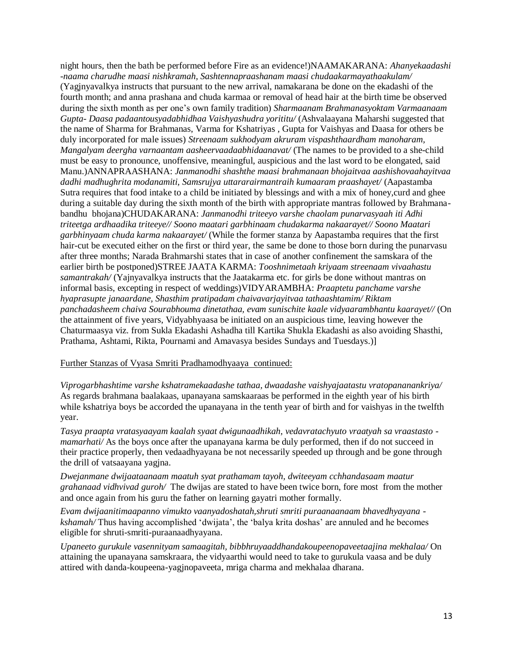night hours, then the bath be performed before Fire as an evidence!)NAAMAKARANA: *Ahanyekaadashi -naama charudhe maasi nishkramah, Sashtennapraashanam maasi chudaakarmayathaakulam/*  (Yagjnyavalkya instructs that pursuant to the new arrival, namakarana be done on the ekadashi of the fourth month; and anna prashana and chuda karmaa or removal of head hair at the birth time be observed during the sixth month as per one's own family tradition) *Sharmaanam Brahmanasyoktam Varmaanaam Gupta- Daasa padaantousyadabhidhaa Vaishyashudra yorititu/* (Ashvalaayana Maharshi suggested that the name of Sharma for Brahmanas, Varma for Kshatriyas , Gupta for Vaishyas and Daasa for others be duly incorporated for male issues) *Streenaam sukhodyam akruram vispashthaardham manoharam, Mangalyam deergha varnaantam aasheervaadaabhidaanavat/* (The names to be provided to a she-child must be easy to pronounce, unoffensive, meaningful, auspicious and the last word to be elongated, said Manu.)ANNAPRAASHANA: *Janmanodhi shashthe maasi brahmanaan bhojaitvaa aashishovaahayitvaa dadhi madhughrita modanamiti, Samsrujya uttararairmantraih kumaaram praashayet/* (Aapastamba Sutra requires that food intake to a child be initiated by blessings and with a mix of honey,curd and ghee during a suitable day during the sixth month of the birth with appropriate mantras followed by Brahmanabandhu bhojana)CHUDAKARANA: *Janmanodhi triteeyo varshe chaolam punarvasyaah iti Adhi triteetga ardhaadika triteeye// Soono maatari garbhinaam chudakarma nakaarayet// Soono Maatari garbhinyaam chuda karma nakaarayet/* (While the former stanza by Aapastamba requires that the first hair-cut be executed either on the first or third year, the same be done to those born during the punarvasu after three months; Narada Brahmarshi states that in case of another confinement the samskara of the earlier birth be postponed)STREE JAATA KARMA: *Tooshnimetaah kriyaam streenaam vivaahastu samantrakah/* (Yajnyavalkya instructs that the Jaatakarma etc. for girls be done without mantras on informal basis, excepting in respect of weddings)VIDYARAMBHA: *Praaptetu panchame varshe hyaprasupte janaardane, Shasthim pratipadam chaivavarjayitvaa tathaashtamim/ Riktam panchadasheem chaiva Sourabhouma dinetathaa, evam sunischite kaale vidyaarambhantu kaarayet//* (On the attainment of five years, Vidyabhyaasa be initiated on an auspicious time, leaving however the Chaturmaasya viz. from Sukla Ekadashi Ashadha till Kartika Shukla Ekadashi as also avoiding Shasthi, Prathama, Ashtami, Rikta, Pournami and Amavasya besides Sundays and Tuesdays.)]

# Further Stanzas of Vyasa Smriti Pradhamodhyaaya continued:

*Viprogarbhashtime varshe kshatramekaadashe tathaa, dwaadashe vaishyajaatastu vratopananankriya/*  As regards brahmana baalakaas, upanayana samskaaraas be performed in the eighth year of his birth while kshatriya boys be accorded the upanayana in the tenth year of birth and for vaishyas in the twelfth year.

*Tasya praapta vratasyaayam kaalah syaat dwigunaadhikah, vedavratachyuto vraatyah sa vraastasto mamarhati*/ As the boys once after the upanayana karma be duly performed, then if do not succeed in their practice properly, then vedaadhyayana be not necessarily speeded up through and be gone through the drill of vatsaayana yagjna.

*Dwejanmane dwijaataanaam maatuh syat prathamam tayoh, dwiteeyam cchhandasaam maatur grahanaad vidhvivad guroh/* The dwijas are stated to have been twice born, fore most from the mother and once again from his guru the father on learning gayatri mother formally.

*Evam dwijaanitimaapanno vimukto vaanyadoshatah,shruti smriti puraanaanaam bhavedhyayana kshamah/* Thus having accomplished 'dwijata', the 'balya krita doshas' are annuled and he becomes eligible for shruti-smriti-puraanaadhyayana.

*Upaneeto gurukule vasennityam samaagitah, bibbhruyaaddhandakoupeenopaveetaajina mekhalaa/* On attaining the upanayana samskraara, the vidyaarthi would need to take to gurukula vaasa and be duly attired with danda-koupeena-yagjnopaveeta, mriga charma and mekhalaa dharana.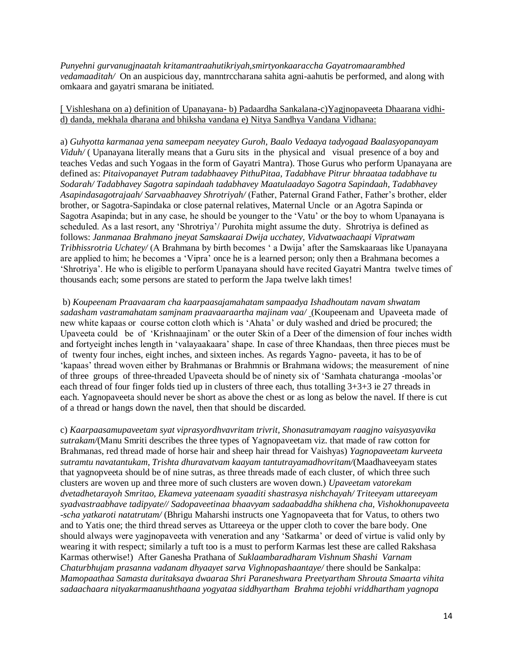*Punyehni gurvanugjnaatah kritamantraahutikriyah,smirtyonkaaraccha Gayatromaarambhed vedamaaditah/* On an auspicious day, manntrccharana sahita agni-aahutis be performed, and along with omkaara and gayatri smarana be initiated.

[ Vishleshana on a) definition of Upanayana- b) Padaardha Sankalana-c)Yagjnopaveeta Dhaarana vidhid) danda, mekhala dharana and bhiksha vandana e) Nitya Sandhya Vandana Vidhana:

a) *Guhyotta karmanaa yena sameepam neeyatey Guroh, Baalo Vedaaya tadyogaad Baalasyopanayam Viduh/* ( Upanayana literally means that a Guru sits in the physical and visual presence of a boy and teaches Vedas and such Yogaas in the form of Gayatri Mantra). Those Gurus who perform Upanayana are defined as: *Pitaivopanayet Putram tadabhaavey PithuPitaa, Tadabhave Pitrur bhraataa tadabhave tu Sodarah/ Tadabhavey Sagotra sapindaah tadabhavey Maatulaadayo Sagotra Sapindaah, Tadabhavey Asapindasagotrajaah/ Sarvaabhaavey Shrotriyah/* (Father, Paternal Grand Father, Father's brother, elder brother, or Sagotra-Sapindaka or close paternal relatives, Maternal Uncle or an Agotra Sapinda or Sagotra Asapinda; but in any case, he should be younger to the 'Vatu' or the boy to whom Upanayana is scheduled. As a last resort, any 'Shrotriya'/ Purohita might assume the duty. Shrotriya is defined as follows: *Janmanaa Brahmano jneyat Samskaarai Dwija ucchatey, Vidvatwaachaapi Vipratwam Tribhissrotria Uchatey/* (A Brahmana by birth becomes ' a Dwija' after the Samskaaraas like Upanayana are applied to him; he becomes a 'Vipra' once he is a learned person; only then a Brahmana becomes a 'Shrotriya'. He who is eligible to perform Upanayana should have recited Gayatri Mantra twelve times of thousands each; some persons are stated to perform the Japa twelve lakh times!

b) *Koupeenam Praavaaram cha kaarpaasajamahatam sampaadya Ishadhoutam navam shwatam sadasham vastramahatam samjnam praavaaraartha majinam vaa/* (Koupeenam and Upaveeta made of new white kapaas or course cotton cloth which is 'Ahata' or duly washed and dried be procured; the Upaveeta could be of 'Krishnaajinam' or the outer Skin of a Deer of the dimension of four inches width and fortyeight inches length in 'valayaakaara' shape. In case of three Khandaas, then three pieces must be of twenty four inches, eight inches, and sixteen inches. As regards Yagno- paveeta, it has to be of 'kapaas' thread woven either by Brahmanas or Brahmnis or Brahmana widows; the measurement of nine of three groups of three-threaded Upaveeta should be of ninety six of 'Samhata chaturanga -moolas'or each thread of four finger folds tied up in clusters of three each, thus totalling 3+3+3 ie 27 threads in each. Yagnopaveeta should never be short as above the chest or as long as below the navel. If there is cut of a thread or hangs down the navel, then that should be discarded.

c) *Kaarpaasamupaveetam syat viprasyordhvavritam trivrit, Shonasutramayam raagjno vaisyasyavika sutrakam/*(Manu Smriti describes the three types of Yagnopaveetam viz. that made of raw cotton for Brahmanas, red thread made of horse hair and sheep hair thread for Vaishyas) *Yagnopaveetam kurveeta sutramtu navatantukam, Trishta dhuravatvam kaayam tantutrayamadhovritam/*(Maadhaveeyam states that yagnopveeta should be of nine sutras, as three threads made of each cluster, of which three such clusters are woven up and three more of such clusters are woven down.) *Upaveetam vatorekam dvetadhetarayoh Smritao, Ekameva yateenaam syaaditi shastrasya nishchayah/ Triteeyam uttareeyam syadvastraabhave tadipyate// Sadopaveetinaa bhaavyam sadaabaddha shikhena cha, Vishokhonupaveeta -scha yatkaroti natatrutam/* (Bhrigu Maharshi instructs one Yagnopaveeta that for Vatus, to others two and to Yatis one; the third thread serves as Uttareeya or the upper cloth to cover the bare body. One should always were yagjnopaveeta with veneration and any 'Satkarma' or deed of virtue is valid only by wearing it with respect; similarly a tuft too is a must to perform Karmas lest these are called Rakshasa Karmas otherwise!) After Ganesha Prathana of *Suklaambaradharam Vishnum Shashi Varnam Chaturbhujam prasanna vadanam dhyaayet sarva Vighnopashaantaye/* there should be Sankalpa: *Mamopaathaa Samasta duritaksaya dwaaraa Shri Paraneshwara Preetyartham Shrouta Smaarta vihita sadaachaara nityakarmaanushthaana yogyataa siddhyartham Brahma tejobhi vriddhartham yagnopa*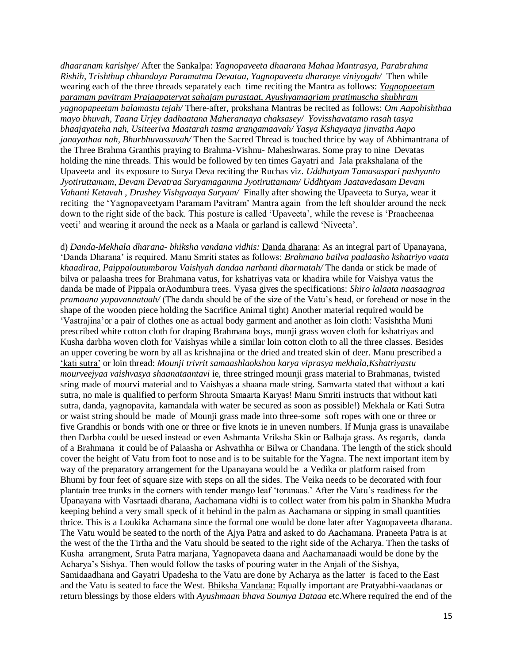*dhaaranam karishye/* After the Sankalpa: *Yagnopaveeta dhaarana Mahaa Mantrasya, Parabrahma Rishih, Trishthup chhandaya Paramatma Devataa, Yagnopaveeta dharanye viniyogah/* Then while wearing each of the three threads separately each time reciting the Mantra as follows: *Yagnopaeetam paramam pavitram Prajaapateryat sahajam purastaat, Ayushyamagriam pratimuscha shubhram yagnopapeetam balamastu tejah/* There-after, prokshana Mantras be recited as follows: *Om Aapohishthaa mayo bhuvah, Taana Urjey dadhaatana Maheranaaya chaksasey/ Yovisshavatamo rasah tasya bhaajayateha nah, Usiteeriva Maatarah tasma arangamaavah/ Yasya Kshayaaya jinvatha Aapo janayathaa nah, Bhurbhuvassuvah/* Then the Sacred Thread is touched thrice by way of Abhimantrana of the Three Brahma Granthis praying to Brahma-Vishnu- Maheshwaras. Some pray to nine Devatas holding the nine threads. This would be followed by ten times Gayatri and Jala prakshalana of the Upaveeta and its exposure to Surya Deva reciting the Ruchas viz. *Uddhutyam Tamasaspari pashyanto Jyotiruttamam*, *Devam Devatraa Suryamaganma Jyotiruttamam/ Uddhtyam Jaatavedasam Devam Vahanti Ketavah , Drushey Vishgvaaya Suryam/* Finally after showing the Upaveeta to Surya, wear it reciting the 'Yagnopaveetyam Paramam Pavitram' Mantra again from the left shoulder around the neck down to the right side of the back. This posture is called 'Upaveeta', while the revese is 'Praacheenaa veeti' and wearing it around the neck as a Maala or garland is callewd 'Niveeta'.

d) *Danda-Mekhala dharana- bhiksha vandana vidhis:* Danda dharana: As an integral part of Upanayana, 'Danda Dharana' is required. Manu Smriti states as follows: *Brahmano bailva paalaasho kshatriyo vaata khaadiraa, Paippaloutumbarou Vaishyah dandaa narhanti dharmatah/* The danda or stick be made of bilva or palaasha trees for Brahmana vatus, for kshatriyas vata or khadira while for Vaishya vatus the danda be made of Pippala orAodumbura trees. Vyasa gives the specifications: *Shiro lalaata naasaagraa pramaana yupavannataah/* (The danda should be of the size of the Vatu's head, or forehead or nose in the shape of the wooden piece holding the Sacrifice Animal tight) Another material required would be 'Vastrajina'or a pair of clothes one as actual body garment and another as loin cloth: Vasishtha Muni prescribed white cotton cloth for draping Brahmana boys, munji grass woven cloth for kshatriyas and Kusha darbha woven cloth for Vaishyas while a similar loin cotton cloth to all the three classes. Besides an upper covering be worn by all as krishnajina or the dried and treated skin of deer. Manu prescribed a 'kati sutra' or loin thread: *Mounji trivrit samaashlaokshou karya viprasya mekhala,Kshatriyastu mourveejyaa vaishvasya shaanataantavi* ie, three stringed mounji grass material to Brahmanas, twisted sring made of mourvi material and to Vaishyas a shaana made string. Samvarta stated that without a kati sutra, no male is qualified to perform Shrouta Smaarta Karyas! Manu Smriti instructs that without kati sutra, danda, yagnopavita, kamandala with water be secured as soon as possible!) Mekhala or Kati Sutra or waist string should be made of Mounji grass made into three-some soft ropes with one or three or five Grandhis or bonds with one or three or five knots ie in uneven numbers. If Munja grass is unavailabe then Darbha could be uesed instead or even Ashmanta Vriksha Skin or Balbaja grass. As regards, danda of a Brahmana it could be of Palaasha or Ashvathha or Bilwa or Chandana. The length of the stick should cover the height of Vatu from foot to nose and is to be suitable for the Yagna. The next important item by way of the preparatory arrangement for the Upanayana would be a Vedika or platform raised from Bhumi by four feet of square size with steps on all the sides. The Veika needs to be decorated with four plantain tree trunks in the corners with tender mango leaf 'toranaas.' After the Vatu's readiness for the Upanayana with Vasrtaadi dharana, Aachamana vidhi is to collect water from his palm in Shankha Mudra keeping behind a very small speck of it behind in the palm as Aachamana or sipping in small quantities thrice. This is a Loukika Achamana since the formal one would be done later after Yagnopaveeta dharana. The Vatu would be seated to the north of the Ajya Patra and asked to do Aachamana. Praneeta Patra is at the west of the the Tirtha and the Vatu should be seated to the right side of the Acharya. Then the tasks of Kusha arrangment, Sruta Patra marjana, Yagnopaveta daana and Aachamanaadi would be done by the Acharya's Sishya. Then would follow the tasks of pouring water in the Anjali of the Sishya, Samidaadhana and Gayatri Upadesha to the Vatu are done by Acharya as the latter is faced to the East and the Vatu is seated to face the West. Bhiksha Vandana: Equally important are Pratyabhi-vaadanas or return blessings by those elders with *Ayushmaan bhava Soumya Dataaa* etc.Where required the end of the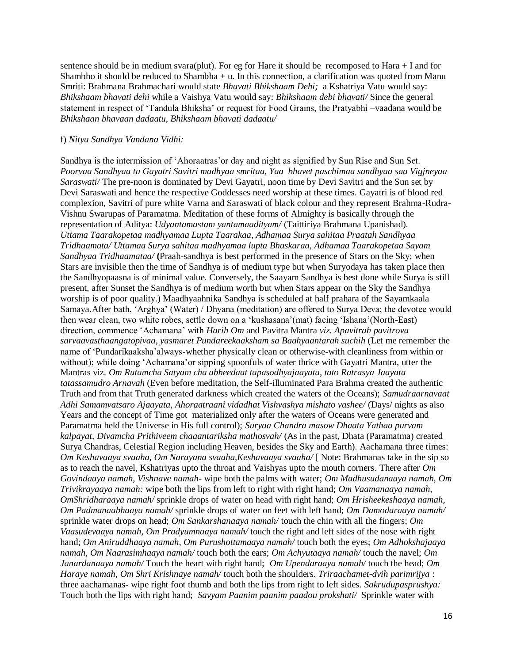sentence should be in medium svara(plut). For eg for Hare it should be recomposed to Hara  $+$  I and for Shambho it should be reduced to Shambha  $+$  u. In this connection, a clarification was quoted from Manu Smriti: Brahmana Brahmachari would state *Bhavati Bhikshaam Dehi;* a Kshatriya Vatu would say: *Bhikshaam bhavati dehi* while a Vaishya Vatu would say: *Bhikshaam debi bhavati/* Since the general statement in respect of 'Tandula Bhiksha' or request for Food Grains, the Pratyabhi –vaadana would be *Bhikshaan bhavaan dadaatu, Bhikshaam bhavati dadaatu/*

#### f) *Nitya Sandhya Vandana Vidhi:*

Sandhya is the intermission of 'Ahoraatras'or day and night as signified by Sun Rise and Sun Set. *Poorvaa Sandhyaa tu Gayatri Savitri madhyaa smritaa, Yaa bhavet paschimaa sandhyaa saa Vigjneyaa Saraswati/* The pre-noon is dominated by Devi Gayatri, noon time by Devi Savitri and the Sun set by Devi Saraswati and hence the respective Goddesses need worship at these times. Gayatri is of blood red complexion, Savitri of pure white Varna and Saraswati of black colour and they represent Brahma-Rudra-Vishnu Swarupas of Paramatma. Meditation of these forms of Almighty is basically through the representation of Aditya: *Udyantamastam yantamaadityam/* (Taittiriya Brahmana Upanishad). *Uttama Taarakopetaa madhyamaa Lupta Taarakaa, Adhamaa Surya sahitaa Praatah Sandhyaa Tridhaamata/ Uttamaa Surya sahitaa madhyamaa lupta Bhaskaraa, Adhamaa Taarakopetaa Sayam Sandhyaa Tridhaamataa/* **(**Praah-sandhya is best performed in the presence of Stars on the Sky; when Stars are invisible then the time of Sandhya is of medium type but when Suryodaya has taken place then the Sandhyopaasna is of minimal value. Conversely, the Saayam Sandhya is best done while Surya is still present, after Sunset the Sandhya is of medium worth but when Stars appear on the Sky the Sandhya worship is of poor quality.) Maadhyaahnika Sandhya is scheduled at half prahara of the Sayamkaala Samaya.After bath, 'Arghya' (Water) / Dhyana (meditation) are offered to Surya Deva; the devotee would then wear clean, two white robes, settle down on a 'kushasana'(mat) facing 'Ishana'(North-East) direction, commence 'Achamana' with *Harih Om* and Pavitra Mantra *viz. Apavitrah pavitrova sarvaavasthaangatopivaa, yasmaret Pundareekaaksham sa Baahyaantarah suchih* (Let me remember the name of 'Pundarikaaksha'always-whether physically clean or otherwise-with cleanliness from within or without); while doing 'Achamana'or sipping spoonfuls of water thrice with Gayatri Mantra, utter the Mantras viz. *Om Rutamcha Satyam cha abheedaat tapasodhyajaayata, tato Ratrasya Jaayata tatassamudro Arnavah* (Even before meditation, the Self-illuminated Para Brahma created the authentic Truth and from that Truth generated darkness which created the waters of the Oceans); *Samudraarnavaat Adhi Samamvatsaro Ajaayata, Ahoraatraani vidadhat Vishvashya mishato vashee/* (Days/ nights as also Years and the concept of Time got materialized only after the waters of Oceans were generated and Paramatma held the Universe in His full control); *Suryaa Chandra masow Dhaata Yathaa purvam kalpayat, Divamcha Prithiveem chaaantariksha mathosvah/* (As in the past, Dhata (Paramatma) created Surya Chandras, Celestial Region including Heaven, besides the Sky and Earth). Aachamana three times: *Om Keshavaaya svaaha, Om Narayana svaaha,Keshavaaya svaaha/* [ Note: Brahmanas take in the sip so as to reach the navel, Kshatriyas upto the throat and Vaishyas upto the mouth corners. There after *Om Govindaaya namah, Vishnave namah-* wipe both the palms with water; *Om Madhusudanaaya namah, Om Trivikrayaaya namah:* wipe both the lips from left to right with right hand; *Om Vaamanaaya namah, OmShridharaaya namah/* sprinkle drops of water on head with right hand; *Om Hrisheekeshaaya namah, Om Padmanaabhaaya namah/* sprinkle drops of water on feet with left hand; *Om Damodaraaya namah/*  sprinkle water drops on head; *Om Sankarshanaaya namah/* touch the chin with all the fingers; *Om Vaasudevaaya namah, Om Pradyumnaaya namah/* touch the right and left sides of the nose with right hand; *Om Aniruddhaaya namah, Om Purushottamaaya namah/* touch both the eyes; *Om Adhokshajaaya namah, Om Naarasimhaaya namah/* touch both the ears; *Om Achyutaaya namah/* touch the navel; *Om Janardanaaya namah/* Touch the heart with right hand; *Om Upendaraaya namah/* touch the head; *Om Haraye namah, Om Shri Krishnaye namah/* touch both the shoulders. *Triraachamet-dvih parimrijya* : three aachamanas- wipe right foot thumb and both the lips from right to left sides. *Sakrudupasprushya:*  Touch both the lips with right hand; *Savyam Paanim paanim paadou prokshati/* Sprinkle water with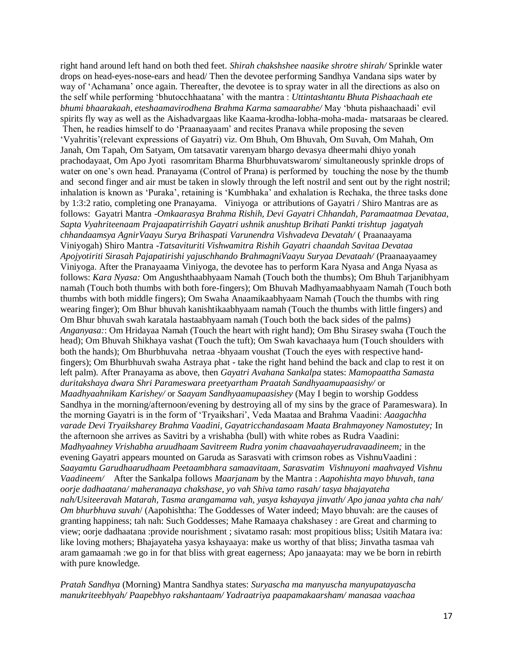right hand around left hand on both thed feet. *Shirah chakshshee naasike shrotre shirah/* Sprinkle water drops on head-eyes-nose-ears and head/ Then the devotee performing Sandhya Vandana sips water by way of 'Achamana' once again. Thereafter, the devotee is to spray water in all the directions as also on the self while performing 'bhutocchhaatana' with the mantra : *Uttintashtantu Bhuta Pishaachaah ete bhumi bhaarakaah, eteshaamavirodhena Brahma Karma samaarabhe/* May 'bhuta pishaachaadi' evil spirits fly way as well as the Aishadvargaas like Kaama-krodha-lobha-moha-mada- matsaraas be cleared. Then, he readies himself to do 'Praanaayaam' and recites Pranava while proposing the seven 'Vyahritis'(relevant expressions of Gayatri) viz. Om Bhuh, Om Bhuvah, Om Suvah, Om Mahah, Om Janah, Om Tapah, Om Satyam, Om tatsavatir varenyam bhargo devasya dheermahi dhiyo yonah prachodayaat, Om Apo Jyoti rasomritam Bharma Bhurbhuvatswarom/ simultaneously sprinkle drops of water on one's own head. Pranayama (Control of Prana) is performed by touching the nose by the thumb and second finger and air must be taken in slowly through the left nostril and sent out by the right nostril; inhalation is known as 'Puraka', retaining is 'Kumbhaka' and exhalation is Rechaka, the three tasks done by 1:3:2 ratio, completing one Pranayama. Viniyoga or attributions of Gayatri / Shiro Mantras are as follows: Gayatri Mantra -*Omkaarasya Brahma Rishih, Devi Gayatri Chhandah, Paramaatmaa Devataa, Sapta Vyahriteenaam Prajaapatirrishih Gayatri ushnik anushtup Brihati Pankti trishtup jagatyah chhandaamsya AgnirVaayu Surya Brihaspati Varunendra Vishvadeva Devatah/* ( Praanaayama Viniyogah) Shiro Mantra -*Tatsavituriti Vishwamitra Rishih Gayatri chaandah Savitaa Devataa Apojyotiriti Sirasah Pajapatirishi yajuschhando BrahmagniVaayu Suryaa Devataah/* (Praanaayaamey Viniyoga. After the Pranayaama Viniyoga, the devotee has to perform Kara Nyasa and Anga Nyasa as follows: *Kara Nyasa:* Om Angushthaabhyaam Namah (Touch both the thumbs); Om Bhuh Tarjanibhyam namah (Touch both thumbs with both fore-fingers); Om Bhuvah Madhyamaabhyaam Namah (Touch both thumbs with both middle fingers); Om Swaha Anaamikaabhyaam Namah (Touch the thumbs with ring wearing finger); Om Bhur bhuvah kanishtikaabhyaam namah (Touch the thumbs with little fingers) and Om Bhur bhuvah swah karatala hastaabhyaam namah (Touch both the back sides of the palms) *Anganyasa:*: Om Hridayaa Namah (Touch the heart with right hand); Om Bhu Sirasey swaha (Touch the head); Om Bhuvah Shikhaya vashat (Touch the tuft); Om Swah kavachaaya hum (Touch shoulders with both the hands); Om Bhurbhuvaha netraa -bhyaam voushat (Touch the eyes with respective handfingers); Om Bhurbhuvah swaha Astraya phat - take the right hand behind the back and clap to rest it on left palm). After Pranayama as above, then *Gayatri Avahana Sankalpa* states: *Mamopaattha Samasta duritakshaya dwara Shri Parameswara preetyartham Praatah Sandhyaamupaasishy/* or *Maadhyaahnikam Karishey/* or *Saayam Sandhyaamupaasishey* (May I begin to worship Goddess Sandhya in the morning/afternoon/evening by destroying all of my sins by the grace of Parameswara). In the morning Gayatri is in the form of 'Tryaikshari', Veda Maataa and Brahma Vaadini: *Aaagachha varade Devi Tryaiksharey Brahma Vaadini, Gayatricchandasaam Maata Brahmayoney Namostutey;* In the afternoon she arrives as Savitri by a vrishabha (bull) with white robes as Rudra Vaadini: *Madhyaahney Vrishabha aruudhaam Savitreem Rudra yonim chaavaahayerudravaadineem;* in the evening Gayatri appears mounted on Garuda as Sarasvati with crimson robes as VishnuVaadini : *Saayamtu Garudhaarudhaam Peetaambhara samaavitaam, Sarasvatim Vishnuyoni maahvayed Vishnu Vaadineem/* After the Sankalpa follows *Maarjanam* by the Mantra : *Aapohishta mayo bhuvah, tana oorje dadhaatana/ maheranaaya chakshase, yo vah Shiva tamo rasah/ tasya bhajayateha nah/Usiteeravah Matarah, Tasma arangamama vah, yasya kshayaya jinvath/ Apo janaa yahta cha nah/ Om bhurbhuva suvah*/ (Aapohishtha: The Goddesses of Water indeed; Mayo bhuvah: are the causes of granting happiness; tah nah: Such Goddesses; Mahe Ramaaya chakshasey : are Great and charming to view; oorje dadhaatana :provide nourishment ; sivatamo rasah: most propitious bliss; Usitih Matara iva: like loving mothers; Bhajayateha yasya kshayaaya: make us worthy of that bliss; Jinvatha tasmaa vah aram gamaamah :we go in for that bliss with great eagerness; Apo janaayata: may we be born in rebirth with pure knowledge.

*Pratah Sandhya* (Morning) Mantra Sandhya states: *Suryascha ma manyuscha manyupatayascha manukriteebhyah/ Paapebhyo rakshantaam/ Yadraatriya paapamakaarsham/ manasaa vaachaa*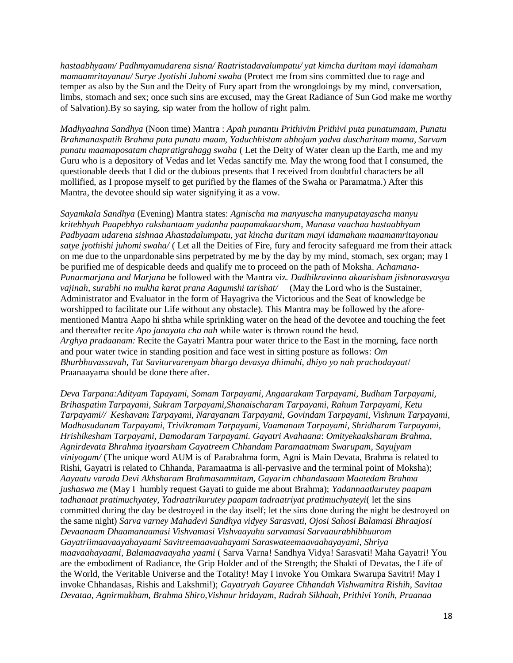*hastaabhyaam/ Padhmyamudarena sisna/ Raatristadavalumpatu/ yat kimcha duritam mayi idamaham mamaamritayanau/ Surye Jyotishi Juhomi swaha* (Protect me from sins committed due to rage and temper as also by the Sun and the Deity of Fury apart from the wrongdoings by my mind, conversation, limbs, stomach and sex; once such sins are excused, may the Great Radiance of Sun God make me worthy of Salvation).By so saying, sip water from the hollow of right palm.

*Madhyaahna Sandhya* (Noon time) Mantra : *Apah punantu Prithivim Prithivi puta punatumaam, Punatu Brahmanaspatih Brahma puta punatu maam, Yaduchhistam abhojam yadva duscharitam mama, Sarvam punatu maamaposatam chapratigrahagg swaha* ( Let the Deity of Water clean up the Earth, me and my Guru who is a depository of Vedas and let Vedas sanctify me. May the wrong food that I consumed, the questionable deeds that I did or the dubious presents that I received from doubtful characters be all mollified, as I propose myself to get purified by the flames of the Swaha or Paramatma.) After this Mantra, the devotee should sip water signifying it as a vow.

*Sayamkala Sandhya* (Evening) Mantra states: *Agnischa ma manyuscha manyupatayascha manyu kritebhyah Paapebhyo rakshantaam yadanha paapamakaarsham, Manasa vaachaa hastaabhyam Padbyaam udarena sishnaa Ahastadalumpatu, yat kincha duritam mayi idamaham maamamritayonau satye jyothishi juhomi swaha/* ( Let all the Deities of Fire, fury and ferocity safeguard me from their attack on me due to the unpardonable sins perpetrated by me by the day by my mind, stomach, sex organ; may I be purified me of despicable deeds and qualify me to proceed on the path of Moksha. *Achamana-Punarmarjana and Marjana* be followed with the Mantra viz. *Dadhikravinno akaarisham jishnorasvasya vajinah, surabhi no mukha karat prana Aagumshi tarishat/* (May the Lord who is the Sustainer, Administrator and Evaluator in the form of Hayagriva the Victorious and the Seat of knowledge be worshipped to facilitate our Life without any obstacle). This Mantra may be followed by the aforementioned Mantra Aapo hi shtha while sprinkling water on the head of the devotee and touching the feet and thereafter recite *Apo janayata cha nah* while water is thrown round the head. *Arghya pradaanam:* Recite the Gayatri Mantra pour water thrice to the East in the morning, face north and pour water twice in standing position and face west in sitting posture as follows: *Om Bhurbhuvassavah, Tat Saviturvarenyam bhargo devasya dhimahi, dhiyo yo nah prachodayaat*/ Praanaayama should be done there after.

*Deva Tarpana:Adityam Tapayami, Somam Tarpayami, Angaarakam Tarpayami, Budham Tarpayami, Brihaspatim Tarpayami, Sukram Tarpayami,Shanaischaram Tarpayami, Rahum Tarpayami, Ketu Tarpayami// Keshavam Tarpayami, Narayanam Tarpayami, Govindam Tarpayami, Vishnum Tarpayami, Madhusudanam Tarpayami, Trivikramam Tarpayami, Vaamanam Tarpayami, Shridharam Tarpayami, Hrishikesham Tarpayami, Damodaram Tarpayami. Gayatri Avahaana*: *Omityekaaksharam Brahma, Agnirdevata Bhrahma ityaarsham Gayatreem Chhandam Paramaatmam Swarupam, Sayujyam viniyogam/* (The unique word AUM is of Parabrahma form, Agni is Main Devata, Brahma is related to Rishi, Gayatri is related to Chhanda, Paramaatma is all-pervasive and the terminal point of Moksha); *Aayaatu varada Devi Akhsharam Brahmasammitam, Gayarim chhandasaam Maatedam Brahma jushaswa me* (May I humbly request Gayati to guide me about Brahma); *Yadannaatkurutey paapam tadhanaat pratimuchyatey, Yadraatrikurutey paapam tadraatriyat pratimuchyateyi*( let the sins committed during the day be destroyed in the day itself; let the sins done during the night be destroyed on the same night) *Sarva varney Mahadevi Sandhya vidyey Sarasvati, Ojosi Sahosi Balamasi Bhraajosi Devaanaam Dhaamanaamasi Vishvamasi Vishvaayuhu sarvamasi Sarvaaurabhibhuurom Gayatriimaavaayahayaami Savitreemaavaahayami Saraswateemaavaahayayami, Shriya maavaahayaami, Balamaavaayaha yaami* ( Sarva Varna! Sandhya Vidya! Sarasvati! Maha Gayatri! You are the embodiment of Radiance, the Grip Holder and of the Strength; the Shakti of Devatas, the Life of the World, the Veritable Universe and the Totality! May I invoke You Omkara Swarupa Savitri! May I invoke Chhandasas, Rishis and Lakshmi!); *Gayatryah Gayaree Chhandah Vishwamitra Rishih, Savitaa Devataa, Agnirmukham, Brahma Shiro,Vishnur hridayam, Radrah Sikhaah, Prithivi Yonih, Praanaa*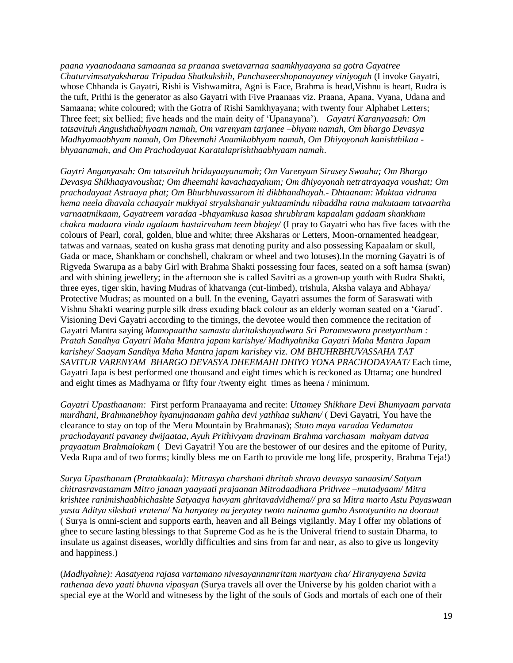*paana vyaanodaana samaanaa sa praanaa swetavarnaa saamkhyaayana sa gotra Gayatree Chaturvimsatyaksharaa Tripadaa Shatkukshih, Panchaseershopanayaney viniyogah* (I invoke Gayatri, whose Chhanda is Gayatri, Rishi is Vishwamitra, Agni is Face, Brahma is head,Vishnu is heart, Rudra is the tuft, Prithi is the generator as also Gayatri with Five Praanaas viz. Praana, Apana, Vyana, Udana and Samaana; white coloured; with the Gotra of Rishi Samkhyayana; with twenty four Alphabet Letters; Three feet; six bellied; five heads and the main deity of 'Upanayana'). *Gayatri Karanyaasah: Om tatsavituh Angushthabhyaam namah, Om varenyam tarjanee –bhyam namah, Om bhargo Devasya Madhyamaabhyam namah, Om Dheemahi Anamikabhyam namah, Om Dhiyoyonah kanishthikaa bhyaanamah, and Om Prachodayaat Karatalaprishthaabhyaam namah*.

*Gaytri Anganyasah: Om tatsavituh hridayaayanamah; Om Varenyam Sirasey Swaaha; Om Bhargo Devasya Shikhaayavoushat; Om dheemahi kavachaayahum; Om dhiyoyonah netratrayaaya voushat; Om prachodayaat Astraaya phat; Om Bhurbhuvassurom iti dikbhandhayah.- Dhtaanam: Muktaa vidruma hema neela dhavala cchaayair mukhyai stryakshanair yuktaamindu nibaddha ratna makutaam tatvaartha varnaatmikaam, Gayatreem varadaa -bhayamkusa kasaa shrubhram kapaalam gadaam shankham chakra madaara vinda ugalaam hastairvaham teem bhajey/* (I pray to Gayatri who has five faces with the colours of Pearl, coral, golden, blue and white; three Aksharas or Letters, Moon-ornamented headgear, tatwas and varnaas, seated on kusha grass mat denoting purity and also possessing Kapaalam or skull, Gada or mace, Shankham or conchshell, chakram or wheel and two lotuses).In the morning Gayatri is of Rigveda Swarupa as a baby Girl with Brahma Shakti possessing four faces, seated on a soft hamsa (swan) and with shining jewellery; in the afternoon she is called Savitri as a grown-up youth with Rudra Shakti, three eyes, tiger skin, having Mudras of khatvanga (cut-limbed), trishula, Aksha valaya and Abhaya/ Protective Mudras; as mounted on a bull. In the evening, Gayatri assumes the form of Saraswati with Vishnu Shakti wearing purple silk dress exuding black colour as an elderly woman seated on a 'Garud'. Visioning Devi Gayatri according to the timings, the devotee would then commence the recitation of Gayatri Mantra saying *Mamopaattha samasta duritakshayadwara Sri Parameswara preetyartham : Pratah Sandhya Gayatri Maha Mantra japam karishye/ Madhyahnika Gayatri Maha Mantra Japam karishey/ Saayam Sandhya Maha Mantra japam karishey* viz. *OM BHUHRBHUVASSAHA TAT SAVITUR VARENYAM BHARGO DEVASYA DHEEMAHI DHIYO YONA PRACHODAYAAT/* Each time, Gayatri Japa is best performed one thousand and eight times which is reckoned as Uttama; one hundred and eight times as Madhyama or fifty four /twenty eight times as heena / minimum.

*Gayatri Upasthaanam:* First perform Pranaayama and recite: *Uttamey Shikhare Devi Bhumyaam parvata murdhani, Brahmanebhoy hyanujnaanam gahha devi yathhaa sukham/* ( Devi Gayatri, You have the clearance to stay on top of the Meru Mountain by Brahmanas); *Stuto maya varadaa Vedamataa prachodayanti pavaney dwijaataa, Ayuh Prithivyam dravinam Brahma varchasam mahyam datvaa prayaatum Brahmalokam* ( Devi Gayatri! You are the bestower of our desires and the epitome of Purity, Veda Rupa and of two forms; kindly bless me on Earth to provide me long life, prosperity, Brahma Teja!)

*Surya Upasthanam (Pratahkaala): Mitrasya charshani dhritah shravo devasya sanaasim/ Satyam chitrasravastamam Mitro janaan yaayaati prajaanan Mitrodaadhara Prithvee –mutadyaam/ Mitra krishtee ranimishaabhichashte Satyaaya havyam ghritavadvidhema// pra sa Mitra marto Astu Payaswaan yasta Aditya sikshati vratena/ Na hanyatey na jeeyatey twoto nainama gumho Asnotyantito na dooraat*  ( Surya is omni-scient and supports earth, heaven and all Beings vigilantly. May I offer my oblations of ghee to secure lasting blessings to that Supreme God as he is the Univeral friend to sustain Dharma, to insulate us against diseases, worldly difficulties and sins from far and near, as also to give us longevity and happiness.)

(*Madhyahne): Aasatyena rajasa vartamano nivesayannamritam martyam cha/ Hiranyayena Savita rathenaa devo yaati bhuvna vipasyan* (Surya travels all over the Universe by his golden chariot with a special eye at the World and witnesess by the light of the souls of Gods and mortals of each one of their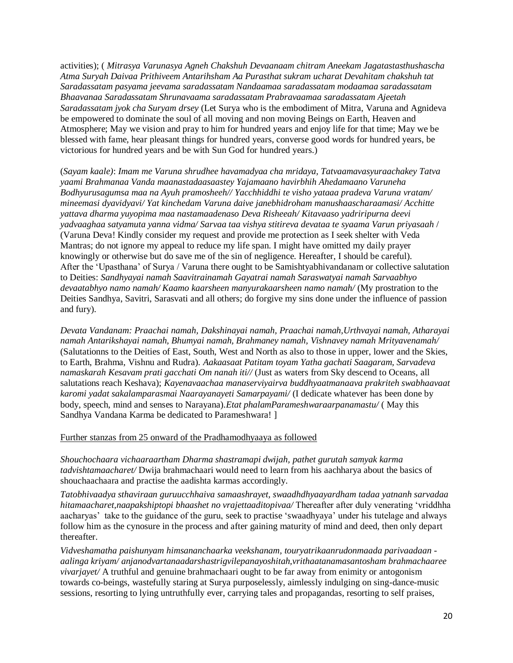activities); ( *Mitrasya Varunasya Agneh Chakshuh Devaanaam chitram Aneekam Jagatastasthushascha Atma Suryah Daivaa Prithiveem Antarihsham Aa Purasthat sukram ucharat Devahitam chakshuh tat Saradassatam pasyama jeevama saradassatam Nandaamaa saradassatam modaamaa saradassatam Bhaavanaa Saradassatam Shrunavaama saradassatam Prabravaamaa saradassatam Ajeetah Saradassatam jyok cha Suryam drsey* (Let Surya who is the embodiment of Mitra, Varuna and Agnideva be empowered to dominate the soul of all moving and non moving Beings on Earth, Heaven and Atmosphere; May we vision and pray to him for hundred years and enjoy life for that time; May we be blessed with fame, hear pleasant things for hundred years, converse good words for hundred years, be victorious for hundred years and be with Sun God for hundred years.)

(*Sayam kaale)*: *Imam me Varuna shrudhee havamadyaa cha mridaya, Tatvaamavasyuraachakey Tatva yaami Brahmanaa Vanda maanastadaasaastey Yajamaano havirbhih Ahedamaano Varuneha Bodhyurusagumsa maa na Ayuh pramosheeh// Yacchhiddhi te visho yataaa pradeva Varuna vratam/ mineemasi dyavidyavi/ Yat kinchedam Varuna daive janebhidroham manushaascharaamasi/ Acchitte yattava dharma yuyopima maa nastamaadenaso Deva Risheeah/ Kitavaaso yadriripurna deevi yadvaaghaa satyamuta yanna vidma/ Sarvaa taa vishya stitireva devataa te syaama Varun priyasaah* / (Varuna Deva! Kindly consider my request and provide me protection as I seek shelter with Veda Mantras; do not ignore my appeal to reduce my life span. I might have omitted my daily prayer knowingly or otherwise but do save me of the sin of negligence. Hereafter, I should be careful). After the 'Upasthana' of Surya / Varuna there ought to be Samishtyabhivandanam or collective salutation to Deities: *Sandhyayai namah Saavitrainamah Gayatrai namah Saraswatyai namah Sarvaabhyo devaatabhyo namo namah/ Kaamo kaarsheen manyurakaarsheen namo namah/* (My prostration to the Deities Sandhya, Savitri, Sarasvati and all others; do forgive my sins done under the influence of passion and fury).

*Devata Vandanam: Praachai namah, Dakshinayai namah, Praachai namah,Urthvayai namah, Atharayai namah Antarikshayai namah, Bhumyai namah, Brahmaney namah, Vishnavey namah Mrityavenamah/*  (Salutationns to the Deities of East, South, West and North as also to those in upper, lower and the Skies, to Earth, Brahma, Vishnu and Rudra). *Aakaasaat Patitam toyam Yatha gachati Saagaram, Sarvadeva namaskarah Kesavam prati gacchati Om nanah iti//* (Just as waters from Sky descend to Oceans, all salutations reach Keshava); *Kayenavaachaa manaserviyairva buddhyaatmanaava prakriteh swabhaavaat karomi yadat sakalamparasmai Naarayanayeti Samarpayami/* (I dedicate whatever has been done by body, speech, mind and senses to Narayana).*Etat phalamParameshwaraarpanamastu/* ( May this Sandhya Vandana Karma be dedicated to Parameshwara! ]

#### Further stanzas from 25 onward of the Pradhamodhyaaya as followed

*Shouchochaara vichaaraartham Dharma shastramapi dwijah, pathet gurutah samyak karma tadvishtamaacharet/* Dwija brahmachaari would need to learn from his aachharya about the basics of shouchaachaara and practise the aadishta karmas accordingly.

*Tatobhivaadya sthaviraan guruucchhaiva samaashrayet, swaadhdhyaayardham tadaa yatnanh sarvadaa hitamaacharet,naapakshiptopi bhaashet no vrajettaaditopivaa/* Thereafter after duly venerating 'vriddhha aacharyas' take to the guidance of the guru, seek to practise 'swaadhyaya' under his tutelage and always follow him as the cynosure in the process and after gaining maturity of mind and deed, then only depart thereafter.

*Vidveshamatha paishunyam himsananchaarka veekshanam, touryatrikaanrudonmaada parivaadaan aalinga kriyam/ anjanodvartanaadarshastrigvilepanayoshitah,vrithaatanamasantosham brahmachaaree vivarjayet/* A truthful and genuine brahmachaari ought to be far away from enimity or antogonism towards co-beings, wastefully staring at Surya purposelessly, aimlessly indulging on sing-dance-music sessions, resorting to lying untruthfully ever, carrying tales and propagandas, resorting to self praises,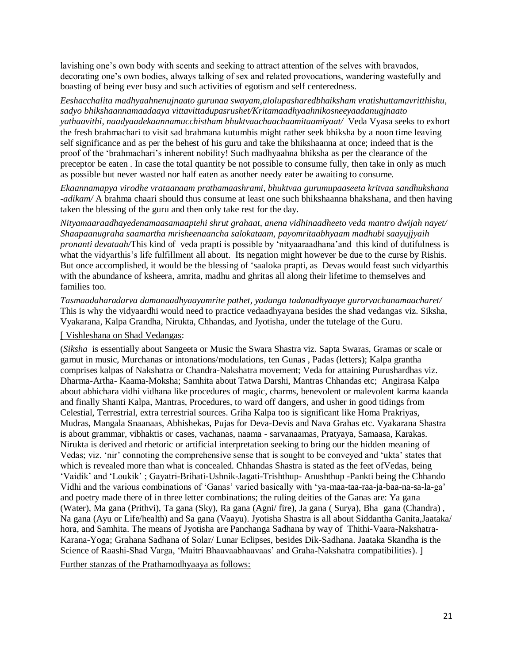lavishing one's own body with scents and seeking to attract attention of the selves with bravados, decorating one's own bodies, always talking of sex and related provocations, wandering wastefully and boasting of being ever busy and such activities of egotism and self centeredness.

*Eeshacchalita madhyaahnenujnaato gurunaa swayam,alolupasharedbhaiksham vratishuttamavritthishu, sadyo bhikshaannamaadaaya vittavittadupasrushet/Kritamaadhyaahnikosneeyaadanugjnaato yathaavithi, naadyaadekaannamucchistham bhuktvaachaachaamitaamiyaat/* Veda Vyasa seeks to exhort the fresh brahmachari to visit sad brahmana kutumbis might rather seek bhiksha by a noon time leaving self significance and as per the behest of his guru and take the bhikshaanna at once; indeed that is the proof of the 'brahmachari's inherent nobility! Such madhyaahna bhiksha as per the clearance of the preceptor be eaten . In case the total quantity be not possible to consume fully, then take in only as much as possible but never wasted nor half eaten as another needy eater be awaiting to consume.

*Ekaannamapya virodhe vrataanaam prathamaashrami, bhuktvaa gurumupaaseeta kritvaa sandhukshana -adikam/* A brahma chaari should thus consume at least one such bhikshaanna bhakshana, and then having taken the blessing of the guru and then only take rest for the day.

*Nityamaaraadhayedenamaasamaaptehi shrut grahaat, anena vidhinaadheeto veda mantro dwijah nayet/ Shaapaanugraha saamartha mrisheenaancha salokataam, payomritaabhyaam madhubi saayujjyaih pronanti devataah/*This kind of veda prapti is possible by 'nityaaraadhana'and this kind of dutifulness is what the vidyarthis's life fulfillment all about. Its negation might however be due to the curse by Rishis. But once accomplished, it would be the blessing of 'saaloka prapti, as Devas would feast such vidyarthis with the abundance of ksheera, amrita, madhu and ghritas all along their lifetime to themselves and families too.

*Tasmaadaharadarva damanaadhyaayamrite pathet, yadanga tadanadhyaaye gurorvachanamaacharet/* This is why the vidyaardhi would need to practice vedaadhyayana besides the shad vedangas viz. Siksha, Vyakarana, Kalpa Grandha, Nirukta, Chhandas, and Jyotisha, under the tutelage of the Guru.

# [ Vishleshana on Shad Vedangas:

(*Siksha* is essentially about Sangeeta or Music the Swara Shastra viz. Sapta Swaras, Gramas or scale or gamut in music, Murchanas or intonations/modulations, ten Gunas , Padas (letters); Kalpa grantha comprises kalpas of Nakshatra or Chandra-Nakshatra movement; Veda for attaining Purushardhas viz. Dharma-Artha- Kaama-Moksha; Samhita about Tatwa Darshi, Mantras Chhandas etc; Angirasa Kalpa about abhichara vidhi vidhana like procedures of magic, charms, benevolent or malevolent karma kaanda and finally Shanti Kalpa, Mantras, Procedures, to ward off dangers, and usher in good tidings from Celestial, Terrestrial, extra terrestrial sources. Griha Kalpa too is significant like Homa Prakriyas, Mudras, Mangala Snaanaas, Abhishekas, Pujas for Deva-Devis and Nava Grahas etc. Vyakarana Shastra is about grammar, vibhaktis or cases, vachanas, naama - sarvanaamas, Pratyaya, Samaasa, Karakas. Nirukta is derived and rhetoric or artificial interpretation seeking to bring our the hidden meaning of Vedas; viz. 'nir' connoting the comprehensive sense that is sought to be conveyed and 'ukta' states that which is revealed more than what is concealed. Chhandas Shastra is stated as the feet ofVedas, being 'Vaidik' and 'Loukik' ; Gayatri-Brihati-Ushnik-Jagati-Trishthup- Anushthup -Pankti being the Chhando Vidhi and the various combinations of 'Ganas' varied basically with 'ya-maa-taa-raa-ja-baa-na-sa-la-ga' and poetry made there of in three letter combinations; the ruling deities of the Ganas are: Ya gana (Water), Ma gana (Prithvi), Ta gana (Sky), Ra gana (Agni/ fire), Ja gana ( Surya), Bha gana (Chandra) , Na gana (Ayu or Life/health) and Sa gana (Vaayu). Jyotisha Shastra is all about Siddantha Ganita,Jaataka/ hora, and Samhita. The means of Jyotisha are Panchanga Sadhana by way of Thithi-Vaara-Nakshatra-Karana-Yoga; Grahana Sadhana of Solar/ Lunar Eclipses, besides Dik-Sadhana. Jaataka Skandha is the Science of Raashi-Shad Varga, 'Maitri Bhaavaabhaavaas' and Graha-Nakshatra compatibilities). ] Further stanzas of the Prathamodhyaaya as follows: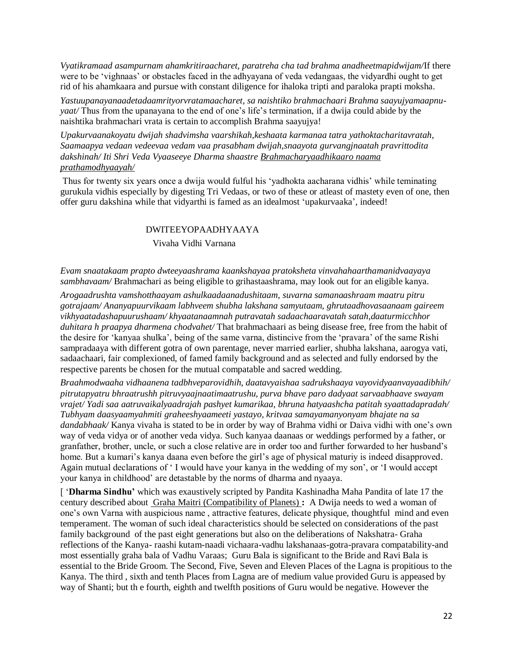*Vyatikramaad asampurnam ahamkritiraacharet, paratreha cha tad brahma anadheetmapidwijam/*If there were to be 'vighnaas' or obstacles faced in the adhyayana of veda vedangaas, the vidyardhi ought to get rid of his ahamkaara and pursue with constant diligence for ihaloka tripti and paraloka prapti moksha.

*Yastuupanayanaadetadaamrityorvratamaacharet, sa naishtiko brahmachaari Brahma saayujyamaapnuyaat/* Thus from the upanayana to the end of one's life's termination, if a dwija could abide by the naishtika brahmachari vrata is certain to accomplish Brahma saayujya!

*Upakurvaanakoyatu dwijah shadvimsha vaarshikah,keshaata karmanaa tatra yathoktacharitavratah, Saamaapya vedaan vedeevaa vedam vaa prasabham dwijah,snaayota gurvangjnaatah pravrittodita dakshinah/ Iti Shri Veda Vyaaseeye Dharma shaastre Brahmacharyaadhikaaro naama prathamodhyaayah/*

Thus for twenty six years once a dwija would fulful his 'yadhokta aacharana vidhis' while teminating gurukula vidhis especially by digesting Tri Vedaas, or two of these or atleast of mastety even of one, then offer guru dakshina while that vidyarthi is famed as an idealmost 'upakurvaaka', indeed!

#### DWITEEYOPAADHYAAYA

Vivaha Vidhi Varnana

*Evam snaatakaam prapto dwteeyaashrama kaankshayaa pratoksheta vinvahahaarthamanidvaayaya sambhavaam/* Brahmachari as being eligible to grihastaashrama, may look out for an eligible kanya.

*Arogaadrushta vamshotthaayam ashulkaadaanadushitaam, suvarna samanaashraam maatru pitru gotrajaam/ Ananyapuurvikaam labhveem shubha lakshana samyutaam, ghrutaadhovasaanaam gaireem vikhyaatadashapuurushaam/ khyaatanaamnah putravatah sadaachaaravatah satah,daaturmicchhor duhitara h praapya dharmena chodvahet/* That brahmachaari as being disease free, free from the habit of the desire for 'kanyaa shulka', being of the same varna, distincive from the 'pravara' of the same Rishi sampradaaya with different gotra of own parentage, never married earlier, shubha lakshana, aarogya vati, sadaachaari, fair complexioned, of famed family background and as selected and fully endorsed by the respective parents be chosen for the mutual compatable and sacred wedding.

*Braahmodwaaha vidhaanena tadbhveparovidhih, daatavyaishaa sadrukshaaya vayovidyaanvayaadibhih/ pitrutapyatru bhraatrushh pitruvyaajnaatimaatrushu, purva bhave paro dadyaat sarvaabhaave swayam vrajet/ Yadi saa aatruvaikalyaadrajah pashyet kumarikaa, bhruna hatyaashcha patitah syaattadapradah/ Tubhyam daasyaamyahmiti graheeshyaameeti yastayo, kritvaa samayamanyonyam bhajate na sa dandabhaak/* Kanya vivaha is stated to be in order by way of Brahma vidhi or Daiva vidhi with one's own way of veda vidya or of another veda vidya. Such kanyaa daanaas or weddings performed by a father, or granfather, brother, uncle, or such a close relative are in order too and further forwarded to her husband's home. But a kumari's kanya daana even before the girl's age of physical maturiy is indeed disapproved. Again mutual declarations of ' I would have your kanya in the wedding of my son', or 'I would accept your kanya in childhood' are detastable by the norms of dharma and nyaaya.

[ '**Dharma Sindhu'** which was exaustively scripted by Pandita Kashinadha Maha Pandita of late 17 the century described about Graha Maitri (Compatibility of Planets) **:** A Dwija needs to wed a woman of one's own Varna with auspicious name , attractive features, delicate physique, thoughtful mind and even temperament. The woman of such ideal characteristics should be selected on considerations of the past family background of the past eight generations but also on the deliberations of Nakshatra- Graha reflections of the Kanya- raashi kutam-naadi vichaara-vadhu lakshanaas-gotra-pravara compatability-and most essentially graha bala of Vadhu Varaas; Guru Bala is significant to the Bride and Ravi Bala is essential to the Bride Groom. The Second, Five, Seven and Eleven Places of the Lagna is propitious to the Kanya. The third , sixth and tenth Places from Lagna are of medium value provided Guru is appeased by way of Shanti; but th e fourth, eighth and twelfth positions of Guru would be negative. However the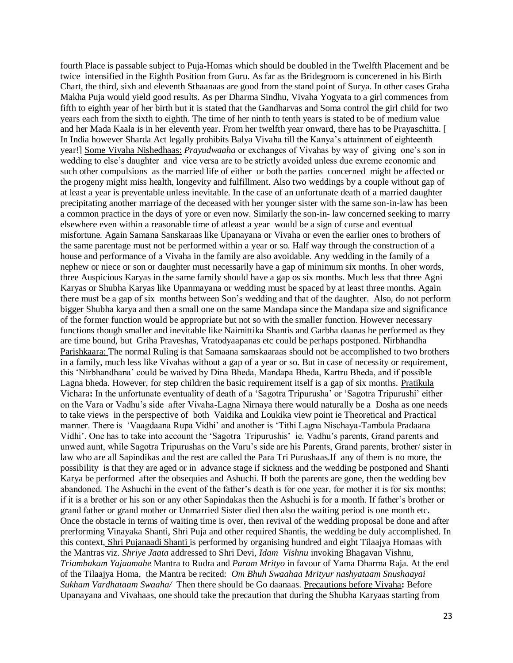fourth Place is passable subject to Puja-Homas which should be doubled in the Twelfth Placement and be twice intensified in the Eighth Position from Guru. As far as the Bridegroom is concerened in his Birth Chart, the third, sixh and eleventh Sthaanaas are good from the stand point of Surya. In other cases Graha Makha Puja would yield good results. As per Dharma Sindhu, Vivaha Yogyata to a girl commences from fifth to eighth year of her birth but it is stated that the Gandharvas and Soma control the girl child for two years each from the sixth to eighth. The time of her ninth to tenth years is stated to be of medium value and her Mada Kaala is in her eleventh year. From her twelfth year onward, there has to be Prayaschitta. [ In India however Sharda Act legally prohibits Balya Vivaha till the Kanya's attainment of eighteenth year!] Some Vivaha Nishedhaas: *Prayudwaaha* or exchanges of Vivahas by way of giving one's son in wedding to else's daughter and vice versa are to be strictly avoided unless due exreme economic and such other compulsions as the married life of either or both the parties concerned might be affected or the progeny might miss health, longevity and fulfillment. Also two weddings by a couple without gap of at least a year is preventable unless inevitable. In the case of an unfortunate death of a married daughter precipitating another marriage of the deceased with her younger sister with the same son-in-law has been a common practice in the days of yore or even now. Similarly the son-in- law concerned seeking to marry elsewhere even within a reasonable time of atleast a year would be a sign of curse and eventual misfortune. Again Samana Sanskaraas like Upanayana or Vivaha or even the earlier ones to brothers of the same parentage must not be performed within a year or so. Half way through the construction of a house and performance of a Vivaha in the family are also avoidable. Any wedding in the family of a nephew or niece or son or daughter must necessarily have a gap of minimum six months. In oher words, three Auspicious Karyas in the same family should have a gap os six months. Much less that three Agni Karyas or Shubha Karyas like Upanmayana or wedding must be spaced by at least three months. Again there must be a gap of six months between Son's wedding and that of the daughter. Also, do not perform bigger Shubha karya and then a small one on the same Mandapa since the Mandapa size and significance of the former function would be appropriate but not so with the smaller function. However necessary functions though smaller and inevitable like Naimittika Shantis and Garbha daanas be performed as they are time bound, but Griha Praveshas, Vratodyaapanas etc could be perhaps postponed. Nirbhandha Parishkaara: The normal Ruling is that Samaana samskaaraas should not be accomplished to two brothers in a family, much less like Vivahas without a gap of a year or so. But in case of necessity or requirement, this 'Nirbhandhana' could be waived by Dina Bheda, Mandapa Bheda, Kartru Bheda, and if possible Lagna bheda. However, for step children the basic requirement itself is a gap of six months. Pratikula Vichara**:** In the unfortunate eventuality of death of a 'Sagotra Tripurusha' or 'Sagotra Tripurushi' either on the Vara or Vadhu's side after Vivaha-Lagna Nirnaya there would naturally be a Dosha as one needs to take views in the perspective of both Vaidika and Loukika view point ie Theoretical and Practical manner. There is 'Vaagdaana Rupa Vidhi' and another is 'Tithi Lagna Nischaya-Tambula Pradaana Vidhi'. One has to take into account the 'Sagotra Tripurushis' ie. Vadhu's parents, Grand parents and unwed aunt, while Sagotra Tripurushas on the Varu's side are his Parents, Grand parents, brother/ sister in law who are all Sapindikas and the rest are called the Para Tri Purushaas.If any of them is no more, the possibility is that they are aged or in advance stage if sickness and the wedding be postponed and Shanti Karya be performed after the obsequies and Ashuchi. If both the parents are gone, then the wedding bev abandoned. The Ashuchi in the event of the father's death is for one year, for mother it is for six months; if it is a brother or his son or any other Sapindakas then the Ashuchi is for a month. If father's brother or grand father or grand mother or Unmarried Sister died then also the waiting period is one month etc. Once the obstacle in terms of waiting time is over, then revival of the wedding proposal be done and after prerforming Vinayaka Shanti, Shri Puja and other required Shantis, the wedding be duly accomplished. In this context, Shri Pujanaadi Shanti is performed by organising hundred and eight Tilaajya Homaas with the Mantras viz. *Shriye Jaata* addressed to Shri Devi, *Idam Vishnu* invoking Bhagavan Vishnu, *Triambakam Yajaamahe* Mantra to Rudra and *Param Mrityo* in favour of Yama Dharma Raja. At the end of the Tilaajya Homa, the Mantra be recited: *Om Bhuh Swaahaa Mrityur nashyataam Snushaayai Sukham Vardhataam Swaaha/* Then there should be Go daanaas. Precautions before Vivaha**:** Before Upanayana and Vivahaas, one should take the precaution that during the Shubha Karyaas starting from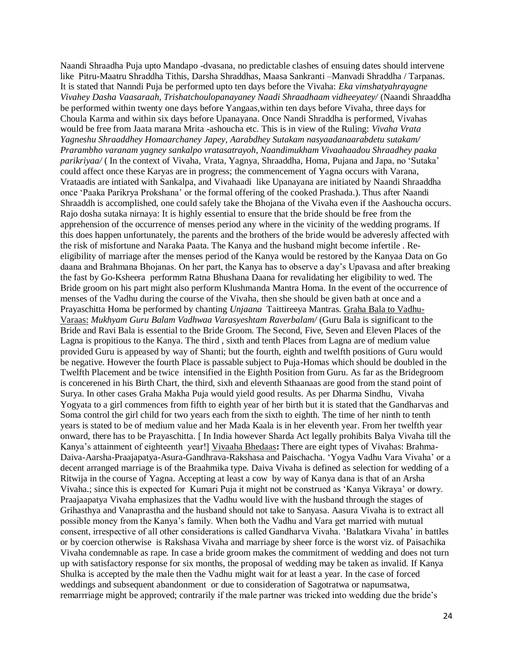Naandi Shraadha Puja upto Mandapo -dvasana, no predictable clashes of ensuing dates should intervene like Pitru-Maatru Shraddha Tithis, Darsha Shraddhas, Maasa Sankranti –Manvadi Shraddha / Tarpanas. It is stated that Nanndi Puja be performed upto ten days before the Vivaha: *Eka vimshatyahrayagne Vivahey Dasha Vaasaraah, Trishatchoulopanayaney Naadi Shraadhaam vidheeyatey/* (Naandi Shraaddha be performed within twenty one days before Yangaas,within ten days before Vivaha, three days for Choula Karma and within six days before Upanayana. Once Nandi Shraddha is performed, Vivahas would be free from Jaata marana Mrita -ashoucha etc. This is in view of the Ruling: *Vivaha Vrata Yagneshu Shraaddhey Homaarchaney Japey, Aarabdhey Sutakam nasyaadanaarabdetu sutakam/ Prarambho varanam yagney sankalpo vratasatrayoh, Naandimukham Vivaahaadou Shraadhey paaka parikriyaa/* ( In the context of Vivaha, Vrata, Yagnya, Shraaddha, Homa, Pujana and Japa, no 'Sutaka' could affect once these Karyas are in progress; the commencement of Yagna occurs with Varana, Vrataadis are intiated with Sankalpa, and Vivahaadi like Upanayana are initiated by Naandi Shraaddha once 'Paaka Parikrya Prokshana' or the formal offering of the cooked Prashada.). Thus after Naandi Shraaddh is accomplished, one could safely take the Bhojana of the Vivaha even if the Aashoucha occurs. Rajo dosha sutaka nirnaya: It is highly essential to ensure that the bride should be free from the apprehension of the occurrence of menses period any where in the vicinity of the wedding programs. If this does happen unfortunately, the parents and the brothers of the bride would be adveresly affected with the risk of misfortune and Naraka Paata. The Kanya and the husband might become infertile . Reeligibility of marriage after the menses period of the Kanya would be restored by the Kanyaa Data on Go daana and Brahmana Bhojanas. On her part, the Kanya has to observe a day's Upavasa and after breaking the fast by Go-Ksheera performm Ratna Bhushana Daana for revalidating her eligibility to wed. The Bride groom on his part might also perform Klushmanda Mantra Homa. In the event of the occurrence of menses of the Vadhu during the course of the Vivaha, then she should be given bath at once and a Prayaschitta Homa be performed by chanting *Unjaana* Taittireeya Mantras. Graha Bala to Vadhu-Varaas: *Mukhyam Guru Balam Vadhwaa Varasyeshtam Raverbalam/* (Guru Bala is significant to the Bride and Ravi Bala is essential to the Bride Groom. The Second, Five, Seven and Eleven Places of the Lagna is propitious to the Kanya. The third , sixth and tenth Places from Lagna are of medium value provided Guru is appeased by way of Shanti; but the fourth, eighth and twelfth positions of Guru would be negative. However the fourth Place is passable subject to Puja-Homas which should be doubled in the Twelfth Placement and be twice intensified in the Eighth Position from Guru. As far as the Bridegroom is concerened in his Birth Chart, the third, sixh and eleventh Sthaanaas are good from the stand point of Surya. In other cases Graha Makha Puja would yield good results. As per Dharma Sindhu, Vivaha Yogyata to a girl commences from fifth to eighth year of her birth but it is stated that the Gandharvas and Soma control the girl child for two years each from the sixth to eighth. The time of her ninth to tenth years is stated to be of medium value and her Mada Kaala is in her eleventh year. From her twelfth year onward, there has to be Prayaschitta. [ In India however Sharda Act legally prohibits Balya Vivaha till the Kanya's attainment of eighteenth year!] Vivaaha Bhedaas**:** There are eight types of Vivahas: Brahma-Daiva-Aarsha-Praajapatya-Asura-Gandhrava-Rakshasa and Paischacha. 'Yogya Vadhu Vara Vivaha' or a decent arranged marriage is of the Braahmika type. Daiva Vivaha is defined as selection for wedding of a Ritwija in the course of Yagna. Accepting at least a cow by way of Kanya dana is that of an Arsha Vivaha.; since this is expected for Kumari Puja it might not be construed as 'Kanya Vikraya' or dowry. Praajaapatya Vivaha emphasizes that the Vadhu would live with the husband through the stages of Grihasthya and Vanaprastha and the husband should not take to Sanyasa. Aasura Vivaha is to extract all possible money from the Kanya's family. When both the Vadhu and Vara get married with mutual consent, irrespective of all other considerations is called Gandharva Vivaha. 'Balatkara Vivaha' in battles or by coercion otherwise is Rakshasa Vivaha and marriage by sheer force is the worst viz. of Paisachika Vivaha condemnable as rape. In case a bride groom makes the commitment of wedding and does not turn up with satisfactory response for six months, the proposal of wedding may be taken as invalid. If Kanya Shulka is accepted by the male then the Vadhu might wait for at least a year. In the case of forced weddings and subsequent abandonment or due to consideration of Sagotratwa or napumsatwa, remarrriage might be approved; contrarily if the male partner was tricked into wedding due the bride's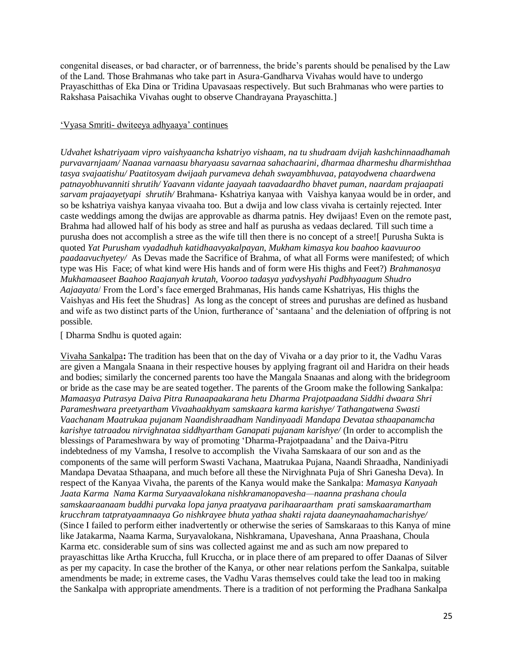congenital diseases, or bad character, or of barrenness, the bride's parents should be penalised by the Law of the Land. Those Brahmanas who take part in Asura-Gandharva Vivahas would have to undergo Prayaschitthas of Eka Dina or Tridina Upavasaas respectively. But such Brahmanas who were parties to Rakshasa Paisachika Vivahas ought to observe Chandrayana Prayaschitta.]

## 'Vyasa Smriti- dwiteeya adhyaaya' continues

*Udvahet kshatriyaam vipro vaishyaancha kshatriyo vishaam, na tu shudraam dvijah kashchinnaadhamah purvavarnjaam/ Naanaa varnaasu bharyaasu savarnaa sahachaarini, dharmaa dharmeshu dharmishthaa tasya svajaatishu/ Paatitosyam dwijaah purvameva dehah swayambhuvaa, patayodwena chaardwena patnayobhuvanniti shrutih/ Yaavann vidante jaayaah taavadaardho bhavet puman, naardam prajaapati sarvam prajaayetyapi shrutih/* Brahmana- Kshatriya kanyaa with Vaishya kanyaa would be in order, and so be kshatriya vaishya kanyaa vivaaha too. But a dwija and low class vivaha is certainly rejected. Inter caste weddings among the dwijas are approvable as dharma patnis. Hey dwijaas! Even on the remote past, Brahma had allowed half of his body as stree and half as purusha as vedaas declared. Till such time a purusha does not accomplish a stree as the wife till then there is no concept of a stree![ Purusha Sukta is quoted *Yat Purusham vyadadhuh katidhaavyakalpayan, Mukham kimasya kou baahoo kaavuuroo paadaavuchyetey/* As Devas made the Sacrifice of Brahma, of what all Forms were manifested; of which type was His Face; of what kind were His hands and of form were His thighs and Feet?) *Brahmanosya Mukhamaaseet Baahoo Raajanyah krutah, Vooroo tadasya yadvyshyahi Padbhyaagum Shudro Aajaayata*/ From the Lord's face emerged Brahmanas, His hands came Kshatriyas, His thighs the Vaishyas and His feet the Shudras] As long as the concept of strees and purushas are defined as husband and wife as two distinct parts of the Union, furtherance of 'santaana' and the deleniation of offpring is not possible.

#### [ Dharma Sndhu is quoted again:

Vivaha Sankalpa**:** The tradition has been that on the day of Vivaha or a day prior to it, the Vadhu Varas are given a Mangala Snaana in their respective houses by applying fragrant oil and Haridra on their heads and bodies; similarly the concerned parents too have the Mangala Snaanas and along with the bridegroom or bride as the case may be are seated together. The parents of the Groom make the following Sankalpa: *Mamaasya Putrasya Daiva Pitra Runaapaakarana hetu Dharma Prajotpaadana Siddhi dwaara Shri Parameshwara preetyartham Vivaahaakhyam samskaara karma karishye/ Tathangatwena Swasti Vaachanam Maatrukaa pujanam Naandishraadham Nandinyaadi Mandapa Devataa sthaapanamcha karishye tatraadou nirvighnataa siddhyartham Ganapati pujanam karishye/* (In order to accomplish the blessings of Parameshwara by way of promoting 'Dharma-Prajotpaadana' and the Daiva-Pitru indebtedness of my Vamsha, I resolve to accomplish the Vivaha Samskaara of our son and as the components of the same will perform Swasti Vachana, Maatrukaa Pujana, Naandi Shraadha, Nandiniyadi Mandapa Devataa Sthaapana, and much before all these the Nirvighnata Puja of Shri Ganesha Deva). In respect of the Kanyaa Vivaha, the parents of the Kanya would make the Sankalpa: *Mamasya Kanyaah Jaata Karma Nama Karma Suryaavalokana nishkramanopavesha—naanna prashana choula samskaaraanaam buddhi purvaka lopa janya praatyava parihaaraartham prati samskaaramartham krucchram tatpratyaamnaaya Go nishkrayee bhuta yathaa shakti rajata daaneynaahamacharishye/* (Since I failed to perform either inadvertently or otherwise the series of Samskaraas to this Kanya of mine like Jatakarma, Naama Karma, Suryavalokana, Nishkramana, Upaveshana, Anna Praashana, Choula Karma etc. considerable sum of sins was collected against me and as such am now prepared to prayaschittas like Artha Kruccha, full Kruccha, or in place there of am prepared to offer Daanas of Silver as per my capacity. In case the brother of the Kanya, or other near relations perfom the Sankalpa, suitable amendments be made; in extreme cases, the Vadhu Varas themselves could take the lead too in making the Sankalpa with appropriate amendments. There is a tradition of not performing the Pradhana Sankalpa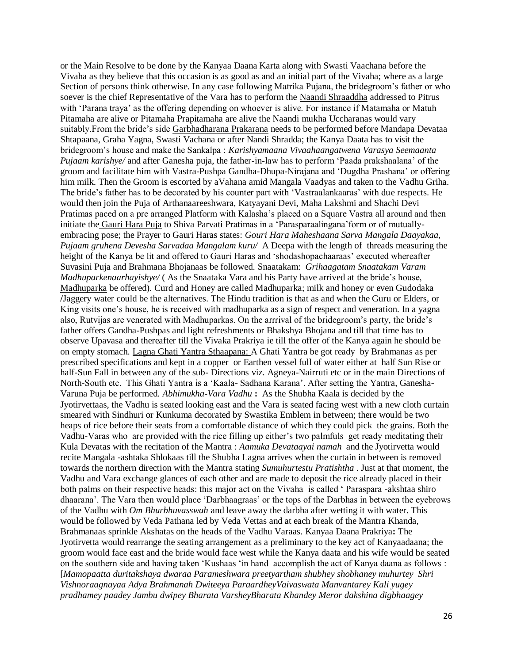or the Main Resolve to be done by the Kanyaa Daana Karta along with Swasti Vaachana before the Vivaha as they believe that this occasion is as good as and an initial part of the Vivaha; where as a large Section of persons think otherwise. In any case following Matrika Pujana, the bridegroom's father or who soever is the chief Representative of the Vara has to perform the Naandi Shraaddha addressed to Pitrus with 'Parana traya' as the offering depending on whoever is alive. For instance if Matamaha or Matuh Pitamaha are alive or Pitamaha Prapitamaha are alive the Naandi mukha Uccharanas would vary suitably.From the bride's side Garbhadharana Prakarana needs to be performed before Mandapa Devataa Shtapaana, Graha Yagna, Swasti Vachana or after Nandi Shradda; the Kanya Daata has to visit the bridegroom's house and make the Sankalpa : *Karishyamaana Vivaahaangatwena Varasya Seemaanta Pujaam karishye/* and after Ganesha puja, the father-in-law has to perform 'Paada prakshaalana' of the groom and facilitate him with Vastra-Pushpa Gandha-Dhupa-Nirajana and 'Dugdha Prashana' or offering him milk. Then the Groom is escorted by aVahana amid Mangala Vaadyas and taken to the Vadhu Griha. The bride's father has to be decorated by his counter part with 'Vastraalankaaras' with due respects. He would then join the Puja of Arthanaareeshwara, Katyayani Devi, Maha Lakshmi and Shachi Devi Pratimas paced on a pre arranged Platform with Kalasha's placed on a Square Vastra all around and then initiate the Gauri Hara Puja to Shiva Parvati Pratimas in a 'Parasparaalingana'form or of mutuallyembracing pose; the Prayer to Gauri Haras states: *Gouri Hara Maheshaana Sarva Mangala Daayakaa, Pujaam gruhena Devesha Sarvadaa Mangalam kuru/* A Deepa with the length of threads measuring the height of the Kanya be lit and offered to Gauri Haras and 'shodashopachaaraas' executed whereafter Suvasini Puja and Brahmana Bhojanaas be followed. Snaatakam: *Grihaagatam Snaatakam Varam Madhuparkenaarhayishye/* ( As the Snaataka Vara and his Party have arrived at the bride's house, Madhuparka be offered). Curd and Honey are called Madhuparka; milk and honey or even Gudodaka **/**Jaggery water could be the alternatives. The Hindu tradition is that as and when the Guru or Elders, or King visits one's house, he is received with madhuparka as a sign of respect and veneration. In a yagna also, Rutvijas are venerated with Madhuparkas. On the arrrival of the bridegroom's party, the bride's father offers Gandha-Pushpas and light refreshments or Bhakshya Bhojana and till that time has to observe Upavasa and thereafter till the Vivaka Prakriya ie till the offer of the Kanya again he should be on empty stomach. Lagna Ghati Yantra Sthaapana: A Ghati Yantra be got ready by Brahmanas as per prescribed specifications and kept in a copper or Earthen vessel full of water either at half Sun Rise or half-Sun Fall in between any of the sub- Directions viz. Agneya-Nairruti etc or in the main Directions of North-South etc. This Ghati Yantra is a 'Kaala- Sadhana Karana'. After setting the Yantra, Ganesha-Varuna Puja be performed. *Abhimukha-Vara Vadhu* **:** As the Shubha Kaala is decided by the Jyotirvettaas, the Vadhu is seated looking east and the Vara is seated facing west with a new cloth curtain smeared with Sindhuri or Kunkuma decorated by Swastika Emblem in between; there would be two heaps of rice before their seats from a comfortable distance of which they could pick the grains. Both the Vadhu-Varas who are provided with the rice filling up either's two palmfuls get ready meditating their Kula Devatas with the recitation of the Mantra : *Aamuka Devataayai namah* and the Jyotirvetta would recite Mangala -ashtaka Shlokaas till the Shubha Lagna arrives when the curtain in between is removed towards the northern direction with the Mantra stating *Sumuhurtestu Pratishtha* . Just at that moment, the Vadhu and Vara exchange glances of each other and are made to deposit the rice already placed in their both palms on their respective heads: this major act on the Vivaha is called ' Paraspara -akshtaa shiro dhaarana'. The Vara then would place 'Darbhaagraas' or the tops of the Darbhas in between the eyebrows of the Vadhu with *Om Bhurbhuvasswah* and leave away the darbha after wetting it with water. This would be followed by Veda Pathana led by Veda Vettas and at each break of the Mantra Khanda, Brahmanaas sprinkle Akshatas on the heads of the Vadhu Varaas. Kanyaa Daana Prakriya**:** The Jyotirvetta would rearrange the seating arrangement as a preliminary to the key act of Kanyaadaana; the groom would face east and the bride would face west while the Kanya daata and his wife would be seated on the southern side and having taken 'Kushaas 'in hand accomplish the act of Kanya daana as follows : [*Mamopaatta duritakshaya dwaraa Parameshwara preetyartham shubhey shobhaney muhurtey Shri Vishnoraagnayaa Adya Brahmanah Dwiteeya ParaardheyVaivaswata Manvantarey Kali yugey pradhamey paadey Jambu dwipey Bharata VarsheyBharata Khandey Meror dakshina digbhaagey*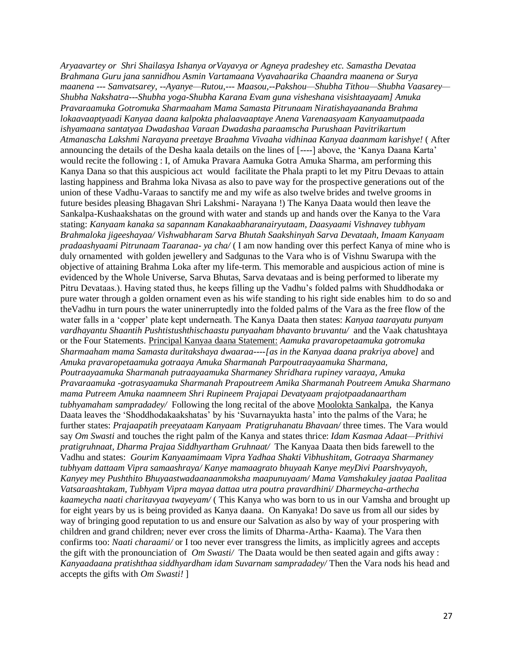*Aryaavartey or Shri Shailasya Ishanya orVayavya or Agneya pradeshey etc. Samastha Devataa Brahmana Guru jana sannidhou Asmin Vartamaana Vyavahaarika Chaandra maanena or Surya maanena --- Samvatsarey, --Ayanye—Rutou,--- Maasou,--Pakshou—Shubha Tithou—Shubha Vaasarey— Shubha Nakshatra---Shubha yoga-Shubha Karana Evam guna visheshana visishtaayaam] Amuka Pravaraamuka Gotromuka Sharmaaham Mama Samasta Pitrunaam Niratishayaananda Brahma lokaavaaptyaadi Kanyaa daana kalpokta phalaavaaptaye Anena Varenaasyaam Kanyaamutpaada ishyamaana santatyaa Dwadashaa Varaan Dwadasha paraamscha Purushaan Pavitrikartum Atmanascha Lakshmi Narayana preetaye Braahma Vivaaha vidhinaa Kanyaa daanmam karishye!* ( After announcing the details of the Desha kaala details on the lines of [----] above, the 'Kanya Daana Karta' would recite the following : I, of Amuka Pravara Aamuka Gotra Amuka Sharma, am performing this Kanya Dana so that this auspicious act would facilitate the Phala prapti to let my Pitru Devaas to attain lasting happiness and Brahma loka Nivasa as also to pave way for the prospective generations out of the union of these Vadhu-Varaas to sanctify me and my wife as also twelve brides and twelve grooms in future besides pleasing Bhagavan Shri Lakshmi- Narayana !) The Kanya Daata would then leave the Sankalpa-Kushaakshatas on the ground with water and stands up and hands over the Kanya to the Vara stating: *Kanyaam kanaka sa sapannam Kanakaabharanairyutaam, Daasyaami Vishnavey tubhyam Brahmaloka jigeeshayaa/ Vishwabharam Sarva Bhutah Saakshinyah Sarva Devataah, Imaam Kanyaam pradaashyaami Pitrunaam Taaranaa- ya cha/* ( I am now handing over this perfect Kanya of mine who is duly ornamented with golden jewellery and Sadgunas to the Vara who is of Vishnu Swarupa with the objective of attaining Brahma Loka after my life-term. This memorable and auspicious action of mine is evidenced by the Whole Universe, Sarva Bhutas, Sarva devataas and is being performed to liberate my Pitru Devataas.). Having stated thus, he keeps filling up the Vadhu's folded palms with Shuddhodaka or pure water through a golden ornament even as his wife standing to his right side enables him to do so and theVadhu in turn pours the water uninerruptedly into the folded palms of the Vara as the free flow of the water falls in a 'copper' plate kept underneath. The Kanya Daata then states: *Kanyaa taarayatu punyam vardhayantu Shaantih Pushtistushthischaastu punyaaham bhavanto bruvantu/* and the Vaak chatushtaya or the Four Statements. Principal Kanyaa daana Statement: *Aamuka pravaropetaamuka gotromuka Sharmaaham mama Samasta duritakshaya dwaaraa----[as in the Kanyaa daana prakriya above]* and *Amuka pravaropetaamuka gotraaya Amuka Sharmanah Parpoutraayaamuka Sharmana, Poutraayaamuka Sharmanah putraayaamuka Sharmaney Shridhara rupiney varaaya, Amuka Pravaraamuka -gotrasyaamuka Sharmanah Prapoutreem Amika Sharmanah Poutreem Amuka Sharmano mama Putreem Amuka naamneem Shri Rupineem Prajapai Devatyaam prajotpaadanaartham tubhyamaham sampradadey/* Following the long recital of the above Moolokta Sankalpa, the Kanya Daata leaves the 'Shoddhodakaakshatas' by his 'Suvarnayukta hasta' into the palms of the Vara; he further states: *Prajaapatih preeyataam Kanyaam Pratigruhanatu Bhavaan/* three times. The Vara would say *Om Swasti* and touches the right palm of the Kanya and states thrice: *Idam Kasmaa Adaat—Prithivi pratigruhnaat, Dharma Prajaa Siddhyartham Gruhnaat/* The Kanyaa Daata then bids farewell to the Vadhu and states: *Gourim Kanyaamimaam Vipra Yadhaa Shakti Vibhushitam, Gotraaya Sharmaney tubhyam dattaam Vipra samaashraya/ Kanye mamaagrato bhuyaah Kanye meyDivi Paarshvyayoh, Kanyey mey Pushthito Bhuyaastwadaanaanmoksha maapunuyaam/ Mama Vamshakuley jaataa Paalitaa Vatsaraashtakam, Tubhyam Vipra mayaa dattaa utra poutra pravardhini/ Dharmeycha-arthecha kaameycha naati charitavyaa twayeyam/* ( This Kanya who was born to us in our Vamsha and brought up for eight years by us is being provided as Kanya daana. On Kanyaka! Do save us from all our sides by way of bringing good reputation to us and ensure our Salvation as also by way of your prospering with children and grand children; never ever cross the limits of Dharma-Artha- Kaama). The Vara then confirms too: *Naati charaami/* or I too never ever transgress the limits, as implicitly agrees and accepts the gift with the pronounciation of *Om Swasti/* The Daata would be then seated again and gifts away : *Kanyaadaana pratishthaa siddhyardham idam Suvarnam sampradadey/* Then the Vara nods his head and accepts the gifts with *Om Swasti!* ]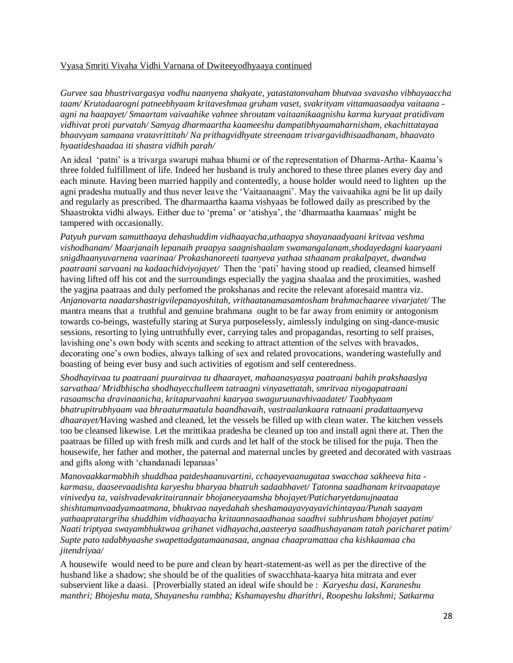## Vyasa Smriti Vivaha Vidhi Varnana of Dwiteeyodhyaaya continued

*Gurvee saa bhustrivargasya vodhu naanyena shakyate, yatastatonvaham bhutvaa svavasho vibhayaaccha taam/ Krutadaarogni patneebhyaam kritaveshmaa gruham vaset, svakrityam vittamaasaadya vaitaana agni na haapayet/ Smaartam vaivaahike vahnee shroutam vaitaanikaagnishu karma kuryaat pratidivam vidhivat proti purvatah/ Samyag dharmaartha kaameeshu dampatibhyaamaharnisham, ekachittatayaa bhaavyam samaana vratavrittitah/ Na prithagvidhyate streenaam trivargavidhisaadhanam, bhaavato hyaatideshaadaa iti shastra vidhih parah/*

An ideal 'patni' is a trivarga swarupi mahaa bhumi or of the representation of Dharma-Artha- Kaama's three folded fulfillment of life. Indeed her husband is truly anchored to these three planes every day and each minute. Having been married happily and contentedly, a house holder would need to lighten up the agni pradesha mutually and thus never leave the 'Vaitaanaagni'. May the vaivaahika agni be lit up daily and regularly as prescribed. The dharmaartha kaama vishyaas be followed daily as prescribed by the Shaastrokta vidhi always. Either due to 'prema' or 'atishya', the 'dharmaatha kaamaas' might be tampered with occasionally.

*Patyuh purvam samutthaaya dehashuddim vidhaayacha,uthaapya shayanaadyaani kritvaa veshma vishodhanam/ Maarjanaih lepanaih praapya saagnishaalam swamangalanam,shodayedagni kaaryaani snigdhaanyuvarnena vaarinaa/ Prokashanoreeti taanyeva yathaa sthaanam prakalpayet, dwandwa paatraani sarvaani na kadaachidviyojayet/* Then the 'pati' having stood up readied, cleansed himself having lifted off his cot and the surroundings especially the yagjna shaalaa and the proximities, washed the yagjna paatraas and duly perfomed the prokshanas and recite the relevant aforesaid mantra viz. *Anjanovarta naadarshastrigvilepanayoshitah, vrithaatanamasamtosham brahmachaaree vivarjatet/* The mantra means that a truthful and genuine brahmana ought to be far away from enimity or antogonism towards co-beings, wastefully staring at Surya purposelessly, aimlessly indulging on sing-dance-music sessions, resorting to lying untruthfully ever, carrying tales and propagandas, resorting to self praises, lavishing one's own body with scents and seeking to attract attention of the selves with bravados, decorating one's own bodies, always talking of sex and related provocations, wandering wastefully and boasting of being ever busy and such activities of egotism and self centeredness.

*Shodhayitvaa tu paatraani puuraitvaa tu dhaarayet, mahaanasyasya paatraani bahih prakshaaslya sarvathaa/ Mridbhischa shodhayecchulleem tatraagni vinyasettatah, smritvaa niyogapatraani rasaamscha dravinaanicha, kritapurvaahni kaaryaa swaguruunavhivaadatet/ Taabhyaam bhatrupitrubhyaam vaa bhraaturmaatula baandhavaih, vastraalankaara ratnaani pradattaanyeva dhaarayet/*Having washed and cleaned, let the vessels be filled up with clean water. The kitchen vessels too be cleansed likewise. Let the mrittikaa pradesha be cleaned up too and install agni there at. Then the paatraas be filled up with fresh milk and curds and let half of the stock be tilised for the puja. Then the housewife, her father and mother, the paternal and maternal uncles by greeted and decorated with vastraas and gifts along with 'chandanadi lepanaas'

*Manovaakkarmabhih shuddhaa patdeshaanuvartini, cchaayevaanugataa swacchaa sakheeva hita karmasu, daaseevaadishta karyeshu bharyaa bhatruh sadaabhavet/ Tatonna saadhanam kritvaapataye vinivedya ta, vaishvadevakritairannair bhojaneeyaamsha bhojayet/Paticharyetdanujnaataa shishtamanvaadyamaatmana, bhuktvaa nayedahah sheshamaayavyayavichintayaa/Punah saayam yathaapratargriha shuddhim vidhaayacha kritaannasaadhanaa saadhvi subhrusham bhojayet patim/ Naati triptyaa swayambhuktwaa grihanet vidhayacha,aasteerya saadhushayanam tatah paricharet patim/ Supte pato tadabhyaashe swapettadgatamaanasaa, angnaa chaapramattaa cha kishkaamaa cha jitendriyaa/*

A housewife would need to be pure and clean by heart-statement-as well as per the directive of the husband like a shadow; she should be of the qualities of swacchhata-kaarya hita mitrata and ever subservient like a daasi. [Proverbially stated an ideal wife should be : *Karyeshu dasi, Karaneshu manthri; Bhojeshu mata, Shayaneshu rambha; Kshamayeshu dharithri, Roopeshu lakshmi; Satkarma*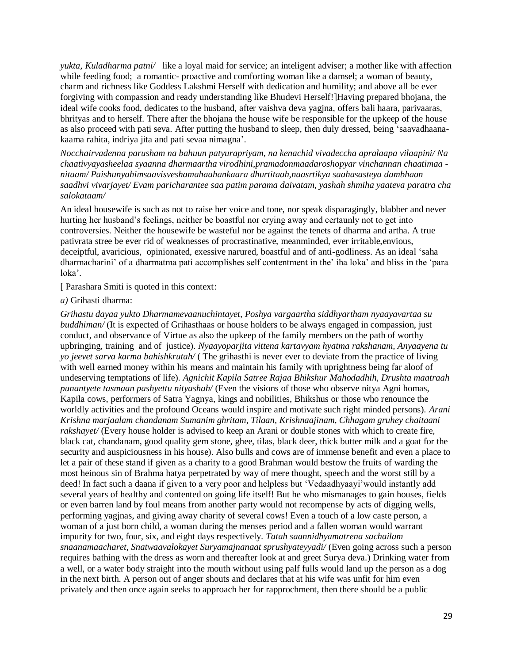*yukta, Kuladharma patni/* like a loyal maid for service; an inteligent adviser; a mother like with affection while feeding food; a romantic- proactive and comforting woman like a damsel; a woman of beauty, charm and richness like Goddess Lakshmi Herself with dedication and humility; and above all be ever forgiving with compassion and ready understanding like Bhudevi Herself!]Having prepared bhojana, the ideal wife cooks food, dedicates to the husband, after vaishva deva yagjna, offers bali haara, parivaaras, bhrityas and to herself. There after the bhojana the house wife be responsible for the upkeep of the house as also proceed with pati seva. After putting the husband to sleep, then duly dressed, being 'saavadhaanakaama rahita, indriya jita and pati sevaa nimagna'.

*Nocchairvadenna parusham na bahuun patyurapriyam, na kenachid vivadeccha apralaapa vilaapini/ Na chaativyayasheelaa syaanna dharmaartha virodhini,pramadonmaadaroshopyar vinchannan chaatimaa nitaam/ Paishunyahimsaavisveshamahaahankaara dhurtitaah,naasrtikya saahasasteya dambhaan saadhvi vivarjayet/ Evam paricharantee saa patim parama daivatam, yashah shmiha yaateva paratra cha salokataam/*

An ideal housewife is such as not to raise her voice and tone, nor speak disparagingly, blabber and never hurting her husband's feelings, neither be boastful nor crying away and certaunly not to get into controversies. Neither the housewife be wasteful nor be against the tenets of dharma and artha. A true pativrata stree be ever rid of weaknesses of procrastinative, meanminded, ever irritable,envious, deceiptful, avaricious, opinionated, exessive narured, boastful and of anti-godliness. As an ideal 'saha dharmacharini' of a dharmatma pati accomplishes self contentment in the' iha loka' and bliss in the 'para loka'.

#### [ Parashara Smiti is quoted in this context:

#### *a)* Grihasti dharma:

*Grihastu dayaa yukto Dharmamevaanuchintayet, Poshya vargaartha siddhyartham nyaayavartaa su buddhiman*/ (It is expected of Grihasthaas or house holders to be always engaged in compassion, just conduct, and observance of Virtue as also the upkeep of the family members on the path of worthy upbringing, training and of justice). *Nyaayoparjita vittena kartavyam hyatma rakshanam, Anyaayena tu yo jeevet sarva karma bahishkrutah/* ( The grihasthi is never ever to deviate from the practice of living with well earned money within his means and maintain his family with uprightness being far aloof of undeserving temptations of life). *Agnichit Kapila Satree Rajaa Bhikshur Mahodadhih, Drushta maatraah punantyete tasmaan pashyettu nityashah/* (Even the visions of those who observe nitya Agni homas, Kapila cows, performers of Satra Yagnya, kings and nobilities, Bhikshus or those who renounce the worldly activities and the profound Oceans would inspire and motivate such right minded persons). *Arani Krishna marjaalam chandanam Sumanim ghritam, Tilaan, Krishnaajinam, Chhagam gruhey chaitaani rakshayet/* (Every house holder is advised to keep an Arani or double stones with which to create fire, black cat, chandanam, good quality gem stone, ghee, tilas, black deer, thick butter milk and a goat for the security and auspiciousness in his house). Also bulls and cows are of immense benefit and even a place to let a pair of these stand if given as a charity to a good Brahman would bestow the fruits of warding the most heinous sin of Brahma hatya perpetrated by way of mere thought, speech and the worst still by a deed! In fact such a daana if given to a very poor and helpless but 'Vedaadhyaayi'would instantly add several years of healthy and contented on going life itself! But he who mismanages to gain houses, fields or even barren land by foul means from another party would not recompense by acts of digging wells, performing yagjnas, and giving away charity of several cows! Even a touch of a low caste person, a woman of a just born child, a woman during the menses period and a fallen woman would warrant impurity for two, four, six, and eight days respectively. *Tatah saannidhyamatrena sachailam snaanamaacharet, Snatwaavalokayet Suryamajnanaat sprushyateyyadi/* (Even going across such a person requires bathing with the dress as worn and thereafter look at and greet Surya deva.) Drinking water from a well, or a water body straight into the mouth without using palf fulls would land up the person as a dog in the next birth. A person out of anger shouts and declares that at his wife was unfit for him even privately and then once again seeks to approach her for rapprochment, then there should be a public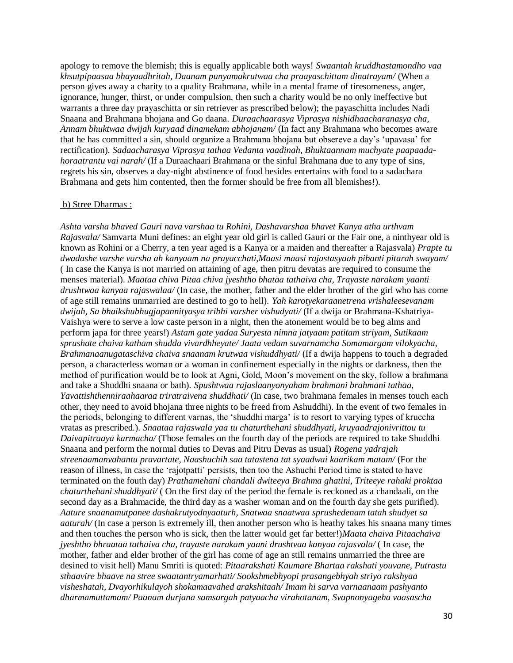apology to remove the blemish; this is equally applicable both ways! *Swaantah kruddhastamondho vaa khsutpipaasaa bhayaadhritah, Daanam punyamakrutwaa cha praayaschittam dinatrayam/* (When a person gives away a charity to a quality Brahmana, while in a mental frame of tiresomeness, anger, ignorance, hunger, thirst, or under compulsion, then such a charity would be no only ineffective but warrants a three day prayaschitta or sin retriever as prescribed below); the payaschitta includes Nadi Snaana and Brahmana bhojana and Go daana. *Duraachaarasya Viprasya nishidhaacharanasya cha, Annam bhuktwaa dwijah kuryaad dinamekam abhojanam/* (In fact any Brahmana who becomes aware that he has committed a sin, should organize a Brahmana bhojana but obsereve a day's 'upavasa' for rectification). *Sadaacharasya Viprasya tathaa Vedanta vaadinah, Bhuktaannam muchyate paapaadahoraatrantu vai narah/* (If a Duraachaari Brahmana or the sinful Brahmana due to any type of sins, regrets his sin, observes a day-night abstinence of food besides entertains with food to a sadachara Brahmana and gets him contented, then the former should be free from all blemishes!).

#### b) Stree Dharmas :

*Ashta varsha bhaved Gauri nava varshaa tu Rohini, Dashavarshaa bhavet Kanya atha urthvam Rajasvala/* Samvarta Muni defines: an eight year old girl is called Gauri or the Fair one, a ninthyear old is known as Rohini or a Cherry, a ten year aged is a Kanya or a maiden and thereafter a Rajasvala) *Prapte tu dwadashe varshe varsha ah kanyaam na prayacchati,Maasi maasi rajastasyaah pibanti pitarah swayam/*  ( In case the Kanya is not married on attaining of age, then pitru devatas are required to consume the menses material). *Maataa chiva Pitaa chiva jyeshtho bhataa tathaiva cha, Trayaste narakam yaanti drushtwaa kanyaa rajaswalaa/* (In case, the mother, father and the elder brother of the girl who has come of age still remains unmarried are destined to go to hell). *Yah karotyekaraanetrena vrishaleesevanam dwijah, Sa bhaikshubhugjapannityasya tribhi varsher vishudyati/* (If a dwija or Brahmana-Kshatriya-Vaishya were to serve a low caste person in a night, then the atonement would be to beg alms and perform japa for three years!) *Astam gate yadaa Suryesta nimna jatyaam patitam striyam, Sutikaam sprushate chaiva katham shudda vivardhheyate/ Jaata vedam suvarnamcha Somamargam vilokyacha, Brahmanaanugataschiva chaiva snaanam krutwaa vishuddhyati/* (If a dwija happens to touch a degraded person, a characterless woman or a woman in confinement especially in the nights or darkness, then the method of purification would be to look at Agni, Gold, Moon's movement on the sky, follow a brahmana and take a Shuddhi snaana or bath). *Spushtwaa rajaslaanyonyaham brahmani brahmani tathaa, Yavattishthenniraahaaraa triratraivena shuddhati/* (In case, two brahmana females in menses touch each other, they need to avoid bhojana three nights to be freed from Ashuddhi). In the event of two females in the periods, belonging to different varnas, the 'shuddhi marga' is to resort to varying types of kruccha vratas as prescribed.). *Snaataa rajaswala yaa tu chaturthehani shuddhyati, kruyaadrajonivrittou tu Daivapitraaya karmacha/* (Those females on the fourth day of the periods are required to take Shuddhi Snaana and perform the normal duties to Devas and Pitru Devas as usual) *Rogena yadrajah streenaamanvahantu pravartate, Naashuchih saa tatastena tat syaadwai kaarikam matam/* (For the reason of illness, in case the 'rajotpatti' persists, then too the Ashuchi Period time is stated to have terminated on the fouth day) *Prathamehani chandali dwiteeya Brahma ghatini, Triteeye rahaki proktaa chaturthehani shuddhyati/* ( On the first day of the period the female is reckoned as a chandaali, on the second day as a Brahmacide, the third day as a washer woman and on the fourth day she gets purified). *Aature snaanamutpanee dashakrutyodnyaaturh, Snatwaa snaatwaa sprushedenam tatah shudyet sa aaturah/* (In case a person is extremely ill, then another person who is heathy takes his snaana many times and then touches the person who is sick, then the latter would get far better!)*Maata chaiva Pitaachaiva jyeshtho bhraataa tathaiva cha, trayaste narakam yaani drushtvaa kanyaa rajasvala/* ( In case, the mother, father and elder brother of the girl has come of age an still remains unmarried the three are desined to visit hell) Manu Smriti is quoted: *Pitaarakshati Kaumare Bhartaa rakshati youvane, Putrastu sthaavire bhaave na stree swaatantryamarhati/ Sookshmebhyopi prasangebhyah striyo rakshyaa visheshatah, Dvayorhikulayoh shokamaavahed arakshitaah/ Imam hi sarva varnaanaam pashyanto dharmamuttamam/ Paanam durjana samsargah patyaacha virahotanam, Svapnonyageha vaasascha*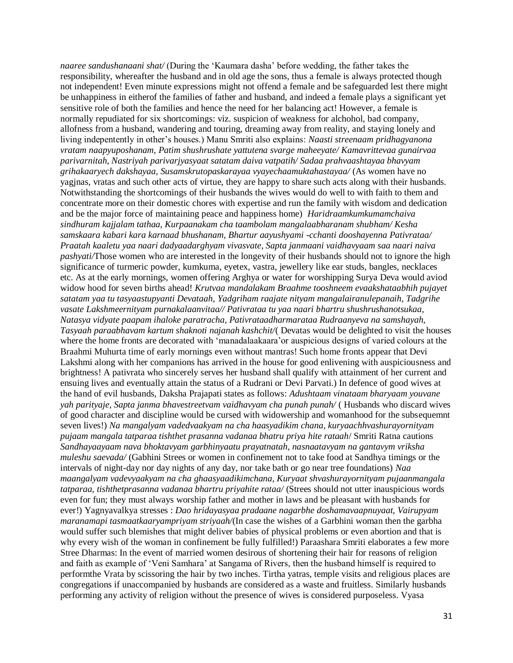*naaree sandushanaani shat/* (During the 'Kaumara dasha' before wedding, the father takes the responsibility, whereafter the husband and in old age the sons, thus a female is always protected though not independent! Even minute expressions might not offend a female and be safeguarded lest there might be unhappiness in eitherof the families of father and husband, and indeed a female plays a significant yet sensitive role of both the families and hence the need for her balancing act! However, a female is normally repudiated for six shortcomings: viz. suspicion of weakness for alchohol, bad company, allofness from a husband, wandering and touring, dreaming away from reality, and staying lonely and living indepentently in other's houses.) Manu Smriti also explains: *Naasti streenaam pridhagyanona vratam naapyuposhanam, Patim shushrushate yattutena svarge maheeyate/ Kamavrittevaa gunairvaa parivarnitah, Nastriyah parivarjyasyaat satatam daiva vatpatih/ Sadaa prahvaashtayaa bhavyam grihakaaryech dakshayaa, Susamskrutopaskarayaa vyayechaamuktahastayaa/* (As women have no yagjnas, vratas and such other acts of virtue, they are happy to share such acts along with their husbands. Notwithstanding the shortcomings of their husbands the wives would do well to with faith to them and concentrate more on their domestic chores with expertise and run the family with wisdom and dedication and be the major force of maintaining peace and happiness home) *Haridraamkumkumamchaiva sindhuram kajjalam tathaa, Kurpaanakam cha taambolam mangalaabharanam shubham/ Kesha samskaara kabari kara karnaad bhushanam, Bhartur aayushyami -cchanti dooshayenna Pativrataa/ Praatah kaaletu yaa naari dadyaadarghyam vivasvate, Sapta janmaani vaidhavyaam saa naari naiva pashyati/*Those women who are interested in the longevity of their husbands should not to ignore the high significance of turmeric powder, kumkuma, eyetex, vastra, jewellery like ear studs, bangles, necklaces etc. As at the early mornings, women offering Arghya or water for worshipping Surya Deva would aviod widow hood for seven births ahead! *Krutvaa mandalakam Braahme tooshneem evaakshataabhih pujayet satatam yaa tu tasyaastupyanti Devataah, Yadgriham raajate nityam mangalairanulepanaih, Tadgrihe vasate Lakshmeernityam purnakalaanvitaa// Pativrataa tu yaa naari bhartru shushrushanotsukaa, Natasya vidyate paapam ihaloke paratracha, Pativrataadharmarataa Rudraanyeva na samshayah, Tasyaah paraabhavam kartum shaknoti najanah kashchit/*( Devatas would be delighted to visit the houses where the home fronts are decorated with 'manadalaakaara'or auspicious designs of varied colours at the Braahmi Muhurta time of early mornings even without mantras! Such home fronts appear that Devi Lakshmi along with her companions has arrived in the house for good enlivening with auspiciousness and brightness! A pativrata who sincerely serves her husband shall qualify with attainment of her current and ensuing lives and eventually attain the status of a Rudrani or Devi Parvati.) In defence of good wives at the hand of evil husbands, Daksha Prajapati states as follows: *Adushtaam vinataam bharyaam youvane yah parityaje, Sapta janma bhavestreetvam vaidhavyam cha punah punah/* ( Husbands who discard wives of good character and discipline would be cursed with widowership and womanhood for the subsequemnt seven lives!) *Na mangalyam vadedvaakyam na cha haasyadikim chana, kuryaachhvashurayornityam pujaam mangala tatparaa tishthet prasanna vadanaa bhatru priya hite rataah*/ Smriti Ratna cautions *Sandhayaayaam nava bhoktavyam garbhinyaatu prayatnatah, nasnaatavyam na gantavym vriksha muleshu saevada/* (Gabhini Strees or women in confinement not to take food at Sandhya timings or the intervals of night-day nor day nights of any day, nor take bath or go near tree foundations) *Naa maangalyam vadevyaakyam na cha ghaasyaadikimchana, Kuryaat shvashurayornityam pujaanmangala tatparaa, tishthetprasanna vadanaa bhartru priyahite rataa/* (Strees should not utter inauspicious words even for fun; they must always worship father and mother in laws and be pleasant with husbands for ever!) Yagnyavalkya stresses : *Dao hridayasyaa pradaane nagarbhe doshamavaapnuyaat, Vairupyam maranamapi tasmaatkaaryampriyam striyaah/*(In case the wishes of a Garbhini woman then the garbha would suffer such blemishes that might deliver babies of physical problems or even abortion and that is why every wish of the woman in confinement be fully fulfilled!) Paraashara Smriti elaborates a few more Stree Dharmas: In the event of married women desirous of shortening their hair for reasons of religion and faith as example of 'Veni Samhara' at Sangama of Rivers, then the husband himself is required to performthe Vrata by scissoring the hair by two inches. Tirtha yatras, temple visits and religious places are congregations if unaccompanied by husbands are considered as a waste and fruitless. Similarly husbands performing any activity of religion without the presence of wives is considered purposeless. Vyasa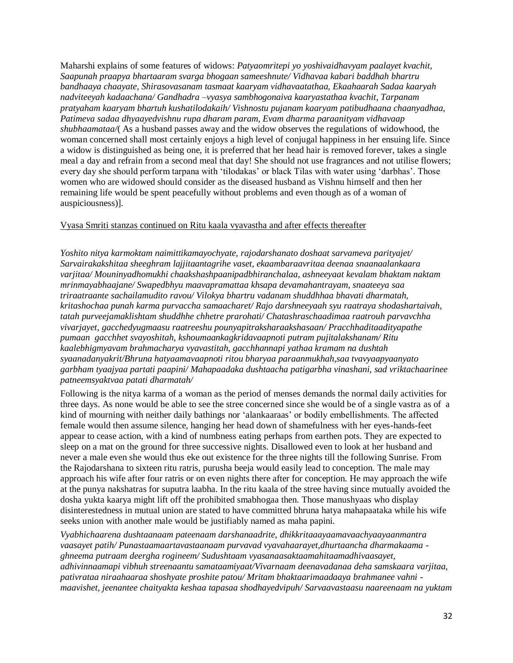Maharshi explains of some features of widows: *Patyaomritepi yo yoshivaidhavyam paalayet kvachit, Saapunah praapya bhartaaram svarga bhogaan sameeshnute/ Vidhavaa kabari baddhah bhartru bandhaaya chaayate, Shirasovasanam tasmaat kaaryam vidhavaatathaa, Ekaahaarah Sadaa kaaryah nadviteeyah kadaachana/ Gandhadra –vyasya sambhogonaiva kaaryastathaa kvachit, Tarpanam pratyaham kaaryam bhartuh kushatilodakaih/ Vishnostu pujanam kaaryam patibudhaana chaanyadhaa, Patimeva sadaa dhyaayedvishnu rupa dharam param, Evam dharma paraanityam vidhavaap shubhaamataa/*( As a husband passes away and the widow observes the regulations of widowhood, the woman concerned shall most certainly enjoys a high level of conjugal happiness in her ensuing life. Since a widow is distinguished as being one, it is preferred that her head hair is removed forever, takes a single meal a day and refrain from a second meal that day! She should not use fragrances and not utilise flowers; every day she should perform tarpana with 'tilodakas' or black Tilas with water using 'darbhas'. Those women who are widowed should consider as the diseased husband as Vishnu himself and then her remaining life would be spent peacefully without problems and even though as of a woman of auspiciousness)].

## Vyasa Smriti stanzas continued on Ritu kaala vyavastha and after effects thereafter

*Yoshito nitya karmoktam naimittikamayochyate, rajodarshanato doshaat sarvameva parityajet/ Sarvairakakshitaa sheeghram lajjitaantagrihe vaset, ekaambaraavritaa deenaa snaanaalankaara varjitaa/ Mouninyadhomukhi chaakshashpaanipadbhiranchalaa, ashneeyaat kevalam bhaktam naktam mrinmayabhaajane/ Swapedbhyu maavapramattaa khsapa devamahantrayam, snaateeya saa triraatraante sachailamudito ravou/ Vilokya bhartru vadanam shuddhhaa bhavati dharmatah, kritashochaa punah karma purvaccha samaacharet/ Rajo darshneeyaah syu raatraya shodashartaivah, tatah purveejamaklishtam shuddhhe chhetre prarohati/ Chatashraschaadimaa raatrouh parvavchha vivarjayet, gacchedyugmaasu raatreeshu pounyapitraksharaakshasaan/ Pracchhaditaadityapathe pumaan gacchhet svayoshitah, kshoumaankagkridavaapnoti putram pujitalakshanam/ Ritu kaalebhigmyavam brahmacharya vyavastitah, gacchhannapi yathaa kramam na dushtah syaanadanyakrit/Bhruna hatyaamavaapnoti ritou bharyaa paraanmukhah,saa tvavyaapyaanyato garbham tyaajyaa partati paapini/ Mahapaadaka dushtaacha patigarbha vinashani, sad vriktachaarinee patneemsyaktvaa patati dharmatah/*

Following is the nitya karma of a woman as the period of menses demands the normal daily activities for three days. As none would be able to see the stree concerned since she would be of a single vastra as of a kind of mourning with neither daily bathings nor 'alankaaraas' or bodily embellishments. The affected female would then assume silence, hanging her head down of shamefulness with her eyes-hands-feet appear to cease action, with a kind of numbness eating perhaps from earthen pots. They are expected to sleep on a mat on the ground for three successive nights. Disallowed even to look at her husband and never a male even she would thus eke out existence for the three nights till the following Sunrise. From the Rajodarshana to sixteen ritu ratris, purusha beeja would easily lead to conception. The male may approach his wife after four ratris or on even nights there after for conception. He may approach the wife at the punya nakshatras for suputra laabha. In the ritu kaala of the stree having since mutually avoided the dosha yukta kaarya might lift off the prohibited smabhogaa then. Those manushyaas who display disinterestedness in mutual union are stated to have committed bhruna hatya mahapaataka while his wife seeks union with another male would be justifiably named as maha papini.

*Vyabhichaarena dushtaanaam pateenaam darshanaadrite, dhikkritaaayaamavaachyaayaanmantra vaasayet patih/ Punastaamaartavastaanaam purvavad vyavahaarayet,dhurtaancha dharmakaama ghneema putraam deergha rogineem/ Sudushtaam vyasanaasaktaamahitaamadhivaasayet, adhivinnaamapi vibhuh streenaantu samataamiyaat/Vivarnaam deenavadanaa deha samskaara varjitaa, pativrataa niraahaaraa shoshyate proshite patou/ Mritam bhaktaarimaadaaya brahmanee vahni maavishet, jeenantee chaityakta keshaa tapasaa shodhayedvipuh/ Sarvaavastaasu naareenaam na yuktam*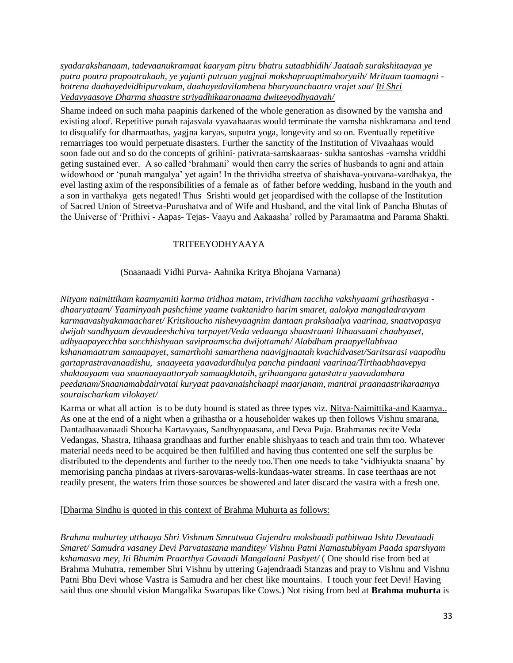*syadarakshanaam, tadevaanukramaat kaaryam pitru bhatru sutaabhidih/ Jaataah surakshitaayaa ye putra poutra prapoutrakaah, ye yajanti putruun yagjnai mokshapraaptimahoryaih/ Mritaam taamagni hotrena daahayedvidhipurvakam, daahayedavilambena bharyaanchaatra vrajet saa/ Iti Shri Vedavyaasoye Dharma shaastre striyadhikaaronaama dwiteeyodhyaayah/*

Shame indeed on such maha paapinis darkened of the whole generation as disowned by the vamsha and existing aloof. Repetitive punah rajasvala vyavahaaras would terminate the vamsha nishkramana and tend to disqualify for dharmaathas, yagjna karyas, suputra yoga, longevity and so on. Eventually repetitive remarriages too would perpetuate disasters. Further the sanctity of the Institution of Vivaahaas would soon fade out and so do the concepts of grihini- pativrata-samskaaraas- sukha santoshas -vamsha vriddhi geting sustained ever. A so called 'brahmani' would then carry the series of husbands to agni and attain widowhood or 'punah mangalya' yet again! In the thrividha streetva of shaishava-youvana-vardhakya, the evel lasting axim of the responsibilities of a female as of father before wedding, husband in the youth and a son in varthakya gets negated! Thus Srishti would get jeopardised with the collapse of the Institution of Sacred Union of Streetva-Purushatva and of Wife and Husband, and the vital link of Pancha Bhutas of the Universe of 'Prithivi - Aapas- Tejas- Vaayu and Aakaasha' rolled by Paramaatma and Parama Shakti.

# TRITEEYODHYAAYA

# (Snaanaadi Vidhi Purva- Aahnika Kritya Bhojana Varnana)

*Nityam naimittikam kaamyamiti karma tridhaa matam, trividham tacchha vakshyaami grihasthasya dhaaryataam/ Yaaminyaah pashchime yaame tvaktanidro harim smaret, aalokya mangaladravyam karmaavashyakamaacharet/ Kritshoucho nishevyaagnim dantaan prakshaalya vaarinaa, snaatvopasya dwijah sandhyaam devaadeeshchiva tarpayet/Veda vedaanga shaastraani Itihaasaani chaabyaset, adhyaapayecchha sacchhishyaan savipraamscha dwijottamah/ Alabdham praapyellabhvaa kshanamaatram samaapayet, samarthohi samarthena naavigjnaatah kvachidvaset/Saritsarasi vaapodhu gartaprastravanaadishu, snaayeeta yaavadurdhulya pancha pindaani vaarinaa/Tirthaabhaavepya shaktaayaam vaa snaanaayaattoryah samaagklataih, grihaangana gatastatra yaavadambara peedanam/Snaanamabdairvatai kuryaat paavanaishchaapi maarjanam, mantrai praanaastrikaraamya souraischarkam vilokayet/*

Karma or what all action is to be duty bound is stated as three types viz. Nitya-Naimittika-and Kaamya.. As one at the end of a night when a grihastha or a householder wakes up then follows Vishnu smarana, Dantadhaavanaadi Shoucha Kartavyaas, Sandhyopaasana, and Deva Puja. Brahmanas recite Veda Vedangas, Shastra, Itihaasa grandhaas and further enable shishyaas to teach and train thm too. Whatever material needs need to be acquired be then fulfilled and having thus contented one self the surplus be distributed to the dependents and further to the needy too.Then one needs to take 'vidhiyukta snaana' by memorising pancha pindaas at rivers-sarovaras-wells-kundaas-water streams. In case teerthaas are not readily present, the waters frim those sources be showered and later discard the vastra with a fresh one.

# [Dharma Sindhu is quoted in this context of Brahma Muhurta as follows:

*Brahma muhurtey utthaaya Shri Vishnum Smrutwaa Gajendra mokshaadi pathitwaa Ishta Devataadi Smaret/ Samudra vasaney Devi Parvatastana manditey/ Vishnu Patni Namastubhyam Paada sparshyam kshamasva mey, Iti Bhumim Praarthya Gavaadi Mangalaani Pashyet/* ( One should rise from bed at Brahma Muhutra, remember Shri Vishnu by uttering Gajendraadi Stanzas and pray to Vishnu and Vishnu Patni Bhu Devi whose Vastra is Samudra and her chest like mountains. I touch your feet Devi! Having said thus one should vision Mangalika Swarupas like Cows.) Not rising from bed at **Brahma muhurta** is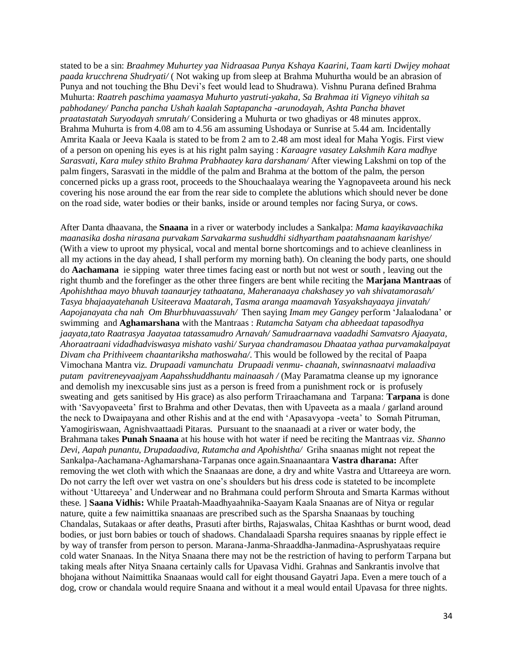stated to be a sin: *Braahmey Muhurtey yaa Nidraasaa Punya Kshaya Kaarini, Taam karti Dwijey mohaat paada krucchrena Shudryati/* ( Not waking up from sleep at Brahma Muhurtha would be an abrasion of Punya and not touching the Bhu Devi's feet would lead to Shudrawa). Vishnu Purana defined Brahma Muhurta: *Raatreh paschima yaamasya Muhurto yastruti-yakaha, Sa Brahmaa iti Vigneyo vihitah sa pabhodaney/ Pancha pancha Ushah kaalah Saptapancha -arunodayah, Ashta Pancha bhavet praatastatah Suryodayah smrutah/* Considering a Muhurta or two ghadiyas or 48 minutes approx. Brahma Muhurta is from 4.08 am to 4.56 am assuming Ushodaya or Sunrise at 5.44 am. Incidentally Amrita Kaala or Jeeva Kaala is stated to be from 2 am to 2.48 am most ideal for Maha Yogis. First view of a person on opening his eyes is at his right palm saying : *Karaagre vasatey Lakshmih Kara madhye Sarasvati, Kara muley sthito Brahma Prabhaatey kara darshanam/* After viewing Lakshmi on top of the palm fingers, Sarasvati in the middle of the palm and Brahma at the bottom of the palm, the person concerned picks up a grass root, proceeds to the Shouchaalaya wearing the Yagnopaveeta around his neck covering his nose around the ear from the rear side to complete the ablutions which should never be done on the road side, water bodies or their banks, inside or around temples nor facing Surya, or cows.

After Danta dhaavana, the **Snaana** in a river or waterbody includes a Sankalpa: *Mama kaayikavaachika maanasika dosha nirasana purvakam Sarvakarma sushuddhi sidhyartham paatahsnaanam karishye/*  (With a view to uproot my physical, vocal and mental borne shortcomings and to achieve cleanliness in all my actions in the day ahead, I shall perform my morning bath). On cleaning the body parts, one should do **Aachamana** ie sipping water three times facing east or north but not west or south , leaving out the right thumb and the forefinger as the other three fingers are bent while reciting the **Marjana Mantraas** of *Apohishthaa mayo bhuvah taanaurjey tathaatana, Maheranaaya chakshasey yo vah shivatamorasah/ Tasya bhajaayatehanah Usiteerava Maatarah, Tasma aranga maamavah Yasyakshayaaya jinvatah/ Aapojanayata cha nah Om Bhurbhuvaassuvah/* Then saying *Imam mey Gangey* perform 'Jalaalodana' or swimming and **Aghamarshana** with the Mantraas : *Rutamcha Satyam cha abheedaat tapasodhya jaayata,tato Raatrasya Jaayataa tatassamudro Arnavah/ Samudraarnava vaadadhi Samvatsro Ajaayata, Ahoraatraani vidadhadviswasya mishato vashi/ Suryaa chandramasou Dhaataa yathaa purvamakalpayat Divam cha Prithiveem chaantariksha mathoswaha/*. This would be followed by the recital of Paapa Vimochana Mantra viz. *Drupaadi vamunchatu Drupaadi venmu- chaanah, swinnasnaatvi malaadiva putam pavitreneyvaajyam Aapahsshuddhantu mainaasah /* (May Paramatma cleanse up my ignorance and demolish my inexcusable sins just as a person is freed from a punishment rock or is profusely sweating and gets sanitised by His grace) as also perform Triraachamana and Tarpana: **Tarpana** is done with 'Savyopaveeta' first to Brahma and other Devatas, then with Upaveeta as a maala / garland around the neck to Dwaipayana and other Rishis and at the end with 'Apasavyopa -veeta' to Somah Pitruman, Yamogiriswaan, Agnishvaattaadi Pitaras. Pursuant to the snaanaadi at a river or water body, the Brahmana takes **Punah Snaana** at his house with hot water if need be reciting the Mantraas viz. *Shanno Devi, Aapah punantu, Drupadaadiva, Rutamcha and Apohishtha/* Griha snaanas might not repeat the Sankalpa-Aachamana-Aghamarshana-Tarpanas once again.Snaanaantara **Vastra dharana:** After removing the wet cloth with which the Snaanaas are done, a dry and white Vastra and Uttareeya are worn. Do not carry the left over wet vastra on one's shoulders but his dress code is stateted to be incomplete without 'Uttareeya' and Underwear and no Brahmana could perform Shrouta and Smarta Karmas without these. ] **Saana Vidhis:** While Praatah-Maadhyaahnika-Saayam Kaala Snaanas are of Nitya or regular nature, quite a few naimittika snaanaas are prescribed such as the Sparsha Snaanaas by touching Chandalas, Sutakaas or after deaths, Prasuti after births, Rajaswalas, Chitaa Kashthas or burnt wood, dead bodies, or just born babies or touch of shadows. Chandalaadi Sparsha requires snaanas by ripple effect ie by way of transfer from person to person. Marana-Janma-Shraaddha-Janmadina-Asprushyataas require cold water Snanaas. In the Nitya Snaana there may not be the restriction of having to perform Tarpana but taking meals after Nitya Snaana certainly calls for Upavasa Vidhi. Grahnas and Sankrantis involve that bhojana without Naimittika Snaanaas would call for eight thousand Gayatri Japa. Even a mere touch of a dog, crow or chandala would require Snaana and without it a meal would entail Upavasa for three nights.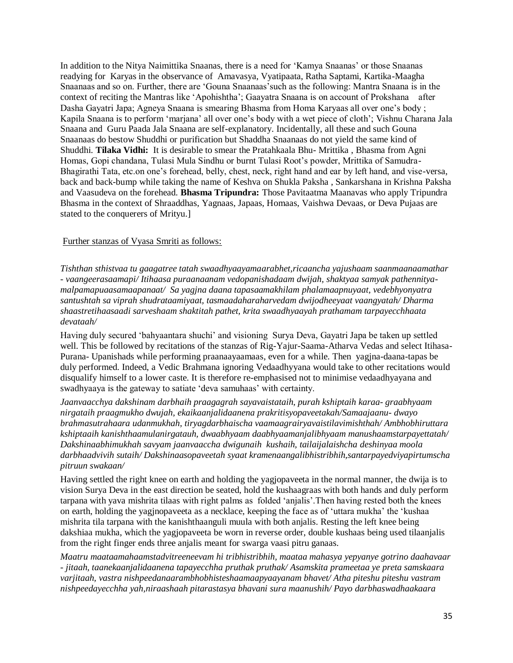In addition to the Nitya Naimittika Snaanas, there is a need for 'Kamya Snaanas' or those Snaanas readying for Karyas in the observance of Amavasya, Vyatipaata, Ratha Saptami, Kartika-Maagha Snaanaas and so on. Further, there are 'Gouna Snaanaas'such as the following: Mantra Snaana is in the context of reciting the Mantras like 'Apohishtha'; Gaayatra Snaana is on account of Prokshana after Dasha Gayatri Japa; Agneya Snaana is smearing Bhasma from Homa Karyaas all over one's body ; Kapila Snaana is to perform 'marjana' all over one's body with a wet piece of cloth'; Vishnu Charana Jala Snaana and Guru Paada Jala Snaana are self-explanatory. Incidentally, all these and such Gouna Snaanaas do bestow Shuddhi or purification but Shaddha Snaanaas do not yield the same kind of Shuddhi. **Tilaka Vidhi:** It is desirable to smear the Pratahkaala Bhu- Mrittika , Bhasma from Agni Homas, Gopi chandana, Tulasi Mula Sindhu or burnt Tulasi Root's powder, Mrittika of Samudra-Bhagirathi Tata, etc.on one's forehead, belly, chest, neck, right hand and ear by left hand, and vise-versa, back and back-bump while taking the name of Keshva on Shukla Paksha , Sankarshana in Krishna Paksha and Vaasudeva on the forehead. **Bhasma Tripundra:** Those Pavitaatma Maanavas who apply Tripundra Bhasma in the context of Shraaddhas, Yagnaas, Japaas, Homaas, Vaishwa Devaas, or Deva Pujaas are stated to the conquerers of Mrityu.]

## Further stanzas of Vyasa Smriti as follows:

*Tishthan sthistvaa tu gaagatree tatah swaadhyaayamaarabhet,ricaancha yajushaam saanmaanaamathar - vaangeerasaamapi/ Itihaasa puraanaanam vedopanishadaam dwijah, shaktyaa samyak pathennityamalpamapuaasamaapanaat/ Sa yagjna daana tapasaamakhilam phalamaapnuyaat, vedebhyonyatra santushtah sa viprah shudrataamiyaat, tasmaadaharaharvedam dwijodheeyaat vaangyatah/ Dharma shaastretihaasaadi sarveshaam shaktitah pathet, krita swaadhyaayah prathamam tarpayecchhaata devataah/*

Having duly secured 'bahyaantara shuchi' and visioning Surya Deva, Gayatri Japa be taken up settled well. This be followed by recitations of the stanzas of Rig-Yajur-Saama-Atharva Vedas and select Itihasa-Purana- Upanishads while performing praanaayaamaas, even for a while. Then yagjna-daana-tapas be duly performed. Indeed, a Vedic Brahmana ignoring Vedaadhyyana would take to other recitations would disqualify himself to a lower caste. It is therefore re-emphasised not to minimise vedaadhyayana and swadhyaaya is the gateway to satiate 'deva samuhaas' with certainty.

*Jaanvaacchya dakshinam darbhaih praagagrah sayavaistataih, purah kshiptaih karaa- graabhyaam nirgataih praagmukho dwujah, ekaikaanjalidaanena prakritisyopaveetakah/Samaajaanu- dwayo brahmasutrahaara udanmukhah, tiryagdarbhaischa vaamaagrairyavaistilavimishthah/ Ambhobhiruttara kshiptaaih kanishthaamulanirgatauh, dwaabhyaam daabhyaamanjalibhyaam manushaamstarpayettatah/ Dakshinaabhimukhah savyam jaanvaaccha dwigunaih kushaih, tailaijalaishcha deshinyaa moola darbhaadvivih sutaih/ Dakshinaasopaveetah syaat kramenaangalibhistribhih,santarpayedviyapirtumscha pitruun swakaan/*

Having settled the right knee on earth and holding the yagjopaveeta in the normal manner, the dwija is to vision Surya Deva in the east direction be seated, hold the kushaagraas with both hands and duly perform tarpana with yava mishrita tilaas with right palms as folded 'anjalis'.Then having rested both the knees on earth, holding the yagjnopaveeta as a necklace, keeping the face as of 'uttara mukha' the 'kushaa mishrita tila tarpana with the kanishthaanguli muula with both anjalis. Resting the left knee being dakshiaa mukha, which the yagjopaveeta be worn in reverse order, double kushaas being used tilaanjalis from the right finger ends three anjalis meant for swarga vaasi pitru ganaas.

*Maatru maataamahaamstadvitreeneevam hi tribhistribhih, maataa mahasya yepyanye gotrino daahavaar - jitaah, taanekaanjalidaanena tapayecchha pruthak pruthak/ Asamskita prameetaa ye preta samskaara varjitaah, vastra nishpeedanaarambhobhisteshaamaapyaayanam bhavet/ Atha piteshu piteshu vastram nishpeedayecchha yah,niraashaah pitarastasya bhavani sura maanushih/ Payo darbhaswadhaakaara*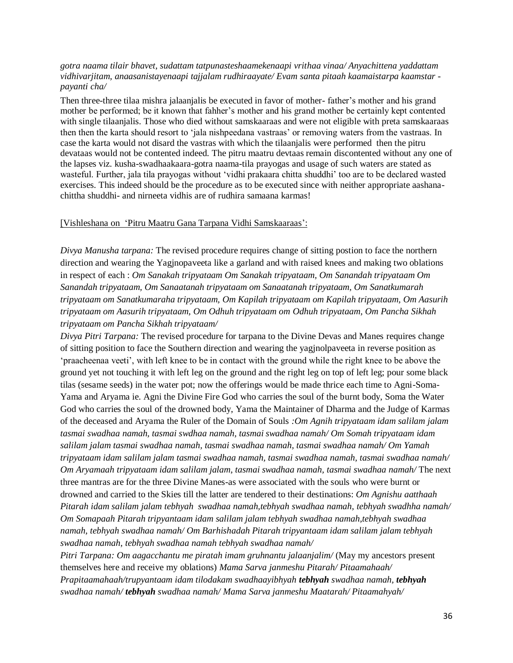# *gotra naama tilair bhavet, sudattam tatpunasteshaamekenaapi vrithaa vinaa/ Anyachittena yaddattam vidhivarjitam, anaasanistayenaapi tajjalam rudhiraayate/ Evam santa pitaah kaamaistarpa kaamstar payanti cha/*

Then three-three tilaa mishra jalaanjalis be executed in favor of mother- father's mother and his grand mother be performed; be it known that fahher's mother and his grand mother be certainly kept contented with single tilaanjalis. Those who died without samskaaraas and were not eligible with preta samskaaraas then then the karta should resort to 'jala nishpeedana vastraas' or removing waters from the vastraas. In case the karta would not disard the vastras with which the tilaanjalis were performed then the pitru devataas would not be contented indeed. The pitru maatru devtaas remain discontented without any one of the lapses viz. kusha-swadhaakaara-gotra naama-tila prayogas and usage of such waters are stated as wasteful. Further, jala tila prayogas without 'vidhi prakaara chitta shuddhi' too are to be declared wasted exercises. This indeed should be the procedure as to be executed since with neither appropriate aashanachittha shuddhi- and nirneeta vidhis are of rudhira samaana karmas!

#### [Vishleshana on 'Pitru Maatru Gana Tarpana Vidhi Samskaaraas':

*Divya Manusha tarpana:* The revised procedure requires change of sitting postion to face the northern direction and wearing the Yagjnopaveeta like a garland and with raised knees and making two oblations in respect of each : *Om Sanakah tripyataam Om Sanakah tripyataam, Om Sanandah tripyataam Om Sanandah tripyataam, Om Sanaatanah tripyataam om Sanaatanah tripyataam, Om Sanatkumarah tripyataam om Sanatkumaraha tripyataam, Om Kapilah tripyataam om Kapilah tripyataam, Om Aasurih tripyataam om Aasurih tripyataam, Om Odhuh tripyataam om Odhuh tripyataam, Om Pancha Sikhah tripyataam om Pancha Sikhah tripyataam/* 

*Divya Pitri Tarpana:* The revised procedure for tarpana to the Divine Devas and Manes requires change of sitting position to face the Southern direction and wearing the yagjnolpaveeta in reverse position as 'praacheenaa veeti', with left knee to be in contact with the ground while the right knee to be above the ground yet not touching it with left leg on the ground and the right leg on top of left leg; pour some black tilas (sesame seeds) in the water pot; now the offerings would be made thrice each time to Agni-Soma-Yama and Aryama ie. Agni the Divine Fire God who carries the soul of the burnt body, Soma the Water God who carries the soul of the drowned body, Yama the Maintainer of Dharma and the Judge of Karmas of the deceased and Aryama the Ruler of the Domain of Souls *:Om Agnih tripyataam idam salilam jalam tasmai swadhaa namah, tasmai swdhaa namah, tasmai swadhaa namah/ Om Somah tripyataam idam salilam jalam tasmai swadhaa namah, tasmai swadhaa namah, tasmai swadhaa namah/ Om Yamah tripyataam idam salilam jalam tasmai swadhaa namah, tasmai swadhaa namah, tasmai swadhaa namah/ Om Aryamaah tripyataam idam salilam jalam, tasmai swadhaa namah, tasmai swadhaa namah/* The next three mantras are for the three Divine Manes-as were associated with the souls who were burnt or drowned and carried to the Skies till the latter are tendered to their destinations: *Om Agnishu aatthaah Pitarah idam salilam jalam tebhyah swadhaa namah,tebhyah swadhaa namah, tebhyah swadhha namah/ Om Somapaah Pitarah tripyantaam idam salilam jalam tebhyah swadhaa namah,tebhyah swadhaa namah, tebhyah swadhaa namah/ Om Barhishadah Pitarah tripyantaam idam salilam jalam tebhyah swadhaa namah, tebhyah swadhaa namah tebhyah swadhaa namah/* 

*Pitri Tarpana: Om aagacchantu me piratah imam gruhnantu jalaanjalim/* (May my ancestors present themselves here and receive my oblations) *Mama Sarva janmeshu Pitarah/ Pitaamahaah/ Prapitaamahaah/trupyantaam idam tilodakam swadhaayibhyah tebhyah swadhaa namah, tebhyah swadhaa namah/ tebhyah swadhaa namah/ Mama Sarva janmeshu Maatarah/ Pitaamahyah/*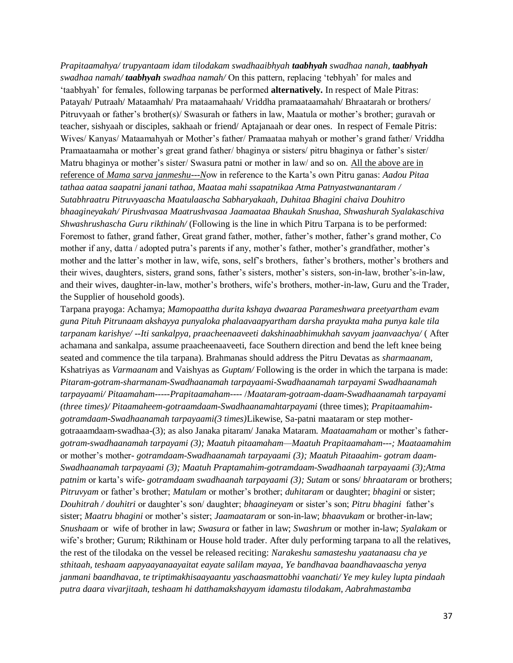*Prapitaamahya/ trupyantaam idam tilodakam swadhaaibhyah taabhyah swadhaa nanah, taabhyah swadhaa namah/ taabhyah swadhaa namah/* On this pattern, replacing 'tebhyah' for males and 'taabhyah' for females, following tarpanas be performed **alternatively.** In respect of Male Pitras: Patayah/ Putraah/ Mataamhah/ Pra mataamahaah/ Vriddha pramaataamahah/ Bhraatarah or brothers/ Pitruvyaah or father's brother(s)/ Swasurah or fathers in law, Maatula or mother's brother; guravah or teacher, sishyaah or disciples, sakhaah or friend/ Aptajanaah or dear ones. In respect of Female Pitris: Wives/ Kanyas/ Mataamahyah or Mother's father/ Pramaataa mahyah or mother's grand father/ Vriddha Pramaataamaha or mother's great grand father/ bhaginya or sisters/ pitru bhaginya or father's sister/ Matru bhaginya or mother's sister/ Swasura patni or mother in law/ and so on. All the above are in reference of *Mama sarva janmeshu---N*ow in reference to the Karta's own Pitru ganas: *Aadou Pitaa tathaa aataa saapatni janani tathaa, Maataa mahi ssapatnikaa Atma Patnyastwanantaram / Sutabhraatru Pitruvyaascha Maatulaascha Sabharyakaah, Duhitaa Bhagini chaiva Douhitro bhaagineyakah/ Pirushvasaa Maatrushvasaa Jaamaataa Bhaukah Snushaa, Shwashurah Syalakaschiva Shwashrushascha Guru rikthinah/* (Following is the line in which Pitru Tarpana is to be performed: Foremost to father, grand father, Great grand father, mother, father's mother, father's grand mother, Co mother if any, datta / adopted putra's parents if any, mother's father, mother's grandfather, mother's mother and the latter's mother in law, wife, sons, self's brothers, father's brothers, mother's brothers and their wives, daughters, sisters, grand sons, father's sisters, mother's sisters, son-in-law, brother's-in-law, and their wives, daughter-in-law, mother's brothers, wife's brothers, mother-in-law, Guru and the Trader, the Supplier of household goods).

Tarpana prayoga: Achamya; *Mamopaattha durita kshaya dwaaraa Parameshwara preetyartham evam guna Pituh Pitrunaam akshayya punyaloka phalaavaapyartham darsha prayukta maha punya kale tila tarpanam karishye/* --*Iti sankalpya, praacheenaaveeti dakshinaabhimukhah savyam jaanvaachya/* ( After achamana and sankalpa, assume praacheenaaveeti, face Southern direction and bend the left knee being seated and commence the tila tarpana). Brahmanas should address the Pitru Devatas as *sharmaanam,*  Kshatriyas as *Varmaanam* and Vaishyas as *Guptam/* Following is the order in which the tarpana is made: *Pitaram-gotram-sharmanam-Swadhaanamah tarpayaami-Swadhaanamah tarpayami Swadhaanamah tarpayaami/ Pitaamaham-----Prapitaamaham----* /*Maataram-gotraam-daam-Swadhaanamah tarpayami (three times)/ Pitaamaheem-gotraamdaam-Swadhaanamahtarpayami* (three times); *Prapitaamahimgotramdaam-Swadhaanamah tarpayaami(3 times)*Likewise, Sa-patni maataram or step mothergotraaamdaam-swadhaa-(3); as also Janaka pitaram/ Janaka Mataram. *Maataamaham* or mother's father*gotram-swadhaanamah tarpayami (3); Maatuh pitaamaham—Maatuh Prapitaamaham---; Maataamahim*  or mother's mother*- gotramdaam-Swadhaanamah tarpayaami (3); Maatuh Pitaaahim- gotram daam-Swadhaanamah tarpayaami (3); Maatuh Praptamahim-gotramdaam-Swadhaanah tarpayaami (3);Atma patnim* or karta's wife- *gotramdaam swadhaanah tarpayaami (3); Sutam* or sons/ *bhraataram* or brothers; *Pitruvyam* or father's brother; *Matulam* or mother's brother; *duhitaram* or daughter; *bhagini* or sister; *Douhitrah / douhitri* or daughter's son/ daughter; *bhaagineyam* or sister's son; *Pitru bhagini* father's sister; *Maatru bhagini* or mother's sister; *Jaamaataram* or son-in-law; *bhaavukam* or brother-in-law; *Snushaam* or wife of brother in law; *Swasura* or father in law; *Swashrum* or mother in-law; *Syalakam* or wife's brother; Gurum; Rikthinam or House hold trader. After duly performing tarpana to all the relatives, the rest of the tilodaka on the vessel be released reciting: *Narakeshu samasteshu yaatanaasu cha ye sthitaah, teshaam aapyaayanaayaitat eayate salilam mayaa, Ye bandhavaa baandhavaascha yenya janmani baandhavaa, te triptimakhisaayaantu yaschaasmattobhi vaanchati/ Ye mey kuley lupta pindaah putra daara vivarjitaah, teshaam hi datthamakshayyam idamastu tilodakam, Aabrahmastamba*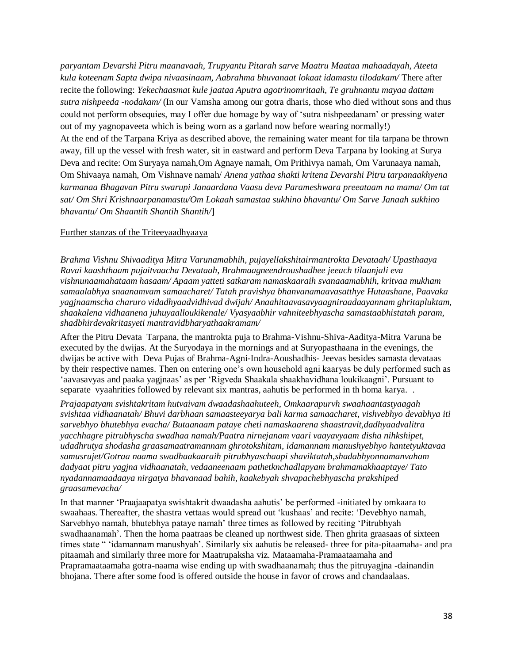*paryantam Devarshi Pitru maanavaah, Trupyantu Pitarah sarve Maatru Maataa mahaadayah, Ateeta kula koteenam Sapta dwipa nivaasinaam, Aabrahma bhuvanaat lokaat idamastu tilodakam/* There after recite the following: *Yekechaasmat kule jaataa Aputra agotrinomritaah, Te gruhnantu mayaa dattam sutra nishpeeda -nodakam/* (In our Vamsha among our gotra dharis, those who died without sons and thus could not perform obsequies, may I offer due homage by way of 'sutra nishpeedanam' or pressing water out of my yagnopaveeta which is being worn as a garland now before wearing normally!) At the end of the Tarpana Kriya as described above, the remaining water meant for tila tarpana be thrown away, fill up the vessel with fresh water, sit in eastward and perform Deva Tarpana by looking at Surya Deva and recite: Om Suryaya namah,Om Agnaye namah, Om Prithivya namah, Om Varunaaya namah, Om Shivaaya namah, Om Vishnave namah/ *Anena yathaa shakti kritena Devarshi Pitru tarpanaakhyena karmanaa Bhagavan Pitru swarupi Janaardana Vaasu deva Parameshwara preeataam na mama/ Om tat sat/ Om Shri Krishnaarpanamastu/Om Lokaah samastaa sukhino bhavantu/ Om Sarve Janaah sukhino bhavantu/ Om Shaantih Shantih Shantih/*]

## Further stanzas of the Triteeyaadhyaaya

*Brahma Vishnu Shivaaditya Mitra Varunamabhih, pujayellakshitairmantrokta Devataah/ Upasthaaya Ravai kaashthaam pujaitvaacha Devataah, Brahmaagneendroushadhee jeeach tilaanjali eva vishnunaamahataam hasaam/ Apaam yatteti satkaram namaskaaraih svanaaamabhih, kritvaa mukham samaalabhya snaanamvam samaacharet/ Tatah pravishya bhanvanamaavasatthye Hutaashane, Paavaka yagjnaamscha charuro vidadhyaadvidhivad dwijah/ Anaahitaavasavyaagniraadaayannam ghritapluktam, shaakalena vidhaanena juhuyaalloukikenale/ Vyasyaabhir vahniteebhyascha samastaabhistatah param, shadbhirdevakritasyeti mantravidbharyathaakramam/*

After the Pitru Devata Tarpana, the mantrokta puja to Brahma-Vishnu-Shiva-Aaditya-Mitra Varuna be executed by the dwijas. At the Suryodaya in the mornings and at Suryopasthaana in the evenings, the dwijas be active with Deva Pujas of Brahma-Agni-Indra-Aoushadhis- Jeevas besides samasta devataas by their respective names. Then on entering one's own household agni kaaryas be duly performed such as 'aavasavyas and paaka yagjnaas' as per 'Rigveda Shaakala shaakhavidhana loukikaagni'. Pursuant to separate vyaahrities followed by relevant six mantras, aahutis be performed in th homa karya. .

*Prajaapatyam svishtakritam hutvaivam dwaadashaahuteeh, Omkaarapurvh swaahaantastyaagah svishtaa vidhaanatah/ Bhuvi darbhaan samaasteeyarya bali karma samaacharet, vishvebhyo devabhya iti sarvebhyo bhutebhya evacha/ Butaanaam pataye cheti namaskaarena shaastravit,dadhyaadvalitra yacchhagre pitrubhyscha swadhaa namah/Paatra nirnejanam vaari vaayavyaam disha nihkshipet, udadhrutya shodasha graasamaatramannam ghrotokshitam, idamannam manushyebhyo hantetyuktavaa samusrujet/Gotraa naama swadhaakaaraih pitrubhyaschaapi shaviktatah,shadabhyonnamanvaham dadyaat pitru yagjna vidhaanatah, vedaaneenaam pathetknchadlapyam brahmamakhaaptaye/ Tato nyadannamaadaaya nirgatya bhavanaad bahih, kaakebyah shvapachebhyascha prakshiped graasamevacha/* 

In that manner 'Praajaapatya swishtakrit dwaadasha aahutis' be performed -initiated by omkaara to swaahaas. Thereafter, the shastra vettaas would spread out 'kushaas' and recite: 'Devebhyo namah, Sarvebhyo namah, bhutebhya pataye namah' three times as followed by reciting 'Pitrubhyah swadhaanamah'. Then the homa paatraas be cleaned up northwest side. Then ghrita graasaas of sixteen times state " 'idamannam manushyah'. Similarly six aahutis be released- three for pita-pitaamaha- and pra pitaamah and similarly three more for Maatrupaksha viz. Mataamaha-Pramaataamaha and Prapramaataamaha gotra-naama wise ending up with swadhaanamah; thus the pitruyagjna -dainandin bhojana. There after some food is offered outside the house in favor of crows and chandaalaas.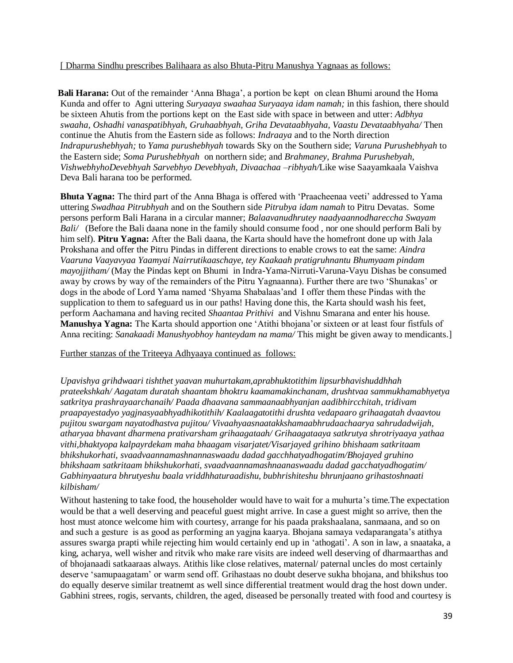[ Dharma Sindhu prescribes Balihaara as also Bhuta-Pitru Manushya Yagnaas as follows:

 **Bali Harana:** Out of the remainder 'Anna Bhaga', a portion be kept on clean Bhumi around the Homa Kunda and offer to Agni uttering *Suryaaya swaahaa Suryaaya idam namah;* in this fashion, there should be sixteen Ahutis from the portions kept on the East side with space in between and utter: *Adbhya swaaha, Oshadhi vanaspatibhyah, Gruhaabhyah, Griha Devataabhyaha, Vaastu Devataabhyaha/* Then continue the Ahutis from the Eastern side as follows: *Indraaya* and to the North direction *Indrapurushebhyah;* to *Yama purushebhyah* towards Sky on the Southern side; *Varuna Purushebhyah* to the Eastern side; *Soma Purushebhyah* on northern side; and *Brahmaney, Brahma Purushebyah, VishwebhyhoDevebhyah Sarvebhyo Devebhyah, Divaachaa –ribhyah/*Like wise Saayamkaala Vaishva Deva Bali harana too be performed.

 **Bhuta Yagna:** The third part of the Anna Bhaga is offered with 'Praacheenaa veeti' addressed to Yama uttering *Swadhaa Pitrubhyah* and on the Southern side *Pitrubya idam namah* to Pitru Devatas. Some persons perform Bali Harana in a circular manner; *Balaavanudhrutey naadyaannodhareccha Swayam Bali/* (Before the Bali daana none in the family should consume food, nor one should perform Bali by him self). **Pitru Yagna:** After the Bali daana, the Karta should have the homefront done up with Jala Prokshana and offer the Pitru Pindas in different directions to enable crows to eat the same: *Aindra Vaaruna Vaayavyaa Yaamyai Nairrutikaaschaye, tey Kaakaah pratigruhnantu Bhumyaam pindam mayojjitham/* (May the Pindas kept on Bhumi in Indra-Yama-Nirruti-Varuna-Vayu Dishas be consumed away by crows by way of the remainders of the Pitru Yagnaanna). Further there are two 'Shunakas' or dogs in the abode of Lord Yama named 'Shyama Shabalaas'and I offer them these Pindas with the supplication to them to safeguard us in our paths! Having done this, the Karta should wash his feet, perform Aachamana and having recited *Shaantaa Prithivi* and Vishnu Smarana and enter his house. **Manushya Yagna:** The Karta should apportion one 'Atithi bhojana'or sixteen or at least four fistfuls of Anna reciting: *Sanakaadi Manushyobhoy hanteydam na mama/* This might be given away to mendicants.]

# Further stanzas of the Triteeya Adhyaaya continued as follows:

*Upavishya grihdwaari tishthet yaavan muhurtakam,aprabhuktotithim lipsurbhavishuddhhah prateekshkah/ Aagatam duratah shaantam bhoktru kaamamakinchanam, drushtvaa sammukhamabhyetya satkritya prashrayaarchanaih/ Paada dhaavana sammaanaabhyanjan aadibhircchitah, tridivam praapayestadyo yagjnasyaabhyadhikotithih/ Kaalaagatotithi drushta vedapaaro grihaagatah dvaavtou pujitou swargam nayatodhastva pujitou/ Vivaahyaasnaatakkshamaabhrudaachaarya sahrudadwijah, atharyaa bhavant dharmena prativarsham grihaagataah/ Grihaagataaya satkrutya shrotriyaaya yathaa vithi,bhaktyopa kalpayrdekam maha bhaagam visarjatet/Visarjayed grihino bhishaam satkritaam bhikshukorhati, svaadvaannamashnannaswaadu dadad gacchhatyadhogatim/Bhojayed gruhino bhikshaam satkritaam bhikshukorhati, svaadvaannamashnaanaswaadu dadad gacchatyadhogatim/ Gabhinyaatura bhrutyeshu baala vriddhhaturaadishu, bubhrishiteshu bhrunjaano grihastoshnaati kilbisham/*

Without hastening to take food, the householder would have to wait for a muhurta's time.The expectation would be that a well deserving and peaceful guest might arrive. In case a guest might so arrive, then the host must atonce welcome him with courtesy, arrange for his paada prakshaalana, sanmaana, and so on and such a gesture is as good as performing an yagjna kaarya. Bhojana samaya vedaparangata's atithya assures swarga prapti while rejecting him would certainly end up in 'athogati'. A son in law, a snaataka, a king, acharya, well wisher and ritvik who make rare visits are indeed well deserving of dharmaarthas and of bhojanaadi satkaaraas always. Atithis like close relatives, maternal/ paternal uncles do most certainly deserve 'samupaagatam' or warm send off. Grihastaas no doubt deserve sukha bhojana, and bhikshus too do equally deserve similar treatnemt as well since differential treatment would drag the host down under. Gabhini strees, rogis, servants, children, the aged, diseased be personally treated with food and courtesy is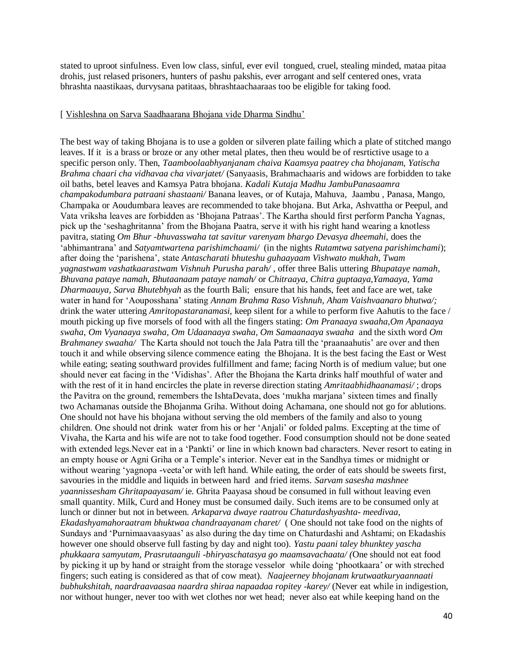stated to uproot sinfulness. Even low class, sinful, ever evil tongued, cruel, stealing minded, mataa pitaa drohis, just relased prisoners, hunters of pashu pakshis, ever arrogant and self centered ones, vrata bhrashta naastikaas, durvysana patitaas, bhrashtaachaaraas too be eligible for taking food.

#### [ Vishleshna on Sarva Saadhaarana Bhojana vide Dharma Sindhu'

 The best way of taking Bhojana is to use a golden or silveren plate failing which a plate of stitched mango leaves. If it is a brass or broze or any other metal plates, then theu would be of resrtictive usage to a specific person only. Then, *Taamboolaabhyanjanam chaiva Kaamsya paatrey cha bhojanam, Yatischa Brahma chaari cha vidhavaa cha vivarjatet/* (Sanyaasis, Brahmachaaris and widows are forbidden to take oil baths, betel leaves and Kamsya Patra bhojana. *Kadali Kutaja Madhu JambuPanasaamra champakodumbara patraani shastaani/* Banana leaves, or of Kutaja, Mahuva, Jaambu , Panasa, Mango, Champaka or Aoudumbara leaves are recommended to take bhojana. But Arka, Ashvattha or Peepul, and Vata vriksha leaves are forbidden as 'Bhojana Patraas'. The Kartha should first perform Pancha Yagnas, pick up the 'seshaghritanna' from the Bhojana Paatra, serve it with his right hand wearing a knotless pavitra, stating *Om Bhur -bhuvasswaha tat savitur varenyam bhargo Devasya dheemahi,* does the 'abhimantrana' and *Satyamtwartena parishimchaami/* (in the nights *Rutamtwa satyena parishimchami*); after doing the 'parishena', state *Antascharati bhuteshu guhaayaam Vishwato mukhah, Twam yagnastwam vashatkaarastwam Vishnuh Purusha parah/* , offer three Balis uttering *Bhupataye namah, Bhuvana pataye namah, Bhutaanaam pataye namah/* or *Chitraaya, Chitra guptaaya,Yamaaya, Yama Dharmaauya, Sarva Bhutebhyah* as the fourth Bali; ensure that his hands, feet and face are wet, take water in hand for 'Aouposshana' stating *Annam Brahma Raso Vishnuh, Aham Vaishvaanaro bhutwa/;*  drink the water uttering *Amritopastaranamasi,* keep silent for a while to perform five Aahutis to the face / mouth picking up five morsels of food with all the fingers stating: *Om Pranaaya swaaha,Om Apanaaya swaha, Om Vyanaaya swaha, Om Udaanaaya swaha, Om Samaanaaya swaaha* and the sixth word *Om Brahmaney swaaha/* The Karta should not touch the Jala Patra till the 'praanaahutis' are over and then touch it and while observing silence commence eating the Bhojana. It is the best facing the East or West while eating; seating southward provides fulfillment and fame; facing North is of medium value; but one should never eat facing in the 'Vidishas'. After the Bhojana the Karta drinks half mouthful of water and with the rest of it in hand encircles the plate in reverse direction stating *Amritaabhidhaanamasi/* ; drops the Pavitra on the ground, remembers the IshtaDevata, does 'mukha marjana' sixteen times and finally two Achamanas outside the Bhojanma Griha. Without doing Achamana, one should not go for ablutions. One should not have his bhojana without serving the old members of the family and also to young children. One should not drink water from his or her 'Anjali' or folded palms. Excepting at the time of Vivaha, the Karta and his wife are not to take food together. Food consumption should not be done seated with extended legs. Never eat in a 'Pankti' or line in which known bad characters. Never resort to eating in an empty house or Agni Griha or a Temple's interior. Never eat in the Sandhya times or midnight or without wearing 'yagnopa -veeta'or with left hand. While eating, the order of eats should be sweets first, savouries in the middle and liquids in between hard and fried items. *Sarvam sasesha mashnee yaannissesham Ghritapaayasam/* ie. Ghrita Paayasa shoud be consumed in full without leaving even small quantity. Milk, Curd and Honey must be consumed daily. Such items are to be consumed only at lunch or dinner but not in between. *Arkaparva dwaye raatrou Chaturdashyashta- meedivaa, Ekadashyamahoraatram bhuktwaa chandraayanam charet/* ( One should not take food on the nights of Sundays and 'Purnimaavaasyaas' as also during the day time on Chaturdashi and Ashtami; on Ekadashis however one should observe full fasting by day and night too). *Yastu paani taley bhunktey yascha phukkaara samyutam, Prasrutaanguli -bhiryaschatasya go maamsavachaata/ (*One should not eat food by picking it up by hand or straight from the storage vesselor while doing 'phootkaara' or with streched fingers; such eating is considered as that of cow meat). *Naajeerney bhojanam krutwaatkuryaannaati bubhukshitah, naardraavaasaa naardra shiraa napaadaa ropitey -karey/* (Never eat while in indigestion, nor without hunger, never too with wet clothes nor wet head; never also eat while keeping hand on the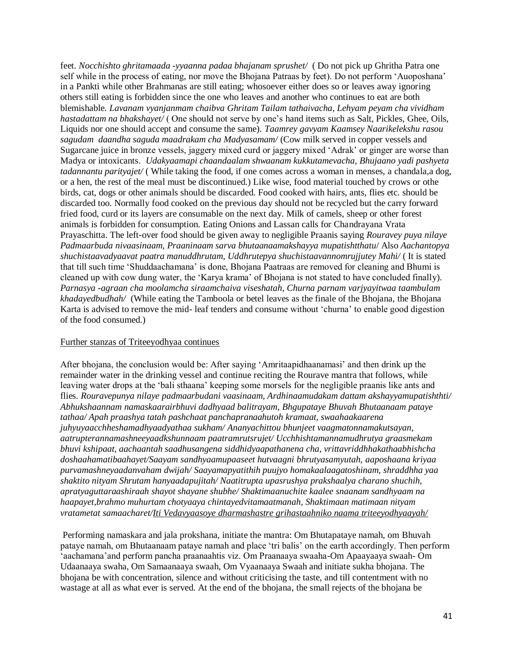feet. *Nocchishto ghritamaada -yyaanna padaa bhajanam sprushet/* ( Do not pick up Ghritha Patra one self while in the process of eating, nor move the Bhojana Patraas by feet). Do not perform 'Auoposhana' in a Pankti while other Brahmanas are still eating; whosoever either does so or leaves away ignoring others still eating is forbidden since the one who leaves and another who continues to eat are both blemishable. *Lavanam vyanjanmam chaibva Ghritam Tailam tathaivacha, Lehyam peyam cha vividham hastadattam na bhakshayet/* ( One should not serve by one's hand items such as Salt, Pickles, Ghee, Oils, Liquids nor one should accept and consume the same). *Taamrey gavyam Kaamsey Naarikelekshu rasou sagudam daandha saguda maadrakam cha Madyasamam/* (Cow milk served in copper vessels and Sugarcane juice in bronze vessels, jaggery mixed curd or jaggery mixed 'Adrak' or ginger are worse than Madya or intoxicants. *Udakyaamapi chaandaalam shwaanam kukkutamevacha, Bhujaano yadi pashyeta tadannantu parityajet/* ( While taking the food, if one comes across a woman in menses, a chandala,a dog, or a hen, the rest of the meal must be discontinued.) Like wise, food material touched by crows or othe birds, cat, dogs or other animals should be discarded. Food cooked with hairs, ants, flies etc. should be discarded too. Normally food cooked on the previous day should not be recycled but the carry forward fried food, curd or its layers are consumable on the next day. Milk of camels, sheep or other forest animals is forbidden for consumption. Eating Onions and Lassan calls for Chandrayana Vrata Prayaschitta. The left-over food should be given away to negligible Praanis saying *Rouravey puya nilaye Padmaarbuda nivaasinaam, Praaninaam sarva bhutaanaamakshayya mupatishtthatu*/ Also *Aachantopya shuchistaavadyaavat paatra manuddhrutam, Uddhrutepya shuchistaavannomrujjutey Mahi/* ( It is stated that till such time 'Shuddaachamana' is done, Bhojana Paatraas are removed for cleaning and Bhumi is cleaned up with cow dung water, the 'Karya krama' of Bhojana is not stated to have concluded finally). *Parnasya -agraan cha moolamcha siraamchaiva viseshatah, Churna parnam varjyayitwaa taambulam khadayedbudhah/* (While eating the Tamboola or betel leaves as the finale of the Bhojana, the Bhojana Karta is advised to remove the mid- leaf tenders and consume without 'churna' to enable good digestion of the food consumed.)

#### Further stanzas of Triteeyodhyaa continues

After bhojana, the conclusion would be: After saying 'Amritaapidhaanamasi' and then drink up the remainder water in the drinking vessel and continue reciting the Rourave mantra that follows, while leaving water drops at the 'bali sthaana' keeping some morsels for the negligible praanis like ants and flies. *Rouravepunya nilaye padmaarbudani vaasinaam, Ardhinaamudakam dattam akshayyamupatishthti/ Abhukshaannam namaskaarairbhuvi dadhyaad balitrayam, Bhgupataye Bhuvah Bhutaanaam pataye tathaa/ Apah praashya tatah pashchaat panchapranaahutoh kramaat, swaahaakaarena juhyuyaacchheshamadhyaadyathaa sukham/ Ananyachittou bhunjeet vaagmatonnamakutsayan, aatrupterannamashneeyaadkshunnaam paatramrutsrujet/ Ucchhishtamannamudhrutya graasmekam bhuvi kshipaat, aachaantah saadhusangena siddhidyaapathanena cha, vrittavriddhhakathaabhishcha doshaahamatibaahayet/Saayam sandhyaamupaaseet hutvaagni bhrutyasamyutah, aaposhaana kriyaa purvamashneyaadanvaham dwijah/ Saayamapyatithih puujyo homakaalaagatoshinam, shraddhha yaa shaktito nityam Shrutam hanyaadapujitah/ Naatitrupta upasrushya prakshaalya charano shuchih, apratyaguttaraashiraah shayot shayane shubhe/ Shaktimaanuchite kaalee snaanam sandhyaam na haapayet,brahmo muhurtam chotyaaya chintayedvitamaatmanah, Shaktimaan matimaan nityam vratametat samaacharet/Iti Vedavyaasoye dharmashastre grihastaahniko naama triteeyodhyaayah/*

Performing namaskara and jala prokshana, initiate the mantra: Om Bhutapataye namah, om Bhuvah pataye namah, om Bhutaanaam pataye namah and place 'tri balis' on the earth accordingly. Then perform 'aachamana'and perform pancha praanaahtis viz. Om Praanaaya swaaha-Om Apaayaaya swaah- Om Udaanaaya swaha, Om Samaanaaya swaah, Om Vyaanaaya Swaah and initiate sukha bhojana. The bhojana be with concentration, silence and without criticising the taste, and till contentment with no wastage at all as what ever is served. At the end of the bhojana, the small rejects of the bhojana be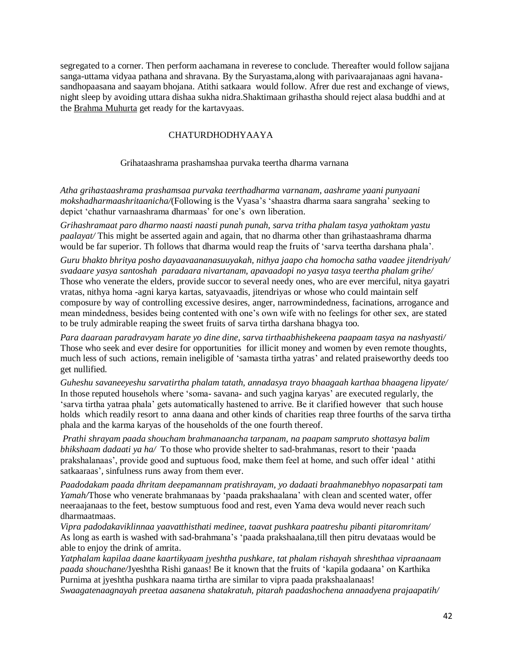segregated to a corner. Then perform aachamana in reverese to conclude. Thereafter would follow sajjana sanga-uttama vidyaa pathana and shravana. By the Suryastama,along with parivaarajanaas agni havanasandhopaasana and saayam bhojana. Atithi satkaara would follow. Afrer due rest and exchange of views, night sleep by avoiding uttara dishaa sukha nidra.Shaktimaan grihastha should reject alasa buddhi and at the Brahma Muhurta get ready for the kartavyaas.

# CHATURDHODHYAAYA

## Grihataashrama prashamshaa purvaka teertha dharma varnana

*Atha grihastaashrama prashamsaa purvaka teerthadharma varnanam, aashrame yaani punyaani mokshadharmaashritaanicha/*(Following is the Vyasa's 'shaastra dharma saara sangraha' seeking to depict 'chathur varnaashrama dharmaas' for one's own liberation.

*Grihashramaat paro dharmo naasti naasti punah punah, sarva tritha phalam tasya yathoktam yastu paalayat/* This might be asserted again and again, that no dharma other than grihastaashrama dharma would be far superior. Th follows that dharma would reap the fruits of 'sarva teertha darshana phala'.

*Guru bhakto bhritya posho dayaavaananasuuyakah, nithya jaapo cha homocha satha vaadee jitendriyah/ svadaare yasya santoshah paradaara nivartanam, apavaadopi no yasya tasya teertha phalam grihe/* Those who venerate the elders, provide succor to several needy ones, who are ever merciful, nitya gayatri vratas, nithya homa -agni karya kartas, satyavaadis, jitendriyas or whose who could maintain self composure by way of controlling excessive desires, anger, narrowmindedness, facinations, arrogance and mean mindedness, besides being contented with one's own wife with no feelings for other sex, are stated to be truly admirable reaping the sweet fruits of sarva tirtha darshana bhagya too.

*Para daaraan paradravyam harate yo dine dine, sarva tirthaabhishekeena paapaam tasya na nashyasti/* Those who seek and ever desire for opportunities for illicit money and women by even remote thoughts, much less of such actions, remain ineligible of 'samasta tirtha yatras' and related praiseworthy deeds too get nullified.

*Guheshu savaneeyeshu sarvatirtha phalam tatath, annadasya trayo bhaagaah karthaa bhaagena lipyate/* In those reputed househols where 'soma- savana- and such yagjna karyas' are executed regularly, the 'sarva tirtha yatraa phala' gets automatically hastened to arrive. Be it clarified however that such house holds which readily resort to anna daana and other kinds of charities reap three fourths of the sarva tirtha phala and the karma karyas of the households of the one fourth thereof.

*Prathi shrayam paada shoucham brahmanaancha tarpanam, na paapam sampruto shottasya balim bhikshaam dadaati ya ha/* To those who provide shelter to sad-brahmanas, resort to their 'paada prakshalanaas', provide good and suptuous food, make them feel at home, and such offer ideal ' atithi satkaaraas', sinfulness runs away from them ever.

*Paadodakam paada dhritam deepamannam pratishrayam, yo dadaati braahmanebhyo nopasarpati tam Yamah/*Those who venerate brahmanaas by 'paada prakshaalana' with clean and scented water, offer neeraajanaas to the feet, bestow sumptuous food and rest, even Yama deva would never reach such dharmaatmaas.

*Vipra padodakaviklinnaa yaavatthisthati medinee, taavat pushkara paatreshu pibanti pitaromritam/* As long as earth is washed with sad-brahmana's 'paada prakshaalana,till then pitru devataas would be able to enjoy the drink of amrita.

*Yatphalam kapilaa daane kaartikyaam jyeshtha pushkare, tat phalam rishayah shreshthaa vipraanaam paada shouchane/*Jyeshtha Rishi ganaas! Be it known that the fruits of 'kapila godaana' on Karthika Purnima at jyeshtha pushkara naama tirtha are similar to vipra paada prakshaalanaas!

*Swaagatenaagnayah preetaa aasanena shatakratuh, pitarah paadashochena annaadyena prajaapatih/*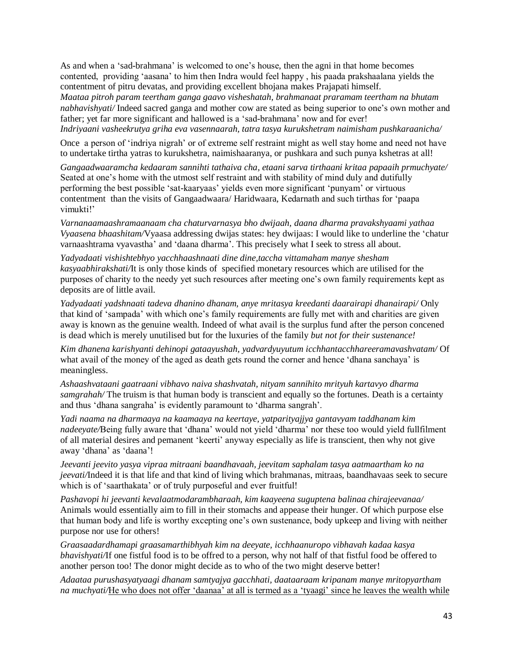As and when a 'sad-brahmana' is welcomed to one's house, then the agni in that home becomes contented, providing 'aasana' to him then Indra would feel happy , his paada prakshaalana yields the contentment of pitru devatas, and providing excellent bhojana makes Prajapati himself. *Maataa pitroh param teertham ganga gaavo visheshatah, brahmanaat praramam teertham na bhutam nabhavishyati/* Indeed sacred ganga and mother cow are stated as being superior to one's own mother and father; yet far more significant and hallowed is a 'sad-brahmana' now and for ever! *Indriyaani vasheekrutya griha eva vasennaarah, tatra tasya kurukshetram naimisham pushkaraanicha/*

Once a person of 'indriya nigrah' or of extreme self restraint might as well stay home and need not have to undertake tirtha yatras to kurukshetra, naimishaaranya, or pushkara and such punya kshetras at all!

*Gangaadwaaramcha kedaaram sannihti tathaiva cha, etaani sarva tirthaani kritaa papaaih prmuchyate/*  Seated at one's home with the utmost self restraint and with stability of mind duly and dutifully performing the best possible 'sat-kaaryaas' yields even more significant 'punyam' or virtuous contentment than the visits of Gangaadwaara/ Haridwaara, Kedarnath and such tirthas for 'paapa vimukti!'

*Varnanaamaashramaanaam cha chaturvarnasya bho dwijaah, daana dharma pravakshyaami yathaa Vyaasena bhaashitam/*Vyaasa addressing dwijas states: hey dwijaas: I would like to underline the 'chatur varnaashtrama vyavastha' and 'daana dharma'. This precisely what I seek to stress all about.

*Yadyadaati vishishtebhyo yacchhaashnaati dine dine,taccha vittamaham manye shesham kasyaabhirakshati/*It is only those kinds of specified monetary resources which are utilised for the purposes of charity to the needy yet such resources after meeting one's own family requirements kept as deposits are of little avail.

*Yadyadaati yadshnaati tadeva dhanino dhanam, anye mritasya kreedanti daarairapi dhanairapi/* Only that kind of 'sampada' with which one's family requirements are fully met with and charities are given away is known as the genuine wealth. Indeed of what avail is the surplus fund after the person concened is dead which is merely unutilised but for the luxuries of the family *but not for their sustenance!*

*Kim dhanena karishyanti dehinopi gataayushah, yadvardyuyutum icchhantacchhareeramavashvatam/* Of what avail of the money of the aged as death gets round the corner and hence 'dhana sanchaya' is meaningless.

*Ashaashvataani gaatraani vibhavo naiva shashvatah, nityam sannihito mrityuh kartavyo dharma samgrahah/* The truism is that human body is transcient and equally so the fortunes. Death is a certainty and thus 'dhana sangraha' is evidently paramount to 'dharma sangrah'.

*Yadi naama na dharmaaya na kaamaaya na keertaye, yatparityajjya gantavyam taddhanam kim nadeeyate/*Being fully aware that 'dhana' would not yield 'dharma' nor these too would yield fullfilment of all material desires and pemanent 'keerti' anyway especially as life is transcient, then why not give away 'dhana' as 'daana'!

*Jeevanti jeevito yasya vipraa mitraani baandhavaah, jeevitam saphalam tasya aatmaartham ko na jeevati/*Indeed it is that life and that kind of living which brahmanas, mitraas, baandhavaas seek to secure which is of 'saarthakata' or of truly purposeful and ever fruitful!

*Pashavopi hi jeevanti kevalaatmodarambharaah, kim kaayeena suguptena balinaa chirajeevanaa/* Animals would essentially aim to fill in their stomachs and appease their hunger. Of which purpose else that human body and life is worthy excepting one's own sustenance, body upkeep and living with neither purpose nor use for others!

*Graasaadardhamapi graasamarthibhyah kim na deeyate, icchhaanuropo vibhavah kadaa kasya bhavishyati/*If one fistful food is to be offred to a person, why not half of that fistful food be offered to another person too! The donor might decide as to who of the two might deserve better!

*Adaataa purushasyatyaagi dhanam samtyajya gacchhati, daataaraam kripanam manye mritopyartham na muchyati/*He who does not offer 'daanaa' at all is termed as a 'tyaagi' since he leaves the wealth while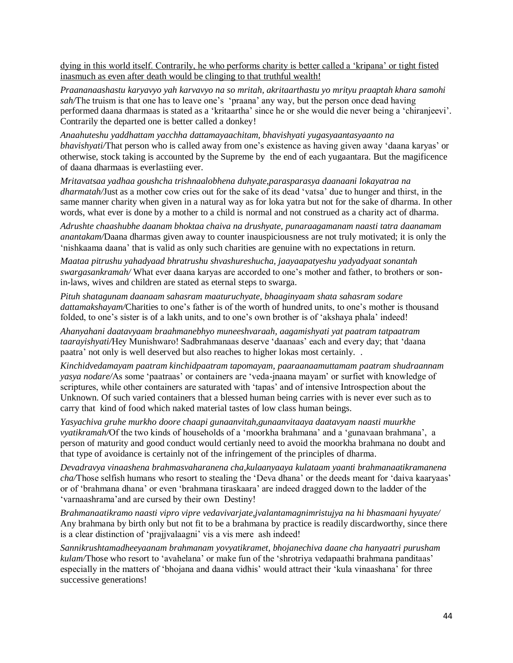dying in this world itself. Contrarily, he who performs charity is better called a 'kripana' or tight fisted inasmuch as even after death would be clinging to that truthful wealth!

*Praananaashastu karyavyo yah karvavyo na so mritah, akritaarthastu yo mrityu praaptah khara samohi sah/*The truism is that one has to leave one's 'praana' any way, but the person once dead having performed daana dharmaas is stated as a 'kritaartha' since he or she would die never being a 'chiranjeevi'. Contrarily the departed one is better called a donkey!

*Anaahuteshu yaddhattam yacchha dattamayaachitam, bhavishyati yugasyaantasyaanto na bhavishyati/*That person who is called away from one's existence as having given away 'daana karyas' or otherwise, stock taking is accounted by the Supreme by the end of each yugaantara. But the magificence of daana dharmaas is everlastiing ever.

*Mritavatsaa yadhaa goushcha trishnaalobhena duhyate,parasparasya daanaani lokayatraa na dharmatah/*Just as a mother cow cries out for the sake of its dead 'vatsa' due to hunger and thirst, in the same manner charity when given in a natural way as for loka yatra but not for the sake of dharma. In other words, what ever is done by a mother to a child is normal and not construed as a charity act of dharma.

*Adrushte chaashubhe daanam bhoktaa chaiva na drushyate, punaraagamanam naasti tatra daanamam anantakam/*Daana dharmas given away to counter inauspiciousness are not truly motivated; it is only the 'nishkaama daana' that is valid as only such charities are genuine with no expectations in return.

*Maataa pitrushu yahadyaad bhratrushu shvashureshucha, jaayaapatyeshu yadyadyaat sonantah swargasankramah/* What ever daana karyas are accorded to one's mother and father, to brothers or sonin-laws, wives and children are stated as eternal steps to swarga.

*Pituh shatagunam daanaam sahasram maaturuchyate, bhaaginyaam shata sahasram sodare dattamakshayam/*Charities to one's father is of the worth of hundred units, to one's mother is thousand folded, to one's sister is of a lakh units, and to one's own brother is of 'akshaya phala' indeed!

*Ahanyahani daatavyaam braahmanebhyo muneeshvaraah, aagamishyati yat paatram tatpaatram taarayishyati/*Hey Munishwaro! Sadbrahmanaas deserve 'daanaas' each and every day; that 'daana paatra' not only is well deserved but also reaches to higher lokas most certainly. .

*Kinchidvedamayam paatram kinchidpaatram tapomayam, paaraanaamuttamam paatram shudraannam yasya nodare/*As some 'paatraas' or containers are 'veda-jnaana mayam' or surfiet with knowledge of scriptures, while other containers are saturated with 'tapas' and of intensive Introspection about the Unknown. Of such varied containers that a blessed human being carries with is never ever such as to carry that kind of food which naked material tastes of low class human beings.

*Yasyachiva gruhe murkho doore chaapi gunaanvitah,gunaanvitaaya daatavyam naasti muurkhe vyatikramah/*Of the two kinds of households of a 'moorkha brahmana' and a 'gunavaan brahmana', a person of maturity and good conduct would certianly need to avoid the moorkha brahmana no doubt and that type of avoidance is certainly not of the infringement of the principles of dharma.

*Devadravya vinaashena brahmasvaharanena cha,kulaanyaaya kulataam yaanti brahmanaatikramanena cha/*Those selfish humans who resort to stealing the 'Deva dhana' or the deeds meant for 'daiva kaaryaas' or of 'brahmana dhana' or even 'brahmana tiraskaara' are indeed dragged down to the ladder of the 'varnaashrama'and are cursed by their own Destiny!

*Brahmanaatikramo naasti vipro vipre vedavivarjate,jvalantamagnimristujya na hi bhasmaani hyuyate/* Any brahmana by birth only but not fit to be a brahmana by practice is readily discardworthy, since there is a clear distinction of 'prajjvalaagni' vis a vis mere ash indeed!

*Sannikrushtamadheeyaanam brahmanam yovyatikramet, bhojanechiva daane cha hanyaatri purusham kulam/*Those who resort to 'avahelana' or make fun of the 'shrotriya vedapaathi brahmana panditaas' especially in the matters of 'bhojana and daana vidhis' would attract their 'kula vinaashana' for three successive generations!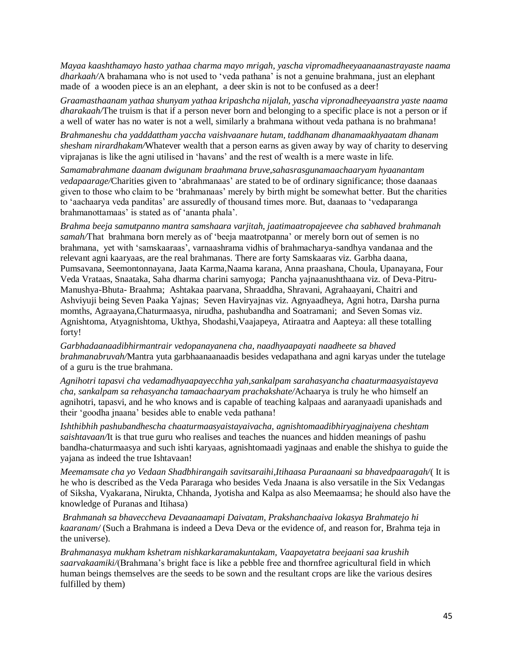*Mayaa kaashthamayo hasto yathaa charma mayo mrigah, yascha vipromadheeyaanaanastrayaste naama dharkaah/*A brahamana who is not used to 'veda pathana' is not a genuine brahmana, just an elephant made of a wooden piece is an an elephant, a deer skin is not to be confused as a deer!

*Graamasthaanam yathaa shunyam yathaa kripashcha nijalah, yascha vipronadheeyaanstra yaste naama dharakaah/*The truism is that if a person never born and belonging to a specific place is not a person or if a well of water has no water is not a well, similarly a brahmana without veda pathana is no brahmana!

*Brahmaneshu cha yadddattham yaccha vaishvaanare hutam, taddhanam dhanamaakhyaatam dhanam shesham nirardhakam/*Whatever wealth that a person earns as given away by way of charity to deserving viprajanas is like the agni utilised in 'havans' and the rest of wealth is a mere waste in life.

*Samamabrahmane daanam dwigunam braahmana bruve,sahasrasgunamaachaaryam hyaanantam vedapaarage/*Charities given to 'abrahmanaas' are stated to be of ordinary significance; those daanaas given to those who claim to be 'brahmanaas' merely by birth might be somewhat better. But the charities to 'aachaarya veda panditas' are assuredly of thousand times more. But, daanaas to 'vedaparanga brahmanottamaas' is stated as of 'ananta phala'.

*Brahma beeja samutpanno mantra samshaara varjitah, jaatimaatropajeevee cha sabhaved brahmanah samah/*That brahmana born merely as of 'beeja maatrotpanna' or merely born out of semen is no brahmana, yet with 'samskaaraas', varnaashrama vidhis of brahmacharya-sandhya vandanaa and the relevant agni kaaryaas, are the real brahmanas. There are forty Samskaaras viz. Garbha daana, Pumsavana, Seemontonnayana, Jaata Karma,Naama karana, Anna praashana, Choula, Upanayana, Four Veda Vrataas, Snaataka, Saha dharma charini samyoga; Pancha yajnaanushthaana viz. of Deva-Pitru-Manushya-Bhuta- Braahma; Ashtakaa paarvana, Shraaddha, Shravani, Agrahaayani, Chaitri and Ashviyuji being Seven Paaka Yajnas; Seven Haviryajnas viz. Agnyaadheya, Agni hotra, Darsha purna momths, Agraayana,Chaturmaasya, nirudha, pashubandha and Soatramani; and Seven Somas viz. Agnishtoma, Atyagnishtoma, Ukthya, Shodashi,Vaajapeya, Atiraatra and Aapteya: all these totalling forty!

*Garbhadaanaadibhirmantrair vedopanayanena cha, naadhyaapayati naadheete sa bhaved brahmanabruvah/*Mantra yuta garbhaanaanaadis besides vedapathana and agni karyas under the tutelage of a guru is the true brahmana.

*Agnihotri tapasvi cha vedamadhyaapayecchha yah,sankalpam sarahasyancha chaaturmaasyaistayeva cha, sankalpam sa rehasyancha tamaachaaryam prachakshate/*Achaarya is truly he who himself an agnihotri, tapasvi, and he who knows and is capable of teaching kalpaas and aaranyaadi upanishads and their 'goodha jnaana' besides able to enable veda pathana!

*Ishthibhih pashubandhescha chaaturmaasyaistayaivacha, agnishtomaadibhiryagjnaiyena cheshtam saishtavaan/*It is that true guru who realises and teaches the nuances and hidden meanings of pashu bandha-chaturmaasya and such ishti karyaas, agnishtomaadi yagjnaas and enable the shishya to guide the yajana as indeed the true Ishtavaan!

*Meemamsate cha yo Vedaan Shadbhirangaih savitsaraihi,Itihaasa Puraanaani sa bhavedpaaragah/*( It is he who is described as the Veda Pararaga who besides Veda Jnaana is also versatile in the Six Vedangas of Siksha, Vyakarana, Nirukta, Chhanda, Jyotisha and Kalpa as also Meemaamsa; he should also have the knowledge of Puranas and Itihasa)

*Brahmanah sa bhaveccheva Devaanaamapi Daivatam, Prakshanchaaiva lokasya Brahmatejo hi kaaranam/* (Such a Brahmana is indeed a Deva Deva or the evidence of, and reason for, Brahma teja in the universe).

*Brahmanasya mukham kshetram nishkarkaramakuntakam, Vaapayetatra beejaani saa krushih saarvakaamiki/*(Brahmana's bright face is like a pebble free and thornfree agricultural field in which human beings themselves are the seeds to be sown and the resultant crops are like the various desires fulfilled by them)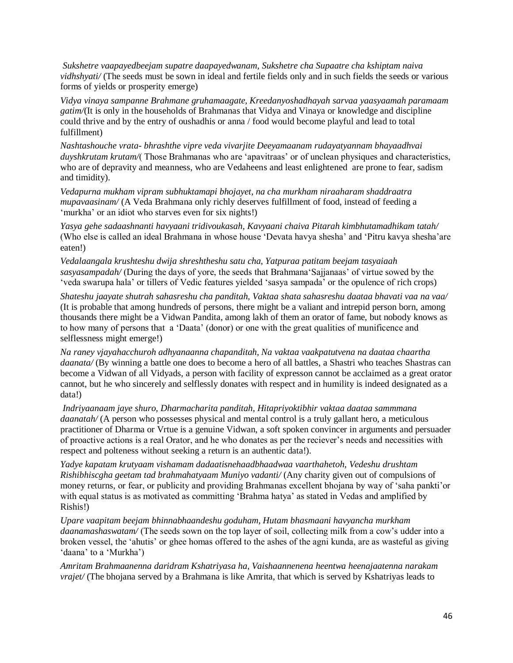*Sukshetre vaapayedbeejam supatre daapayedwanam, Sukshetre cha Supaatre cha kshiptam naiva vidhshyati/* (The seeds must be sown in ideal and fertile fields only and in such fields the seeds or various forms of yields or prosperity emerge)

*Vidya vinaya sampanne Brahmane gruhamaagate, Kreedanyoshadhayah sarvaa yaasyaamah paramaam gatim/*(It is only in the households of Brahmanas that Vidya and Vinaya or knowledge and discipline could thrive and by the entry of oushadhis or anna / food would become playful and lead to total fulfillment)

*Nashtashouche vrata- bhrashthe vipre veda vivarjite Deeyamaanam rudayatyannam bhayaadhvai duyshkrutam krutam/*( Those Brahmanas who are 'apavitraas' or of unclean physiques and characteristics, who are of depravity and meanness, who are Vedaheens and least enlightened are prone to fear, sadism and timidity).

*Vedapurna mukham vipram subhuktamapi bhojayet, na cha murkham niraaharam shaddraatra mupavaasinam/* (A Veda Brahmana only richly deserves fulfillment of food, instead of feeding a 'murkha' or an idiot who starves even for six nights!)

*Yasya gehe sadaashnanti havyaani tridivoukasah, Kavyaani chaiva Pitarah kimbhutamadhikam tatah/* (Who else is called an ideal Brahmana in whose house 'Devata havya shesha' and 'Pitru kavya shesha'are eaten!)

*Vedalaangala krushteshu dwija shreshtheshu satu cha, Yatpuraa patitam beejam tasyaiaah sasyasampadah/* (During the days of yore, the seeds that Brahmana'Sajjanaas' of virtue sowed by the 'veda swarupa hala' or tillers of Vedic features yielded 'sasya sampada' or the opulence of rich crops)

*Shateshu jaayate shutrah sahasreshu cha panditah, Vaktaa shata sahasreshu daataa bhavati vaa na vaa/*  (It is probable that among hundreds of persons, there might be a valiant and intrepid person born, among thousands there might be a Vidwan Pandita, among lakh of them an orator of fame, but nobody knows as to how many of persons that a 'Daata' (donor) or one with the great qualities of munificence and selflessness might emerge!)

*Na raney vjayahacchuroh adhyanaanna chapanditah, Na vaktaa vaakpatutvena na daataa chaartha daanata/* (By winning a battle one does to become a hero of all battles, a Shastri who teaches Shastras can become a Vidwan of all Vidyads, a person with facility of expresson cannot be acclaimed as a great orator cannot, but he who sincerely and selflessly donates with respect and in humility is indeed designated as a data!)

*Indriyaanaam jaye shuro, Dharmacharita panditah, Hitapriyoktibhir vaktaa daataa sammmana daanatah/* (A person who possesses physical and mental control is a truly gallant hero, a meticulous practitioner of Dharma or Vrtue is a genuine Vidwan, a soft spoken convincer in arguments and persuader of proactive actions is a real Orator, and he who donates as per the reciever's needs and necessities with respect and polteness without seeking a return is an authentic data!).

*Yadye kapatam krutyaam vishamam dadaatisnehaadbhaadwaa vaarthahetoh, Vedeshu drushtam Rishibhiscgha geetam tad brahmahatyaam Muniyo vadanti/* (Any charity given out of compulsions of money returns, or fear, or publicity and providing Brahmanas excellent bhojana by way of 'saha pankti'or with equal status is as motivated as committing 'Brahma hatya' as stated in Vedas and amplified by Rishis!)

*Upare vaapitam beejam bhinnabhaandeshu goduham, Hutam bhasmaani havyancha murkham daanamashaswatam/* (The seeds sown on the top layer of soil, collecting milk from a cow's udder into a broken vessel, the 'ahutis' or ghee homas offered to the ashes of the agni kunda, are as wasteful as giving 'daana' to a 'Murkha')

*Amritam Brahmaanenna daridram Kshatriyasa ha, Vaishaannenena heentwa heenajaatenna narakam vrajet/* (The bhojana served by a Brahmana is like Amrita, that which is served by Kshatriyas leads to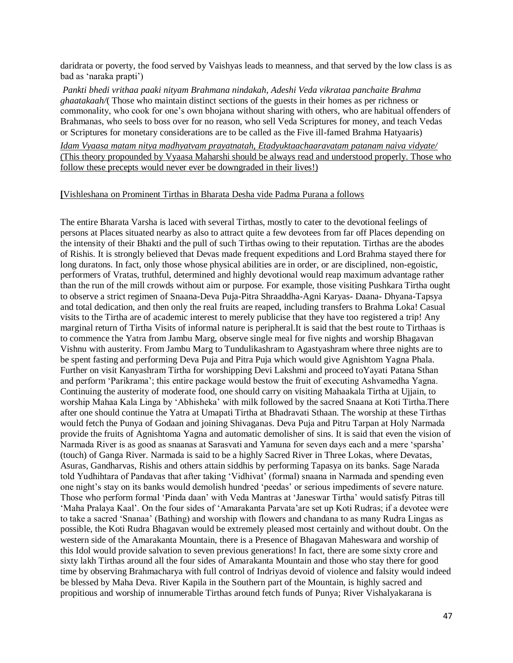daridrata or poverty, the food served by Vaishyas leads to meanness, and that served by the low class is as bad as 'naraka prapti')

*Pankti bhedi vrithaa paaki nityam Brahmana nindakah, Adeshi Veda vikrataa panchaite Brahma ghaatakaah/*( Those who maintain distinct sections of the guests in their homes as per richness or commonality, who cook for one's own bhojana without sharing with others, who are habitual offenders of Brahmanas, who seels to boss over for no reason, who sell Veda Scriptures for money, and teach Vedas or Scriptures for monetary considerations are to be called as the Five ill-famed Brahma Hatyaaris)

*Idam Vyaasa matam nitya madhyatvam prayatnatah, Etadyuktaachaaravatam patanam naiva vidyate/*  (This theory propounded by Vyaasa Maharshi should be always read and understood properly. Those who follow these precepts would never ever be downgraded in their lives!)

#### **[**Vishleshana on Prominent Tirthas in Bharata Desha vide Padma Purana a follows

The entire Bharata Varsha is laced with several Tirthas, mostly to cater to the devotional feelings of persons at Places situated nearby as also to attract quite a few devotees from far off Places depending on the intensity of their Bhakti and the pull of such Tirthas owing to their reputation. Tirthas are the abodes of Rishis. It is strongly believed that Devas made frequent expeditions and Lord Brahma stayed there for long duratons. In fact, only those whose physical abilities are in order, or are disciplined, non-egoistic, performers of Vratas, truthful, determined and highly devotional would reap maximum advantage rather than the run of the mill crowds without aim or purpose. For example, those visiting Pushkara Tirtha ought to observe a strict regimen of Snaana-Deva Puja-Pitra Shraaddha-Agni Karyas- Daana- Dhyana-Tapsya and total dedication, and then only the real fruits are reaped, including transfers to Brahma Loka! Casual visits to the Tirtha are of academic interest to merely publicise that they have too registered a trip! Any marginal return of Tirtha Visits of informal nature is peripheral.It is said that the best route to Tirthaas is to commence the Yatra from Jambu Marg, observe single meal for five nights and worship Bhagavan Vishnu with austerity. From Jambu Marg to Tundulikashram to Agastyashram where three nights are to be spent fasting and performing Deva Puja and Pitra Puja which would give Agnishtom Yagna Phala. Further on visit Kanyashram Tirtha for worshipping Devi Lakshmi and proceed toYayati Patana Sthan and perform 'Parikrama'; this entire package would bestow the fruit of executing Ashvamedha Yagna. Continuing the austerity of moderate food, one should carry on visiting Mahaakala Tirtha at Ujjain, to worship Mahaa Kala Linga by 'Abhisheka' with milk followed by the sacred Snaana at Koti Tirtha.There after one should continue the Yatra at Umapati Tirtha at Bhadravati Sthaan. The worship at these Tirthas would fetch the Punya of Godaan and joining Shivaganas. Deva Puja and Pitru Tarpan at Holy Narmada provide the fruits of Agnishtoma Yagna and automatic demolisher of sins. It is said that even the vision of Narmada River is as good as snaanas at Sarasvati and Yamuna for seven days each and a mere 'sparsha' (touch) of Ganga River. Narmada is said to be a highly Sacred River in Three Lokas, where Devatas, Asuras, Gandharvas, Rishis and others attain siddhis by performing Tapasya on its banks. Sage Narada told Yudhihtara of Pandavas that after taking 'Vidhivat' (formal) snaana in Narmada and spending even one night's stay on its banks would demolish hundred 'peedas' or serious impediments of severe nature. Those who perform formal 'Pinda daan' with Veda Mantras at 'Janeswar Tirtha' would satisfy Pitras till 'Maha Pralaya Kaal'. On the four sides of 'Amarakanta Parvata'are set up Koti Rudras; if a devotee were to take a sacred 'Snanaa' (Bathing) and worship with flowers and chandana to as many Rudra Lingas as possible, the Koti Rudra Bhagavan would be extremely pleased most certainly and without doubt. On the western side of the Amarakanta Mountain, there is a Presence of Bhagavan Maheswara and worship of this Idol would provide salvation to seven previous generations! In fact, there are some sixty crore and sixty lakh Tirthas around all the four sides of Amarakanta Mountain and those who stay there for good time by observing Brahmacharya with full control of Indriyas devoid of violence and falsity would indeed be blessed by Maha Deva. River Kapila in the Southern part of the Mountain, is highly sacred and propitious and worship of innumerable Tirthas around fetch funds of Punya; River Vishalyakarana is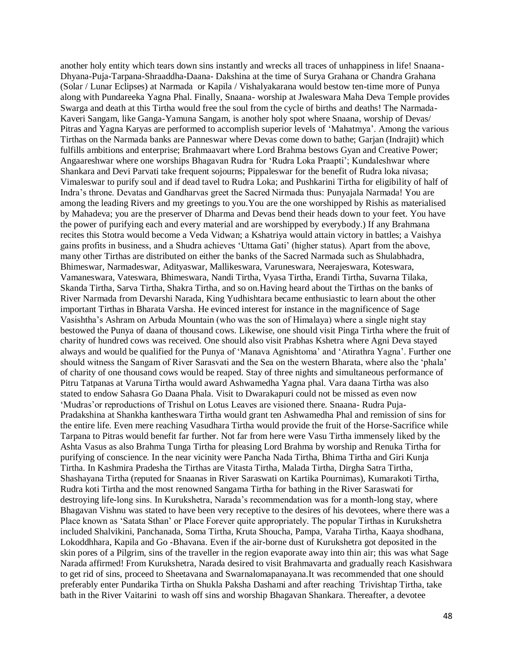another holy entity which tears down sins instantly and wrecks all traces of unhappiness in life! Snaana-Dhyana-Puja-Tarpana-Shraaddha-Daana- Dakshina at the time of Surya Grahana or Chandra Grahana (Solar / Lunar Eclipses) at Narmada or Kapila / Vishalyakarana would bestow ten-time more of Punya along with Pundareeka Yagna Phal. Finally, Snaana- worship at Jwaleswara Maha Deva Temple provides Swarga and death at this Tirtha would free the soul from the cycle of births and deaths! The Narmada-Kaveri Sangam, like Ganga-Yamuna Sangam, is another holy spot where Snaana, worship of Devas/ Pitras and Yagna Karyas are performed to accomplish superior levels of 'Mahatmya'. Among the various Tirthas on the Narmada banks are Panneswar where Devas come down to bathe; Garjan (Indrajit) which fulfills ambitions and enterprise; Brahmaavart where Lord Brahma bestows Gyan and Creative Power; Angaareshwar where one worships Bhagavan Rudra for 'Rudra Loka Praapti'; Kundaleshwar where Shankara and Devi Parvati take frequent sojourns; Pippaleswar for the benefit of Rudra loka nivasa; Vimaleswar to purify soul and if dead tavel to Rudra Loka; and Pushkarini Tirtha for eligibility of half of Indra's throne. Devatas and Gandharvas greet the Sacred Nirmada thus: Punyajala Narmada! You are among the leading Rivers and my greetings to you.You are the one worshipped by Rishis as materialised by Mahadeva; you are the preserver of Dharma and Devas bend their heads down to your feet. You have the power of purifying each and every material and are worshipped by everybody.) If any Brahmana recites this Stotra would become a Veda Vidwan; a Kshatriya would attain victory in battles; a Vaishya gains profits in business, and a Shudra achieves 'Uttama Gati' (higher status). Apart from the above, many other Tirthas are distributed on either the banks of the Sacred Narmada such as Shulabhadra, Bhimeswar, Narmadeswar, Adityaswar, Mallikeswara, Varuneswara, Neerajeswara, Koteswara, Vamaneswara, Vateswara, Bhimeswara, Nandi Tirtha, Vyasa Tirtha, Erandi Tirtha, Suvarna Tilaka, Skanda Tirtha, Sarva Tirtha, Shakra Tirtha, and so on.Having heard about the Tirthas on the banks of River Narmada from Devarshi Narada, King Yudhishtara became enthusiastic to learn about the other important Tirthas in Bharata Varsha. He evinced interest for instance in the magnificence of Sage Vasishtha's Ashram on Arbuda Mountain (who was the son of Himalaya) where a single night stay bestowed the Punya of daana of thousand cows. Likewise, one should visit Pinga Tirtha where the fruit of charity of hundred cows was received. One should also visit Prabhas Kshetra where Agni Deva stayed always and would be qualified for the Punya of 'Manava Agnishtoma' and 'Atirathra Yagna'. Further one should witness the Sangam of River Sarasvati and the Sea on the western Bharata, where also the 'phala' of charity of one thousand cows would be reaped. Stay of three nights and simultaneous performance of Pitru Tatpanas at Varuna Tirtha would award Ashwamedha Yagna phal. Vara daana Tirtha was also stated to endow Sahasra Go Daana Phala. Visit to Dwarakapuri could not be missed as even now 'Mudras'or reproductions of Trishul on Lotus Leaves are visioned there. Snaana- Rudra Puja-Pradakshina at Shankha kantheswara Tirtha would grant ten Ashwamedha Phal and remission of sins for the entire life. Even mere reaching Vasudhara Tirtha would provide the fruit of the Horse-Sacrifice while Tarpana to Pitras would benefit far further. Not far from here were Vasu Tirtha immensely liked by the Ashta Vasus as also Brahma Tunga Tirtha for pleasing Lord Brahma by worship and Renuka Tirtha for purifying of conscience. In the near vicinity were Pancha Nada Tirtha, Bhima Tirtha and Giri Kunja Tirtha. In Kashmira Pradesha the Tirthas are Vitasta Tirtha, Malada Tirtha, Dirgha Satra Tirtha, Shashayana Tirtha (reputed for Snaanas in River Saraswati on Kartika Pournimas), Kumarakoti Tirtha, Rudra koti Tirtha and the most renowned Sangama Tirtha for bathing in the River Saraswati for destroying life-long sins. In Kurukshetra, Narada's recommendation was for a month-long stay, where Bhagavan Vishnu was stated to have been very receptive to the desires of his devotees, where there was a Place known as 'Satata Sthan' or Place Forever quite appropriately. The popular Tirthas in Kurukshetra included Shalvikini, Panchanada, Soma Tirtha, Kruta Shoucha, Pampa, Varaha Tirtha, Kaaya shodhana, Lokoddhhara, Kapila and Go -Bhavana. Even if the air-borne dust of Kurukshetra got deposited in the skin pores of a Pilgrim, sins of the traveller in the region evaporate away into thin air; this was what Sage Narada affirmed! From Kurukshetra, Narada desired to visit Brahmavarta and gradually reach Kasishwara to get rid of sins, proceed to Sheetavana and Swarnalomapanayana.It was recommended that one should preferably enter Pundarika Tirtha on Shukla Paksha Dashami and after reaching Trivishtap Tirtha, take bath in the River Vaitarini to wash off sins and worship Bhagavan Shankara. Thereafter, a devotee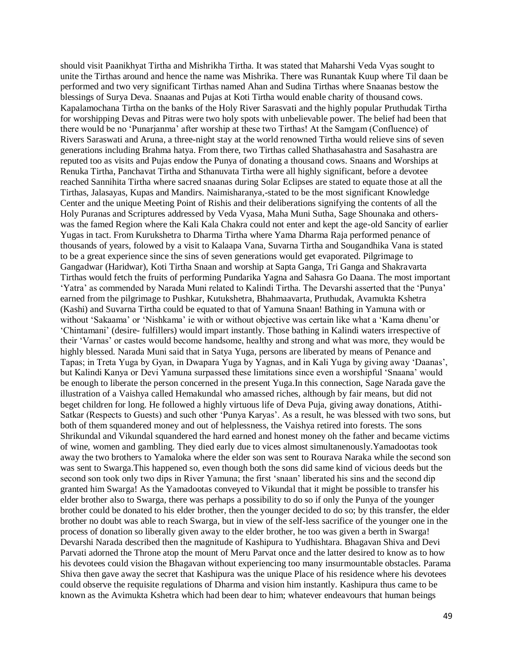should visit Paanikhyat Tirtha and Mishrikha Tirtha. It was stated that Maharshi Veda Vyas sought to unite the Tirthas around and hence the name was Mishrika. There was Runantak Kuup where Til daan be performed and two very significant Tirthas named Ahan and Sudina Tirthas where Snaanas bestow the blessings of Surya Deva. Snaanas and Pujas at Koti Tirtha would enable charity of thousand cows. Kapalamochana Tirtha on the banks of the Holy River Sarasvati and the highly popular Pruthudak Tirtha for worshipping Devas and Pitras were two holy spots with unbelievable power. The belief had been that there would be no 'Punarjanma' after worship at these two Tirthas! At the Samgam (Confluence) of Rivers Saraswati and Aruna, a three-night stay at the world renowned Tirtha would relieve sins of seven generations including Brahma hatya. From there, two Tirthas called Shathasahastra and Sasahastra are reputed too as visits and Pujas endow the Punya of donating a thousand cows. Snaans and Worships at Renuka Tirtha, Panchavat Tirtha and Sthanuvata Tirtha were all highly significant, before a devotee reached Sannihita Tirtha where sacred snaanas during Solar Eclipses are stated to equate those at all the Tirthas, Jalasayas, Kupas and Mandirs. Naimisharanya,-stated to be the most significant Knowledge Center and the unique Meeting Point of Rishis and their deliberations signifying the contents of all the Holy Puranas and Scriptures addressed by Veda Vyasa, Maha Muni Sutha, Sage Shounaka and otherswas the famed Region where the Kali Kala Chakra could not enter and kept the age-old Sancity of earlier Yugas in tact. From Kurukshetra to Dharma Tirtha where Yama Dharma Raja performed penance of thousands of years, folowed by a visit to Kalaapa Vana, Suvarna Tirtha and Sougandhika Vana is stated to be a great experience since the sins of seven generations would get evaporated. Pilgrimage to Gangadwar (Haridwar), Koti Tirtha Snaan and worship at Sapta Ganga, Tri Ganga and Shakravarta Tirthas would fetch the fruits of performing Pundarika Yagna and Sahasra Go Daana. The most important 'Yatra' as commended by Narada Muni related to Kalindi Tirtha. The Devarshi asserted that the 'Punya' earned from the pilgrimage to Pushkar, Kutukshetra, Bhahmaavarta, Pruthudak, Avamukta Kshetra (Kashi) and Suvarna Tirtha could be equated to that of Yamuna Snaan! Bathing in Yamuna with or without 'Sakaama' or 'Nishkama' ie with or without objective was certain like what a 'Kama dhenu'or 'Chintamani' (desire- fulfillers) would impart instantly. Those bathing in Kalindi waters irrespective of their 'Varnas' or castes would become handsome, healthy and strong and what was more, they would be highly blessed. Narada Muni said that in Satya Yuga, persons are liberated by means of Penance and Tapas; in Treta Yuga by Gyan, in Dwapara Yuga by Yagnas, and in Kali Yuga by giving away 'Daanas', but Kalindi Kanya or Devi Yamuna surpassed these limitations since even a worshipful 'Snaana' would be enough to liberate the person concerned in the present Yuga.In this connection, Sage Narada gave the illustration of a Vaishya called Hemakundal who amassed riches, although by fair means, but did not beget children for long. He followed a highly virtuous life of Deva Puja, giving away donations, Atithi-Satkar (Respects to Guests) and such other 'Punya Karyas'. As a result, he was blessed with two sons, but both of them squandered money and out of helplessness, the Vaishya retired into forests. The sons Shrikundal and Vikundal squandered the hard earned and honest money oh the father and became victims of wine, women and gambling. They died early due to vices almost simultanenously.Yamadootas took away the two brothers to Yamaloka where the elder son was sent to Rourava Naraka while the second son was sent to Swarga.This happened so, even though both the sons did same kind of vicious deeds but the second son took only two dips in River Yamuna; the first 'snaan' liberated his sins and the second dip granted him Swarga! As the Yamadootas conveyed to Vikundal that it might be possible to transfer his elder brother also to Swarga, there was perhaps a possibility to do so if only the Punya of the younger brother could be donated to his elder brother, then the younger decided to do so; by this transfer, the elder brother no doubt was able to reach Swarga, but in view of the self-less sacrifice of the younger one in the process of donation so liberally given away to the elder brother, he too was given a berth in Swarga! Devarshi Narada described then the magnitude of Kashipura to Yudhishtara. Bhagavan Shiva and Devi Parvati adorned the Throne atop the mount of Meru Parvat once and the latter desired to know as to how his devotees could vision the Bhagavan without experiencing too many insurmountable obstacles. Parama Shiva then gave away the secret that Kashipura was the unique Place of his residence where his devotees could observe the requisite regulations of Dharma and vision him instantly. Kashipura thus came to be known as the Avimukta Kshetra which had been dear to him; whatever endeavours that human beings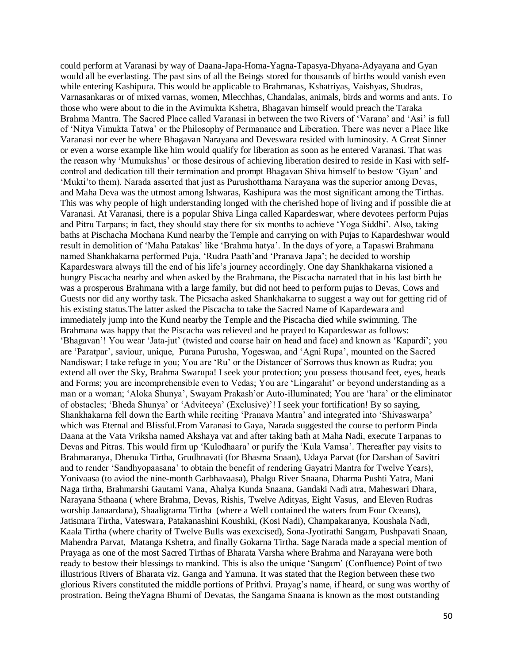could perform at Varanasi by way of Daana-Japa-Homa-Yagna-Tapasya-Dhyana-Adyayana and Gyan would all be everlasting. The past sins of all the Beings stored for thousands of births would vanish even while entering Kashipura. This would be applicable to Brahmanas, Kshatriyas, Vaishyas, Shudras, Varnasankaras or of mixed varnas, women, Mlecchhas, Chandalas, animals, birds and worms and ants. To those who were about to die in the Avimukta Kshetra, Bhagavan himself would preach the Taraka Brahma Mantra. The Sacred Place called Varanasi in between the two Rivers of 'Varana' and 'Asi' is full of 'Nitya Vimukta Tatwa' or the Philosophy of Permanance and Liberation. There was never a Place like Varanasi nor ever be where Bhagavan Narayana and Deveswara resided with luminosity. A Great Sinner or even a worse example like him would qualify for liberation as soon as he entered Varanasi. That was the reason why 'Mumukshus' or those desirous of achieving liberation desired to reside in Kasi with selfcontrol and dedication till their termination and prompt Bhagavan Shiva himself to bestow 'Gyan' and 'Mukti'to them). Narada asserted that just as Purushotthama Narayana was the superior among Devas, and Maha Deva was the utmost among Ishwaras, Kashipura was the most significant among the Tirthas. This was why people of high understanding longed with the cherished hope of living and if possible die at Varanasi. At Varanasi, there is a popular Shiva Linga called Kapardeswar, where devotees perform Pujas and Pitru Tarpans; in fact, they should stay there for six months to achieve 'Yoga Siddhi'. Also, taking baths at Pischacha Mochana Kund nearby the Temple and carrying on with Pujas to Kapardeshwar would result in demolition of 'Maha Patakas' like 'Brahma hatya'. In the days of yore, a Tapaswi Brahmana named Shankhakarna performed Puja, 'Rudra Paath'and 'Pranava Japa'; he decided to worship Kapardeswara always till the end of his life's journey accordingly. One day Shankhakarna visioned a hungry Piscacha nearby and when asked by the Brahmana, the Piscacha narrated that in his last birth he was a prosperous Brahmana with a large family, but did not heed to perform pujas to Devas, Cows and Guests nor did any worthy task. The Picsacha asked Shankhakarna to suggest a way out for getting rid of his existing status.The latter asked the Piscacha to take the Sacred Name of Kapardewara and immediately jump into the Kund nearby the Temple and the Piscacha died while swimming. The Brahmana was happy that the Piscacha was relieved and he prayed to Kapardeswar as follows: 'Bhagavan'! You wear 'Jata-jut' (twisted and coarse hair on head and face) and known as 'Kapardi'; you are 'Paratpar', saviour, unique, Purana Purusha, Yogeswaa, and 'Agni Rupa', mounted on the Sacred Nandiswar; I take refuge in you; You are 'Ru' or the Distancer of Sorrows thus known as Rudra; you extend all over the Sky, Brahma Swarupa! I seek your protection; you possess thousand feet, eyes, heads and Forms; you are incomprehensible even to Vedas; You are 'Lingarahit' or beyond understanding as a man or a woman; 'Aloka Shunya', Swayam Prakash'or Auto-illuminated; You are 'hara' or the eliminator of obstacles; 'Bheda Shunya' or 'Adviteeya' (Exclusive)'! I seek your fortification! By so saying, Shankhakarna fell down the Earth while reciting 'Pranava Mantra' and integrated into 'Shivaswarpa' which was Eternal and Blissful.From Varanasi to Gaya, Narada suggested the course to perform Pinda Daana at the Vata Vriksha named Akshaya vat and after taking bath at Maha Nadi, execute Tarpanas to Devas and Pitras. This would firm up 'Kulodhaara' or purify the 'Kula Vamsa'. Thereafter pay visits to Brahmaranya, Dhenuka Tirtha, Grudhnavati (for Bhasma Snaan), Udaya Parvat (for Darshan of Savitri and to render 'Sandhyopaasana' to obtain the benefit of rendering Gayatri Mantra for Twelve Years), Yonivaasa (to aviod the nine-month Garbhavaasa), Phalgu River Snaana, Dharma Pushti Yatra, Mani Naga tirtha, Brahmarshi Gautami Vana, Ahalya Kunda Snaana, Gandaki Nadi atra, Maheswari Dhara, Narayana Sthaana ( where Brahma, Devas, Rishis, Twelve Adityas, Eight Vasus, and Eleven Rudras worship Janaardana), Shaaligrama Tirtha (where a Well contained the waters from Four Oceans), Jatismara Tirtha, Vateswara, Patakanashini Koushiki, (Kosi Nadi), Champakaranya, Koushala Nadi, Kaala Tirtha (where charity of Twelve Bulls was exexcised), Sona-Jyotirathi Sangam, Pushpavati Snaan, Mahendra Parvat, Matanga Kshetra, and finally Gokarna Tirtha. Sage Narada made a special mention of Prayaga as one of the most Sacred Tirthas of Bharata Varsha where Brahma and Narayana were both ready to bestow their blessings to mankind. This is also the unique 'Sangam' (Confluence) Point of two illustrious Rivers of Bharata viz. Ganga and Yamuna. It was stated that the Region between these two glorious Rivers constituted the middle portions of Prithvi. Prayag's name, if heard, or sung was worthy of prostration. Being theYagna Bhumi of Devatas, the Sangama Snaana is known as the most outstanding